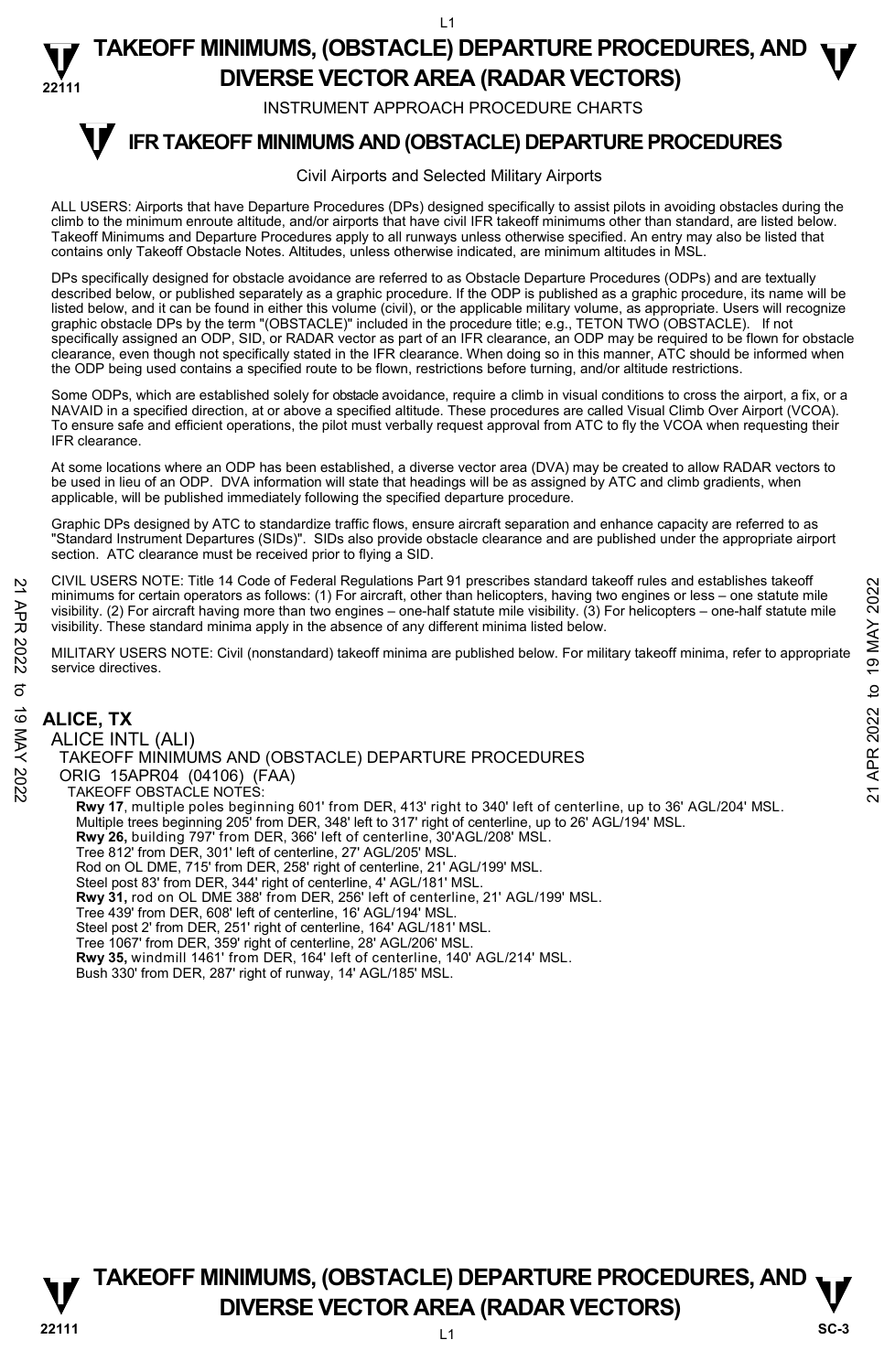INSTRUMENT APPROACH PROCEDURE CHARTS

#### **IFR TAKEOFF MINIMUMS AND (OBSTACLE) DEPARTURE PROCEDURES T**

#### Civil Airports and Selected Military Airports

ALL USERS: Airports that have Departure Procedures (DPs) designed specifically to assist pilots in avoiding obstacles during the climb to the minimum enroute altitude, and/or airports that have civil IFR takeoff minimums other than standard, are listed below. Takeoff Minimums and Departure Procedures apply to all runways unless otherwise specified. An entry may also be listed that contains only Takeoff Obstacle Notes. Altitudes, unless otherwise indicated, are minimum altitudes in MSL.

DPs specifically designed for obstacle avoidance are referred to as Obstacle Departure Procedures (ODPs) and are textually described below, or published separately as a graphic procedure. If the ODP is published as a graphic procedure, its name will be listed below, and it can be found in either this volume (civil), or the applicable military volume, as appropriate. Users will recognize graphic obstacle DPs by the term "(OBSTACLE)" included in the procedure title; e.g., TETON TWO (OBSTACLE). If not specifically assigned an ODP, SID, or RADAR vector as part of an IFR clearance, an ODP may be required to be flown for obstacle clearance, even though not specifically stated in the IFR clearance. When doing so in this manner, ATC should be informed when the ODP being used contains a specified route to be flown, restrictions before turning, and/or altitude restrictions.

Some ODPs, which are established solely for obstacle avoidance, require a climb in visual conditions to cross the airport, a fix, or a NAVAID in a specified direction, at or above a specified altitude. These procedures are called Visual Climb Over Airport (VCOA). To ensure safe and efficient operations, the pilot must verbally request approval from ATC to fly the VCOA when requesting their IFR clearance.

At some locations where an ODP has been established, a diverse vector area (DVA) may be created to allow RADAR vectors to be used in lieu of an ODP. DVA information will state that headings will be as assigned by ATC and climb gradients, when applicable, will be published immediately following the specified departure procedure.

Graphic DPs designed by ATC to standardize traffic flows, ensure aircraft separation and enhance capacity are referred to as "Standard Instrument Departures (SIDs)". SIDs also provide obstacle clearance and are published under the appropriate airport section. ATC clearance must be received prior to flying a SID.

CIVIL USERS NOTE: Title 14 Code of Federal Regulations Part 91 prescribes standard takeoff rules and establishes takeoff minimums for certain operators as follows: (1) For aircraft, other than helicopters, having two engines or less – one statute mile visibility. (2) For aircraft having more than two engines – one-half statute mile visibility. (3) For helicopters – one-half statute mile visibility. These standard minima apply in the absence of any different minima listed below.

MILITARY USERS NOTE: Civil (nonstandard) takeoff minima are published below. For military takeoff minima, refer to appropriate service directives.

**ALICE, TX**  ALICE INTL (ALI) TAKEOFF MINIMUMS AND (OBSTACLE) DEPARTURE PROCEDURES ORIG 15APR04 (04106) (FAA) TAKEOFF OBSTACLE NOTES: **Rwy 17**, multiple poles beginning 601' from DER, 413' right to 340' left of centerline, up to 36' AGL/204' MSL.<br>Multiple trees beginning 205' from DER, 348' left to 317' right of centerline, up to 26' AGL/194' MSL. **Rwy 26,** building 797' from DER, 366' left of centerline, 30'AGL/208' MSL. Tree 812' from DER, 301' left of centerline, 27' AGL/205' MSL. Rod on OL DME, 715' from DER, 258' right of centerline, 21' AGL/199' MSL. Steel post 83' from DER, 344' right of centerline, 4' AGL/181' MSL. **Rwy 31,** rod on OL DME 388' from DER, 256' left of centerline, 21' AGL/199' MSL. Tree 439' from DER, 608' left of centerline, 16' AGL/194' MSL. Steel post 2' from DER, 251' right of centerline, 164' AGL/181' MSL. Tree 1067' from DER, 359' right of centerline, 28' AGL/206' MSL. **Rwy 35,** windmill 1461' from DER, 164' left of centerline, 140' AGL/214' MSL. Bush 330' from DER, 287' right of runway, 14' AGL/185' MSL. 21 CIVIL USERS NOTE: THE 14 Code or Federal regulations Part 91 prescinces standard theories and taseon rules and taseon results.<br>
21 Minimums for certain operators as follows: (1) For aircraft, due than helicopters, hav

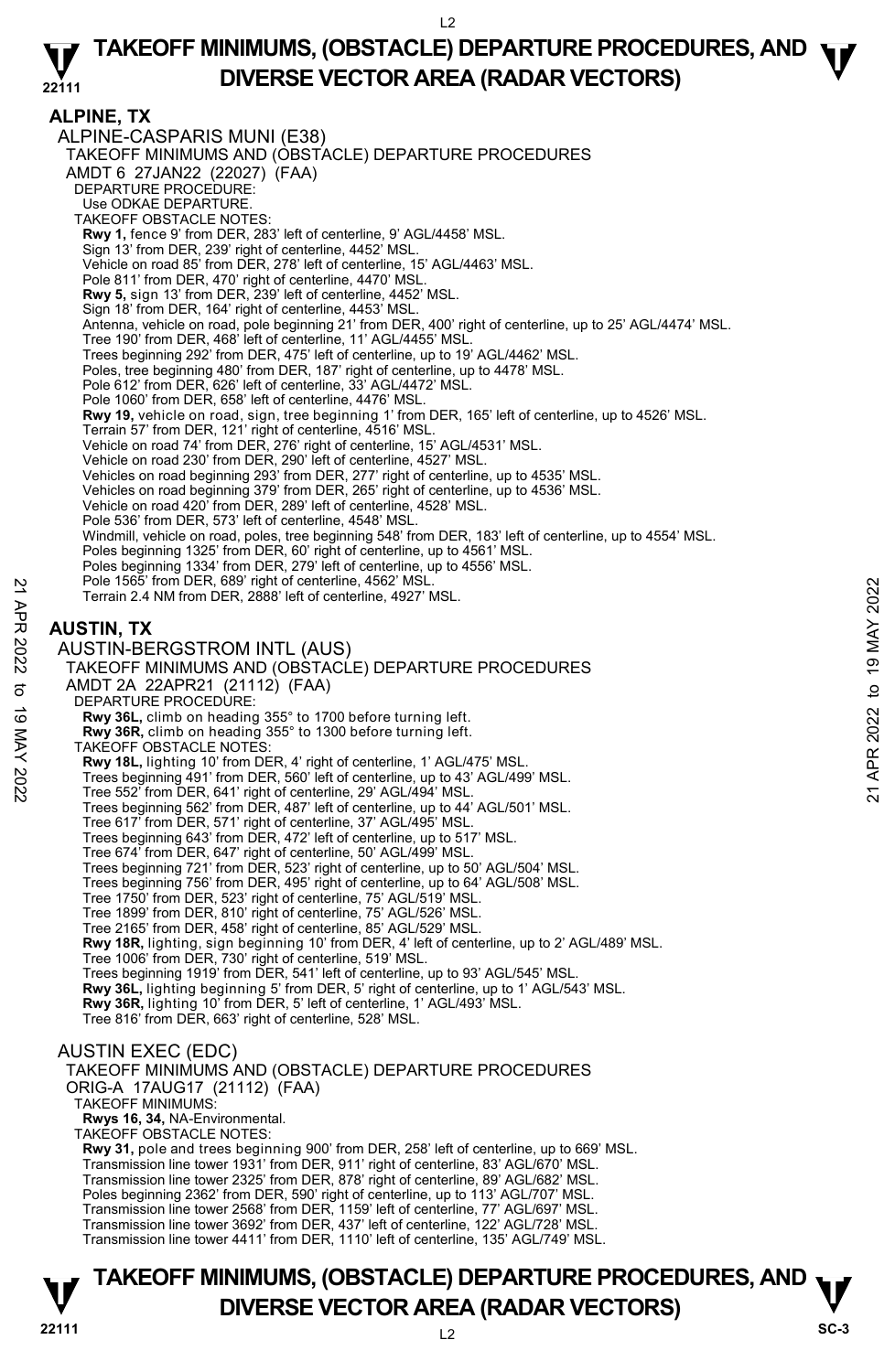#### **ALPINE, TX**

ALPINE-CASPARIS MUNI (E38) TAKEOFF MINIMUMS AND (OBSTACLE) DEPARTURE PROCEDURES AMDT 6 27JAN22 (22027) (FAA) DEPARTURE PROCEDURE: Use ODKAE DEPARTURE. TAKEOFF OBSTACLE NOTES: **Rwy 1,** fence 9' from DER, 283' left of centerline, 9' AGL/4458' MSL. Sign 13' from DER, 239' right of centerline, 4452' MSL. Vehicle on road 85' from DER, 278' left of centerline, 15' AGL/4463' MSL. Pole 811' from DER, 470' right of centerline, 4470' MSL. **Rwy 5,** sign 13' from DER, 239' left of centerline, 4452' MSL. Sign 18' from DER, 164' right of centerline, 4453' MSL. Antenna, vehicle on road, pole beginning 21' from DER, 400' right of centerline, up to 25' AGL/4474' MSL. Tree 190' from DER, 468' left of centerline, 11' AGL/4455' MSL Trees beginning 292' from DER, 475' left of centerline, up to 19' AGL/4462' MSL. Poles, tree beginning 480' from DER, 187' right of centerline, up to 4478' MSL. Pole 612' from DER, 626' left of centerline, 33' AGL/4472' MSL. Pole 1060' from DER, 658' left of centerline, 4476' MSL. **Rwy 19,** vehicle on road, sign, tree beginning 1' from DER, 165' left of centerline, up to 4526' MSL.<br>Terrain 57' from DER, 121' right of centerline, 4516' MSL. Vehicle on road 74' from DER, 276' right of centerline, 15' AGL/4531' MSL. Vehicle on road 230' from DER, 290' left of centerline, 4527' MSL. Vehicles on road beginning 293' from DER, 277' right of centerline, up to 4535' MSL.<br>Vehicles on road beginning 379' from DER, 265' right of centerline, up to 4536' MSL. Vehicle on road 420' from DER, 289' left of centerline, 4528' MSL. Pole 536' from DER, 573' left of centerline, 4548' MSL. Windmill, vehicle on road, poles, tree beginning 548' from DER, 183' left of centerline, up to 4554' MSL. Poles beginning 1325' from DER, 60' right of centerline, up to 4561' MSL. Poles beginning 1334' from DER, 279' left of centerline, up to 4556' MSL. Pole 1565' from DER, 689' right of centerline, 4562' MSL. Terrain 2.4 NM from DER, 2888' left of centerline, 4927' MSL. **AUSTIN, TX**  AUSTIN-BERGSTROM INTL (AUS) TAKEOFF MINIMUMS AND (OBSTACLE) DEPARTURE PROCEDURES AMDT 2A 22APR21 (21112) (FAA) DEPARTURE PROCEDURE: **Rwy 36L,** climb on heading 355° to 1700 before turning left. **Rwy 36R,** climb on heading 355° to 1300 before turning left. TAKEOFF OBSTACLE NOTES: **Rwy 18L,** lighting 10' from DER, 4' right of centerline, 1' AGL/475' MSL. Trees beginning 491' from DER, 560' left of centerline, up to 43' AGL/499' MSL. Tree 552' from DER, 641' right of centerline, 29' AGL/494' MSL. Trees beginning 562' from DER, 487' left of centerline, up to 44' AGL/501' MSL. Tree 617' from DER, 571' right of centerline, 37' AGL/495' MSL. Trees beginning 643' from DER, 472' left of centerline, up to 517' MSL. Tree 674' from DER, 647' right of centerline, 50' AGL/499' MSL. Trees beginning 721' from DER, 523' right of centerline, up to 50' AGL/504' MSL. Trees beginning 756' from DER, 495' right of centerline, up to 64' AGL/508' MSL. Tree 1750' from DER, 523' right of centerline, 75' AGL/519' MSL. Tree 1899' from DER, 810' right of centerline, 75' AGL/526' MSL. Tree 2165' from DER, 458' right of centerline, 85' AGL/529' MSL. **Rwy 18R,** lighting, sign beginning 10' from DER, 4' left of centerline, up to 2' AGL/489' MSL. Tree 1006' from DER, 730' right of centerline, 519' MSL. Trees beginning 1919' from DER, 541' left of centerline, up to 93' AGL/545' MSL **Rwy 36L,** lighting beginning 5' from DER, 5' right of centerline, up to 1' AGL/543' MSL. **Rwy 36R,** lighting 10' from DER, 5' left of centerline, 1' AGL/493' MSL. Tree 816' from DER, 663' right of centerline, 528' MSL. AUSTIN EXEC (EDC) TAKEOFF MINIMUMS AND (OBSTACLE) DEPARTURE PROCEDURES ORIG-A 17AUG17 (21112) (FAA) TAKEOFF MINIMUMS: **Rwys 16, 34,** NA-Environmental. Foll 1565 Tom DER, 889 right of centerline, 4562' MSL.<br>
21 Terrain 2.4 NM from DER, 2888' left of centerline, 4927' MSL.<br>
22 AUSTIN, TX<br>
22 AUSTIN, TX<br>
22 AUSTIN BERGSTROM INTL (AUS)<br>
23 TAKEOFF MINIMUMS AND (DBSTACLE) DEP

TAKEOFF OBSTACLE NOTES:

**Rwy 31,** pole and trees beginning 900' from DER, 258' left of centerline, up to 669' MSL. Transmission line tower 1931' from DER, 911' right of centerline, 83' AGL/670' MSL. Transmission line tower 2325' from DER, 878' right of centerline, 89' AGL/682' MSL. Poles beginning 2362' from DER, 590' right of centerline, up to 113' AGL/707' MSL. Transmission line tower 2568' from DER, 1159' left of centerline, 77' AGL/697' MSL.

Transmission line tower 3692' from DER, 437' left of centerline, 122' AGL/728' MSL.

Transmission line tower 4411' from DER, 1110' left of centerline, 135' AGL/749' MSL.

## **22111** L2 **TAKEOFF MINIMUMS, (OBSTACLE) DEPARTURE PROCEDURES, AND**  $\nabla$ **<br>DIVERSE VECTOR AREA (RADAR VECTORS) DIVERSE VECTOR AREA (RADAR VECTORS)** SC-3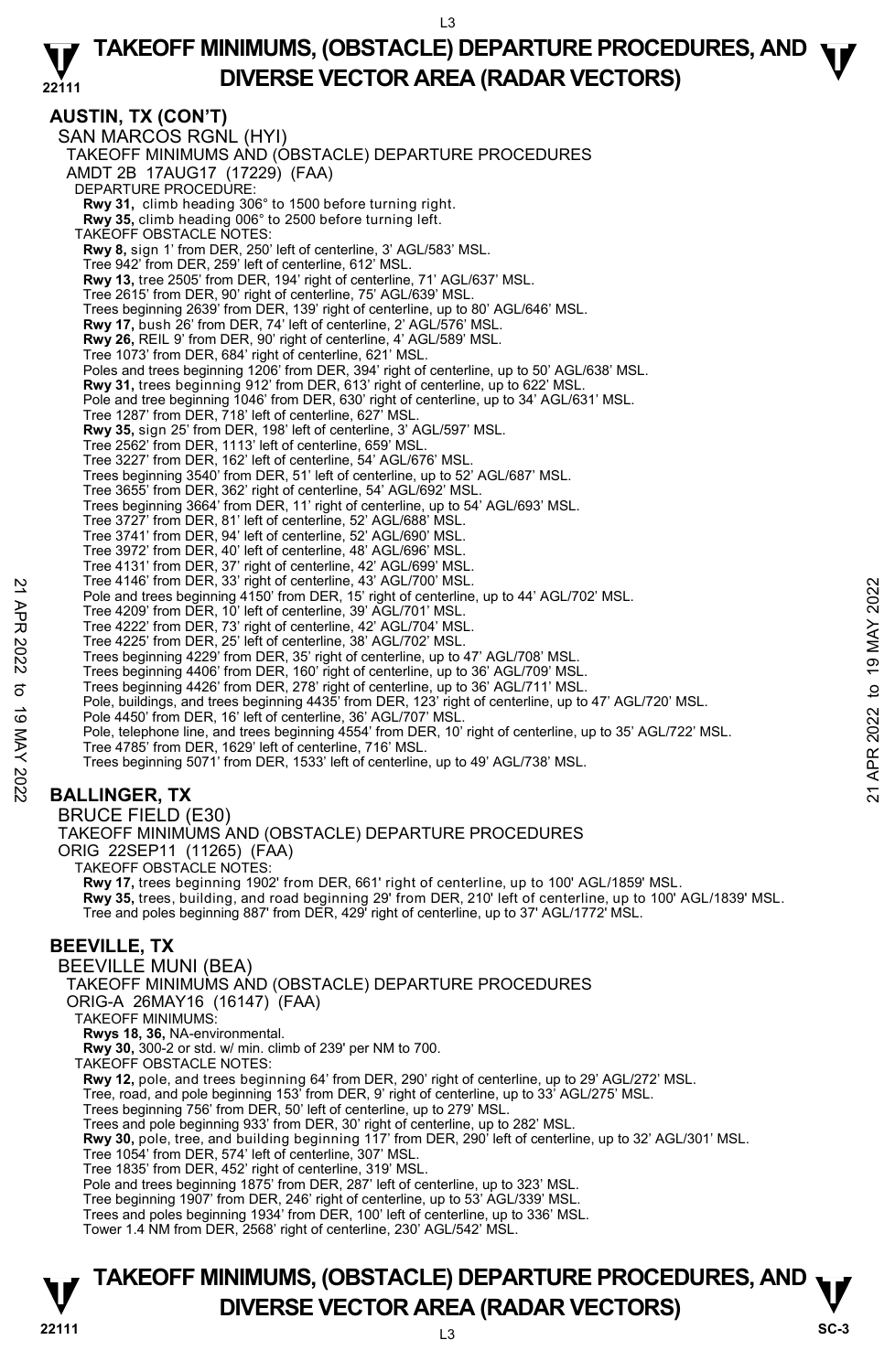#### **22111 TAKEOFF MINIMUMS, (OBSTACLE) DEPARTURE PROCEDURES, AND**  $\Psi$ **DIVERSE VECTOR AREA (RADAR VECTORS)**

**AUSTIN, TX (CON'T)**  SAN MARCOS RGNL (HYI) TAKEOFF MINIMUMS AND (OBSTACLE) DEPARTURE PROCEDURES AMDT 2B 17AUG17 (17229) (FAA) DEPARTURE PROCEDURE: **Rwy 31,** climb heading 306° to 1500 before turning right. **Rwy 35,** climb heading 006° to 2500 before turning left. TAKEOFF OBSTACLE NOTES: **Rwy 8,** sign 1' from DER, 250' left of centerline, 3' AGL/583' MSL. Tree 942' from DER, 259' left of centerline, 612' MSL. **Rwy 13,** tree 2505' from DER, 194' right of centerline, 71' AGL/637' MSL. Tree 2615' from DER, 90' right of centerline, 75' AGL/639' MSL. Trees beginning 2639' from DER, 139' right of centerline, up to 80' AGL/646' MSL. **Rwy 17,** bush 26' from DER, 74' left of centerline, 2' AGL/576' MSL. **Rwy 26,** REIL 9' from DER, 90' right of centerline, 4' AGL/589' MSL. Tree 1073' from DER, 684' right of centerline, 621' MSL. Poles and trees beginning 1206' from DER, 394' right of centerline, up to 50' AGL/638' MSL. **Rwy 31,** trees beginning 912' from DER, 613' right of centerline, up to 622' MSL. Pole and tree beginning 1046' from DER, 630' right of centerline, up to 34' AGL/631' MSL. Tree 1287' from DER, 718' left of centerline, 627' MSL. **Rwy 35,** sign 25' from DER, 198' left of centerline, 3' AGL/597' MSL. Tree 2562' from DER, 1113' left of centerline, 659' MSL. Tree 3227' from DER, 162' left of centerline, 54' AGL/676' MSL. Trees beginning 3540' from DER, 51' left of centerline, up to 52' AGL/687' MSL. Tree 3655' from DER, 362' right of centerline, 54' AGL/692' MSL. Trees beginning 3664' from DER, 11' right of centerline, up to 54' AGL/693' MSL. Tree 3727' from DER, 81' left of centerline, 52' AGL/688' MSL. Tree 3741' from DER, 94' left of centerline, 52' AGL/690' MSL. Tree 3972' from DER, 40' left of centerline, 48' AGL/696' MSL. Tree 4131' from DER, 37' right of centerline, 42' AGL/699' MSL. Tree 4146' from DER, 33' right of centerline, 43' AGL/700' MSL. Pole and trees beginning 4150' from DER, 15' right of centerline, up to 44' AGL/702' MSL. Tree 4209' from DER, 10' left of centerline, 39' AGL/701' MSL. Tree 4222' from DER, 73' right of centerline, 42' AGL/704' MSL. Tree 4225' from DER, 25' left of centerline, 38' AGL/702' MSL. Trees beginning 4229' from DER, 35' right of centerline, up to 47' AGL/708' MSL. Trees beginning 4406' from DER, 160' right of centerline, up to 36' AGL/709' MSL. Trees beginning 4426' from DER, 278' right of centerline, up to 36' AGL/711' MSL. Pole, buildings, and trees beginning 4435' from DER, 123' right of centerline, up to 47' AGL/720' MSL. Pole 4450' from DER, 16' left of centerline, 36' AGL/707' MSL. Pole, telephone line, and trees beginning 4554' from DER, 10' right of centerline, up to 35' AGL/722' MSL. Tree 4785' from DER, 1629' left of centerline, 716' MSL. Trees beginning 5071' from DER, 1533' left of centerline, up to 49' AGL/738' MSL. **BALLINGER, TX**  BRUCE FIELD (E30) TAKEOFF MINIMUMS AND (OBSTACLE) DEPARTURE PROCEDURES ORIG 22SEP11 (11265) (FAA) TAKEOFF OBSTACLE NOTES: **Rwy 17,** trees beginning 1902' from DER, 661' right of centerline, up to 100' AGL/1859' MSL. **Rwy 35,** trees, building, and road beginning 29' from DER, 210' left of centerline, up to 100' AGL/1839' MSL. Tree and poles beginning 887' from DER, 429' right of centerline, up to 37' AGL/1772' MSL. Free 4146 Yrom DER, 13 Toto centerline, 43 AGL/700 WSL.<br>
The 4209 'from DER, 150' from DER, 15' right of centerline, up to 44' AGL/702' MSL.<br>
Tree 4222' from DER, 73' right of centerline, 42' AGL/704' MSL.<br>
Tree 4222' fro

## **BEEVILLE, TX**

BEEVILLE MUNI (BEA)

TAKEOFF MINIMUMS AND (OBSTACLE) DEPARTURE PROCEDURES

ORIG-A 26MAY16 (16147) (FAA)

TAKEOFF MINIMUMS:

**Rwys 18, 36,** NA-environmental. **Rwy 30,** 300-2 or std. w/ min. climb of 239' per NM to 700.

TAKEOFF OBSTACLE NOTES:

**Rwy 12,** pole, and trees beginning 64' from DER, 290' right of centerline, up to 29' AGL/272' MSL.<br>Tree, road, and pole beginning 153' from DER, 9' right of centerline, up to 33' AGL/275' MSL.

Trees beginning 756' from DER, 50' left of centerline, up to 279' MSL.

Trees and pole beginning 933' from DER, 30' right of centerline, up to 282' MSL.

**Rwy 30,** pole, tree, and building beginning 117' from DER, 290' left of centerline, up to 32' AGL/301' MSL.

Tree 1054' from DER, 574' left of centerline, 307' MSL.

Tree 1835' from DER, 452' right of centerline, 319' MSL.

Pole and trees beginning 1875' from DER, 287' left of centerline, up to 323' MSL.

Tree beginning 1907' from DER, 246' right of centerline, up to 53' AGL/339' MSL.

Trees and poles beginning 1934' from DER, 100' left of centerline, up to 336' MSL.

Tower 1.4 NM from DER, 2568' right of centerline, 230' AGL/542' MSL.

## **22111** L3 **TAKEOFF MINIMUMS, (OBSTACLE) DEPARTURE PROCEDURES, AND**  $\nabla$ **<br>DIVERSE VECTOR AREA (RADAR VECTORS) DIVERSE VECTOR AREA (RADAR VECTORS)** SC-3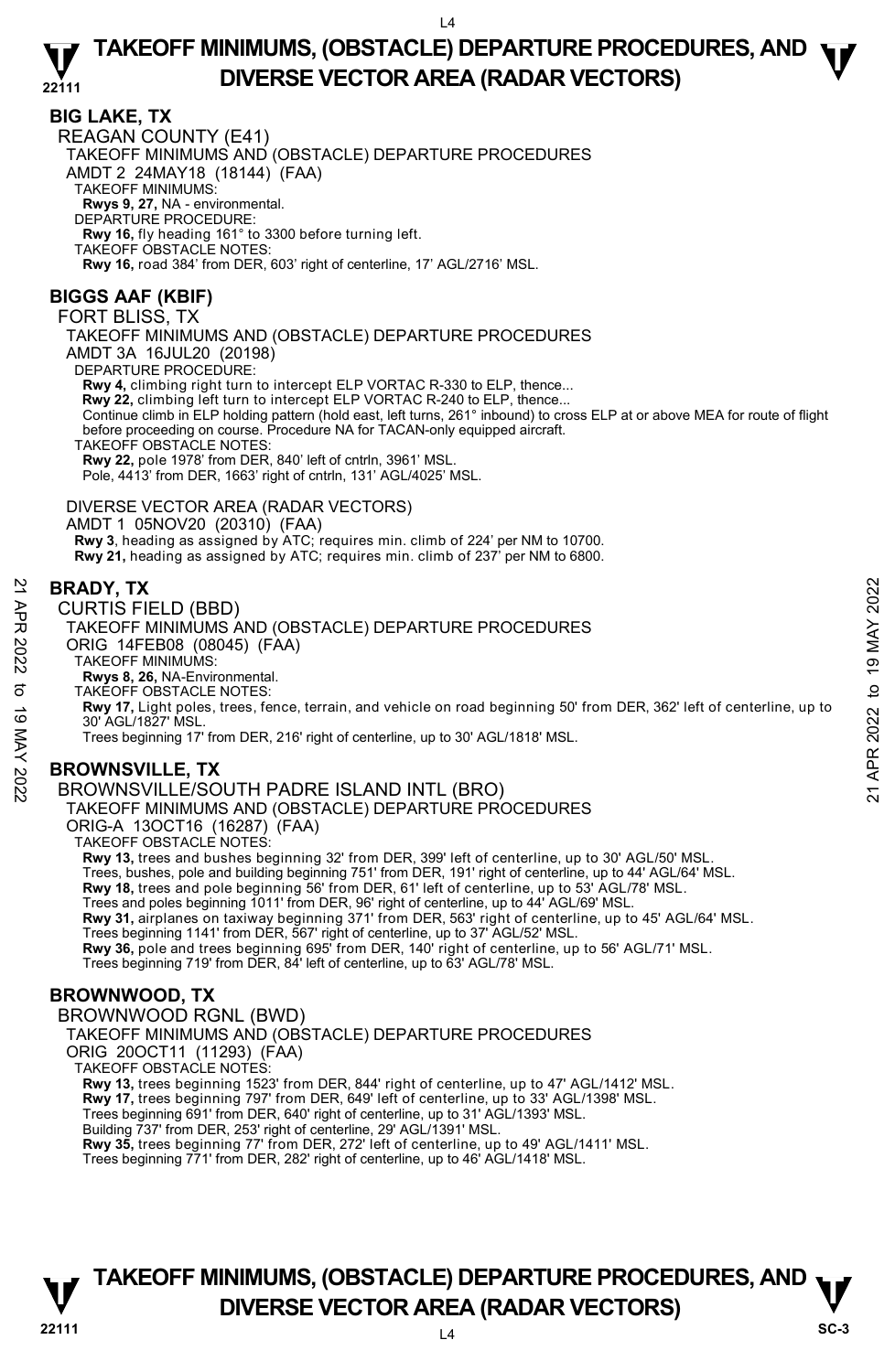## **BIG LAKE, TX**

REAGAN COUNTY (E41) TAKEOFF MINIMUMS AND (OBSTACLE) DEPARTURE PROCEDURES AMDT 2 24MAY18 (18144) (FAA) TAKEOFF MINIMUMS: **Rwys 9, 27,** NA - environmental. DEPARTURE PROCEDURE: **Rwy 16,** fly heading 161° to 3300 before turning left. TAKEOFF OBSTACLE NOTES: **Rwy 16,** road 384' from DER, 603' right of centerline, 17' AGL/2716' MSL.

## **BIGGS AAF (KBIF)**

FORT BLISS, TX

TAKEOFF MINIMUMS AND (OBSTACLE) DEPARTURE PROCEDURES AMDT 3A 16JUL20 (20198)

DEPARTURE PROCEDURE:

**Rwy 4,** climbing right turn to intercept ELP VORTAC R-330 to ELP, thence...

**Rwy 22,** climbing left turn to intercept ELP VORTAC R-240 to ELP, thence...

Continue climb in ELP holding pattern (hold east, left turns, 261° inbound) to cross ELP at or above MEA for route of flight<br>before proceeding on course. Procedure NA for TACAN-only equipped aircraft.

TAKEOFF OBSTACLE NOTES:

**Rwy 22,** pole 1978' from DER, 840' left of cntrln, 3961' MSL.

Pole, 4413' from DER, 1663' right of cntrln, 131' AGL/4025' MSL.

DIVERSE VECTOR AREA (RADAR VECTORS) AMDT 1 05NOV20 (20310) (FAA) Rwy 3, heading as assigned by ATC; requires min. climb of 224' per NM to 10700. **Rwy 21,** heading as assigned by ATC; requires min. climb of 237' per NM to 6800.

### **BRADY, TX**

CURTIS FIELD (BBD)

TAKEOFF MINIMUMS AND (OBSTACLE) DEPARTURE PROCEDURES ORIG 14FEB08 (08045) (FAA)

TAKEOFF MINIMUMS:

**Rwys 8, 26,** NA-Environmental. TAKEOFF OBSTACLE NOTES:

**Rwy 17,** Light poles, trees, fence, terrain, and vehicle on road beginning 50' from DER, 362' left of centerline, up to 30' AGL/1827' MSL. 22 **BRADY, TX**<br>
22 CURTIS FIELD (BBD)<br>
22 TAKEOFF MINIMUMS AND (OBSTACLE) DEPARTURE PROCEDURES<br>
22 ORIG 14FEB08 (08045) (FAA)<br>
22 TAKEOFF MINIMUMS:<br>
TAKEOFF MINIMUMS:<br>
23 TAKEOFF MINIMUMS:<br>
23 TAKEOFF MINIMUMS:<br>
23 TAKEOF

Trees beginning 17' from DER, 216' right of centerline, up to 30' AGL/1818' MSL.

## **BROWNSVILLE, TX**

BROWNSVILLE/SOUTH PADRE ISLAND INTL (BRO) TAKEOFF MINIMUMS AND (OBSTACLE) DEPARTURE PROCEDURES

ORIG-A 13OCT16 (16287) (FAA)

TAKEOFF OBSTACLE NOTES:

**Rwy 13,** trees and bushes beginning 32' from DER, 399' left of centerline, up to 30' AGL/50' MSL.

Trees, bushes, pole and building beginning 751' from DER, 191' right of centerline, up to 44' AGL/64' MSL.<br>**Rwy 18,** trees and pole beginning 56' from DER, 61' left of centerline, up to 53' AGL/78' MSL.

Trees and poles beginning 1011' from DER, 96' right of centerline, up to 44' AGL/69' MSL.

**Rwy 31,** airplanes on taxiway beginning 371' from DER, 563' right of centerline, up to 45' AGL/64' MSL.

Trees beginning 1141' from DER, 567' right of centerline, up to 37' AGL/52' MSL.<br>**Rwy 36,** pole and trees beginning 695' from DER, 140' right of centerline, up to 56' AGL/71' MSL.

Trees beginning 719' from DER, 84' left of centerline, up to 63' AGL/78' MSL.

## **BROWNWOOD, TX**

BROWNWOOD RGNL (BWD)

TAKEOFF MINIMUMS AND (OBSTACLE) DEPARTURE PROCEDURES

ORIG 20OCT11 (11293) (FAA)

TAKEOFF OBSTACLE NOTES:

**Rwy 13,** trees beginning 1523' from DER, 844' right of centerline, up to 47' AGL/1412' MSL.<br>**Rwy 17,** trees beginning 797' from DER, 649' left of centerline, up to 33' AGL/1398' MSL.

Trees beginning 691' from DER, 640' right of centerline, up to 31' AGL/1393' MSL.

Building 737' from DER, 253' right of centerline, 29' AGL/1391' MSL.

**Rwy 35,** trees beginning 77' from DER, 272' left of centerline, up to 49' AGL/1411' MSL.

Trees beginning 771' from DER, 282' right of centerline, up to 46' AGL/1418' MSL.

## **TAKEOFF MINIMUMS, (OBSTACLE) DEPARTURE PROCEDURES, AND**  $\nabla$ **<br>DIVERSE VECTOR AREA (RADAR VECTORS) DIVERSE VECTOR AREA (RADAR VECTORS)**  $\frac{V}{\text{SC-3}}$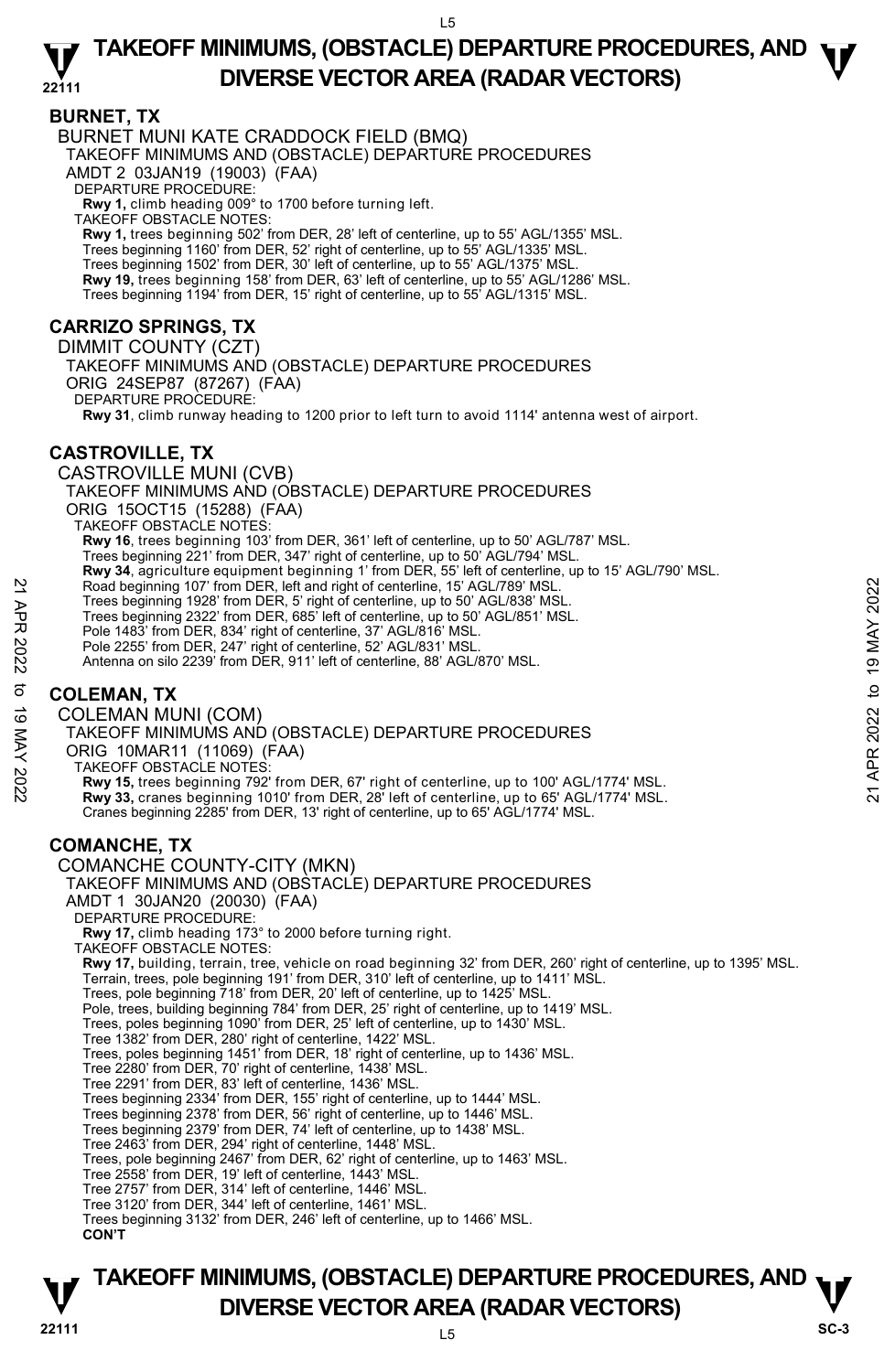#### **BURNET, TX**

BURNET MUNI KATE CRADDOCK FIELD (BMQ) TAKEOFF MINIMUMS AND (OBSTACLE) DEPARTURE PROCEDURES AMDT 2 03JAN19 (19003) (FAA) DEPARTURE PROCEDURE: **Rwy 1,** climb heading 009° to 1700 before turning left. TAKEOFF OBSTACLE NOTES: **Rwy 1,** trees beginning 502' from DER, 28' left of centerline, up to 55' AGL/1355' MSL. Trees beginning 1160' from DER, 52' right of centerline, up to 55' AGL/1335' MSL. Trees beginning 1502' from DER, 30' left of centerline, up to 55' AGL/1375' MSL. **Rwy 19,** trees beginning 158' from DER, 63' left of centerline, up to 55' AGL/1286' MSL. Trees beginning 1194' from DER, 15' right of centerline, up to 55' AGL/1315' MSL. **CARRIZO SPRINGS, TX**  DIMMIT COUNTY (CZT) TAKEOFF MINIMUMS AND (OBSTACLE) DEPARTURE PROCEDURES

ORIG 24SEP87 (87267) (FAA) DEPARTURE PROCEDURE:

**Rwy 31**, climb runway heading to 1200 prior to left turn to avoid 1114' antenna west of airport.

## **CASTROVILLE, TX**

CASTROVILLE MUNI (CVB) TAKEOFF MINIMUMS AND (OBSTACLE) DEPARTURE PROCEDURES ORIG 15OCT15 (15288) (FAA) TAKEOFF OBSTACLE NOTES: **Rwy 16**, trees beginning 103' from DER, 361' left of centerline, up to 50' AGL/787' MSL. Trees beginning 221' from DER, 347' right of centerline, up to 50' AGL/794' MSL. **Rwy 34**, agriculture equipment beginning 1' from DER, 55' left of centerline, up to 15' AGL/790' MSL. Road beginning 107' from DER, left and right of centerline, 15' AGL/789' MSL. Trees beginning 1928' from DER, 5' right of centerline, up to 50' AGL/838' MSL. Trees beginning 2322' from DER, 685' left of centerline, up to 50' AGL/851' MSL. Pole 1483' from DER, 834' right of centerline, 37' AGL/816' MSL. Pole 2255' from DER, 247' right of centerline, 52' AGL/831' MSL.

Antenna on silo 2239' from DER, 911' left of centerline, 88' AGL/870' MSL.

## **COLEMAN, TX**

COLEMAN MUNI (COM) TAKEOFF MINIMUMS AND (OBSTACLE) DEPARTURE PROCEDURES ORIG 10MAR11 (11069) (FAA) TAKEOFF OBSTACLE NOTES: **Rwy 15,** trees beginning 792' from DER, 67' right of centerline, up to 100' AGL/1774' MSL. **Rwy 33,** cranes beginning 1010' from DER, 28' left of centerline, up to 65' AGL/1774' MSL. Cranes beginning 2285' from DER, 13' right of centerline, up to 65' AGL/1774' MSL. **COMANCHE, TX**  COMANCHE COUNTY-CITY (MKN) TAKEOFF MINIMUMS AND (OBSTACLE) DEPARTURE PROCEDURES AMDT 1 30JAN20 (20030) (FAA) DEPARTURE PROCEDURE: **Rwy 17,** climb heading 173° to 2000 before turning right. TAKEOFF OBSTACLE NOTES: **Rwy 17,** building, terrain, tree, vehicle on road beginning 32' from DER, 260' right of centerline, up to 1395' MSL. Terrain, trees, pole beginning 191' from DER, 310' left of centerline, up to 1411' MSL. Trees, pole beginning 718' from DER, 20' left of centerline, up to 1425' MSL. Pole, trees, building beginning 784' from DER, 25' right of centerline, up to 1419' MSL. Trees, poles beginning 1090' from DER, 25' left of centerline, up to 1430' MSL. Tree 1382' from DER, 280' right of centerline, 1422' MSL. Trees, poles beginning 1451' from DER, 18' right of centerline, up to 1436' MSL. Tree 2280' from DER, 70' right of centerline, 1438' MSL. Tree 2291' from DER, 83' left of centerline, 1436' MSL. Trees beginning 2334' from DER, 155' right of centerline, up to 1444' MSL. Trees beginning 2378' from DER, 56' right of centerline, up to 1446' MSL. Trees beginning 2379' from DER, 74' left of centerline, up to 1438' MSL. Tree 2463' from DER, 294' right of centerline, 1448' MSL. Trees, pole beginning 2467' from DER, 62' right of centerline, up to 1463' MSL. Tree 2558' from DER, 19' left of centerline, 1443' MSL. Tree 2757' from DER, 314' left of centerline, 1446' MSL. Tree 3120' from DER, 344' left of centerline, 1461' MSL. Trees beginning 3132' from DER, 246' left of centerline, up to 1466' MSL. Road beginning 107' from DER, left and right of centerline, 15' AGL/789' MSL.<br>
Trees beginning 1922' from DER, 6' right of centerline, up to 50' AGL/838' MSL.<br>
Trees beginning 2322' from DER, 6' right of centerline, up to

**CON'T** 

## **22111** L5 **TAKEOFF MINIMUMS, (OBSTACLE) DEPARTURE PROCEDURES, AND**  $\nabla$ **<br>DIVERSE VECTOR AREA (RADAR VECTORS) DIVERSE VECTOR AREA (RADAR VECTORS)** SC-3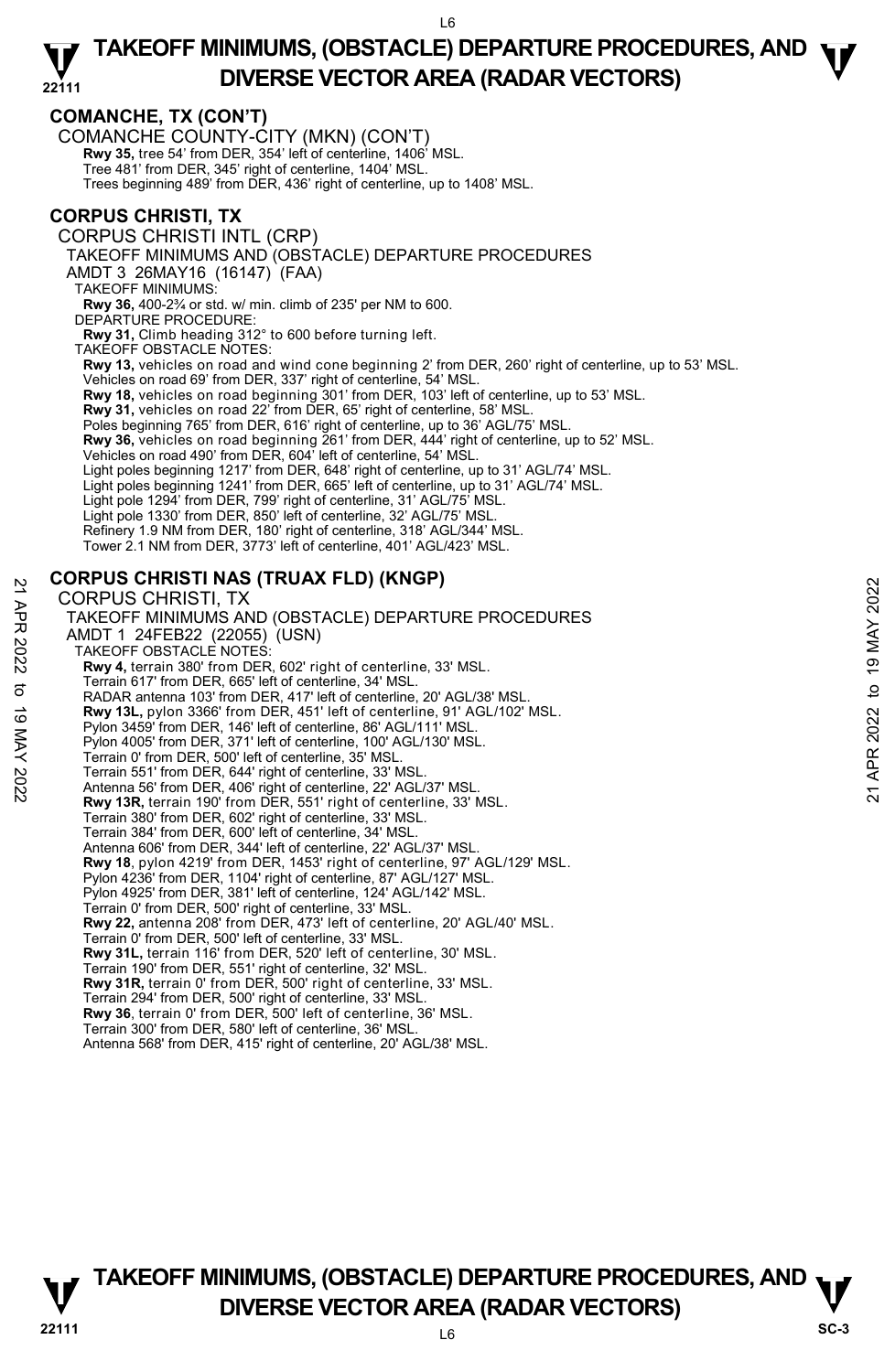## **COMANCHE, TX (CON'T)**

COMANCHE COUNTY-CITY (MKN) (CON'T) **Rwy 35,** tree 54' from DER, 354' left of centerline, 1406' MSL. Tree 481' from DER, 345' right of centerline, 1404' MSL. Trees beginning 489' from DER, 436' right of centerline, up to 1408' MSL.

## **CORPUS CHRISTI, TX**

CORPUS CHRISTI INTL (CRP)

TAKEOFF MINIMUMS AND (OBSTACLE) DEPARTURE PROCEDURES

AMDT 3 26MAY16 (16147) (FAA)

TAKEOFF MINIMUMS:

**Rwy 36,** 400-2¾ or std. w/ min. climb of 235' per NM to 600. DEPARTURE PROCEDURE:

**Rwy 31,** Climb heading 312° to 600 before turning left.

TAKEOFF OBSTACLE NOTES:

**Rwy 13,** vehicles on road and wind cone beginning 2' from DER, 260' right of centerline, up to 53' MSL.

Vehicles on road 69' from DER, 337' right of centerline, 54' MSL.

**Rwy 18,** vehicles on road beginning 301' from DER, 103' left of centerline, up to 53' MSL.

**Rwy 31,** vehicles on road 22' from DER, 65' right of centerline, 58' MSL.

Poles beginning 765' from DER, 616' right of centerline, up to 36' AGL/75' MSL.

Rwy 36, vehicles on road beginning 261' from DER, 444' right of centerline, up to 52' MSL.

Vehicles on road 490' from DER, 604' left of centerline, 54' MSL.

Light poles beginning 1217' from DER, 648' right of centerline, up to 31' AGL/74' MSL.

Light poles beginning 1241' from DER, 665' left of centerline, up to 31' AGL/74' MSL.

Light pole 1294' from DER, 799' right of centerline, 31' AGL/75' MSL.

Light pole 1330' from DER, 850' left of centerline, 32' AGL/75' MSL.

Refinery 1.9 NM from DER, 180' right of centerline, 318' AGL/344' MSL.

Tower 2.1 NM from DER, 3773' left of centerline, 401' AGL/423' MSL.

## **CORPUS CHRISTI NAS (TRUAX FLD) (KNGP)**

CORPUS CHRISTI, TX TAKEOFF MINIMUMS AND (OBSTACLE) DEPARTURE PROCEDURES AMDT 1 24FEB22 (22055) (USN) TAKEOFF OBSTACLE NOTES: **Rwy 4,** terrain 380' from DER, 602' right of centerline, 33' MSL. Terrain 617' from DER, 665' left of centerline, 34' MSL. RADAR antenna 103' from DER, 417' left of centerline, 20' AGL/38' MSL. **Rwy 13L,** pylon 3366' from DER, 451' left of centerline, 91' AGL/102' MSL. Pylon 3459' from DER, 146' left of centerline, 86' AGL/111' MSL. Pylon 4005' from DER, 371' left of centerline, 100' AGL/130' MSL. Terrain 0' from DER, 500' left of centerline, 35' MSL. Terrain 551' from DER, 644' right of centerline, 33' MSL. Antenna 56' from DER, 406' right of centerline, 22' AGL/37' MSL. **Rwy 13R,** terrain 190' from DER, 551' right of centerline, 33' MSL. Terrain 380' from DER, 602' right of centerline, 33' MSL. Terrain 384' from DER, 600' left of centerline, 34' MSL. Antenna 606' from DER, 344' left of centerline, 22' AGL/37' MSL. **Rwy 18**, pylon 4219' from DER, 1453' right of centerline, 97' AGL/129' MSL. Pylon 4236' from DER, 1104' right of centerline, 87' AGL/127' MSL. Pylon 4925' from DER, 381' left of centerline, 124' AGL/142' MSL. Terrain 0' from DER, 500' right of centerline, 33' MSL. **Rwy 22,** antenna 208' from DER, 473' left of centerline, 20' AGL/40' MSL. Terrain 0' from DER, 500' left of centerline, 33' MSL. **Rwy 31L,** terrain 116' from DER, 520' left of centerline, 30' MSL. Terrain 190' from DER, 551' right of centerline, 32' MSL. **Rwy 31R,** terrain 0' from DER, 500' right of centerline, 33' MSL. Terrain 294' from DER, 500' right of centerline, 33' MSL. **Rwy 36**, terrain 0' from DER, 500' left of centerline, 36' MSL. Terrain 300' from DER, 580' left of centerline, 36' MSL. Antenna 568' from DER, 415' right of centerline, 20' AGL/38' MSL. CORPUS CHRISTI, TX<br>
22 TAKEOFF MINIMUMS AND (OBSTACLE) DEPARTURE PROCEDURES<br>
22 TAKEOFF MINIMUMS AND (OBSTACLE) DEPARTURE PROCEDURES<br>
22 TAKEOFF OBSTACLE NOTES:<br>
22 TAKEOFF OBSTACLE NOTES:<br>
23 TAKEOFF OBSTACLE NOTES:<br>
23

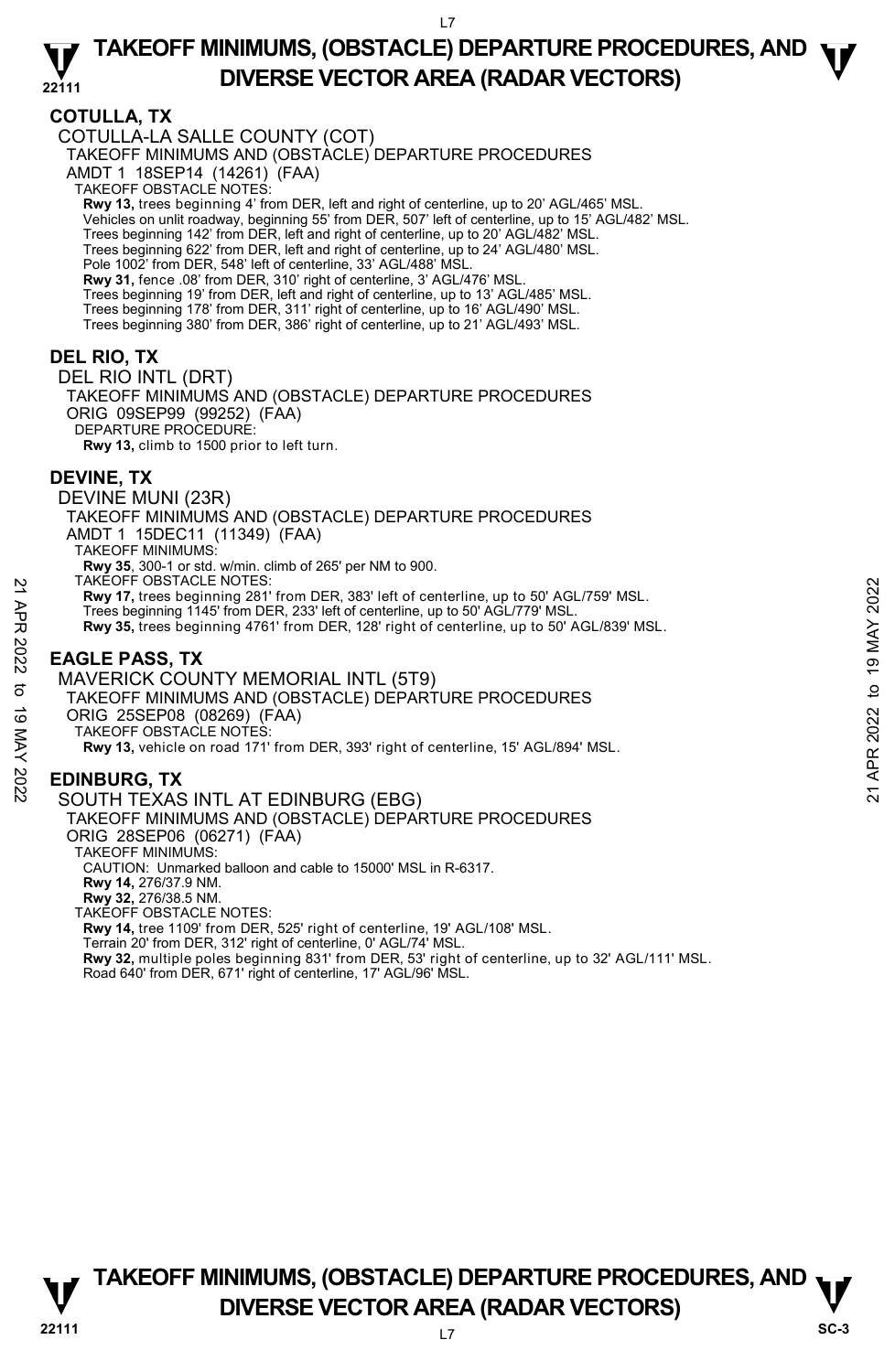## **COTULLA, TX**

COTULLA-LA SALLE COUNTY (COT) TAKEOFF MINIMUMS AND (OBSTACLE) DEPARTURE PROCEDURES AMDT 1 18SEP14 (14261) (FAA) TAKEOFF OBSTACLE NOTES: **Rwy 13,** trees beginning 4' from DER, left and right of centerline, up to 20' AGL/465' MSL.<br>Vehicles on unlit roadway, beginning 55' from DER, 507' left of centerline, up to 15' AGL/482' MSL. Trees beginning 142' from DER, left and right of centerline, up to 20' AGL/482' MSL. Trees beginning 622' from DER, left and right of centerline, up to 24' AGL/480' MSL. Pole 1002' from DER, 548' left of centerline, 33' AGL/488' MS **Rwy 31,** fence .08' from DER, 310' right of centerline, 3' AGL/476' MSL. Trees beginning 19' from DER, left and right of centerline, up to 13' AGL/485' MSL. Trees beginning 178' from DER, 311' right of centerline, up to 16' AGL/490' MSL. Trees beginning 380' from DER, 386' right of centerline, up to 21' AGL/493' MSL. **DEL RIO, TX**  DEL RIO INTL (DRT) TAKEOFF MINIMUMS AND (OBSTACLE) DEPARTURE PROCEDURES ORIG 09SEP99 (99252) (FAA) DEPARTURE PROCEDURE: **Rwy 13,** climb to 1500 prior to left turn. **DEVINE, TX**  DEVINE MUNI (23R) TAKEOFF MINIMUMS AND (OBSTACLE) DEPARTURE PROCEDURES AMDT 1 15DEC11 (11349) (FAA) TAKEOFF MINIMUMS: **Rwy 35**, 300-1 or std. w/min. climb of 265' per NM to 900. TAKEOFF OBSTACLE NOTES: **Rwy 17,** trees beginning 281' from DER, 383' left of centerline, up to 50' AGL/759' MSL. Trees beginning 1145' from DER, 233' left of centerline, up to 50' AGL/779' MSL. **Rwy 35,** trees beginning 4761' from DER, 128' right of centerline, up to 50' AGL/839' MSL. **EAGLE PASS, TX**  MAVERICK COUNTY MEMORIAL INTL (5T9) TAKEOFF MINIMUMS AND (OBSTACLE) DEPARTURE PROCEDURES ORIG 25SEP08 (08269) (FAA) TAKEOFF OBSTACLE NOTES: PARCOFF OBSTACLE NOTES:<br>
22 These beginning 1145' from DER, 383' left of centerline, up to 50' AGL/759' MSL.<br>
Trees beginning 1145' from DER, 233' left of centerline, up to 50' AGL/839' MSL.<br>
22 The set beginning 4761' fr

**Rwy 13,** vehicle on road 171' from DER, 393' right of centerline, 15' AGL/894' MSL.

## **EDINBURG, TX**

## SOUTH TEXAS INTL AT EDINBURG (EBG)

TAKEOFF MINIMUMS AND (OBSTACLE) DEPARTURE PROCEDURES ORIG 28SEP06 (06271) (FAA) TAKEOFF MINIMUMS: CAUTION: Unmarked balloon and cable to 15000' MSL in R-6317. **Rwy 14,** 276/37.9 NM. **Rwy 32,** 276/38.5 NM. TAKEOFF OBSTACLE NOTES: **Rwy 14,** tree 1109' from DER, 525' right of centerline, 19' AGL/108' MSL. Terrain 20' from DER, 312' right of centerline, 0' AGL/74' MSL. **Rwy 32,** multiple poles beginning 831' from DER, 53' right of centerline, up to 32' AGL/111' MSL. Road 640' from DER, 671' right of centerline, 17' AGL/96' MSL.

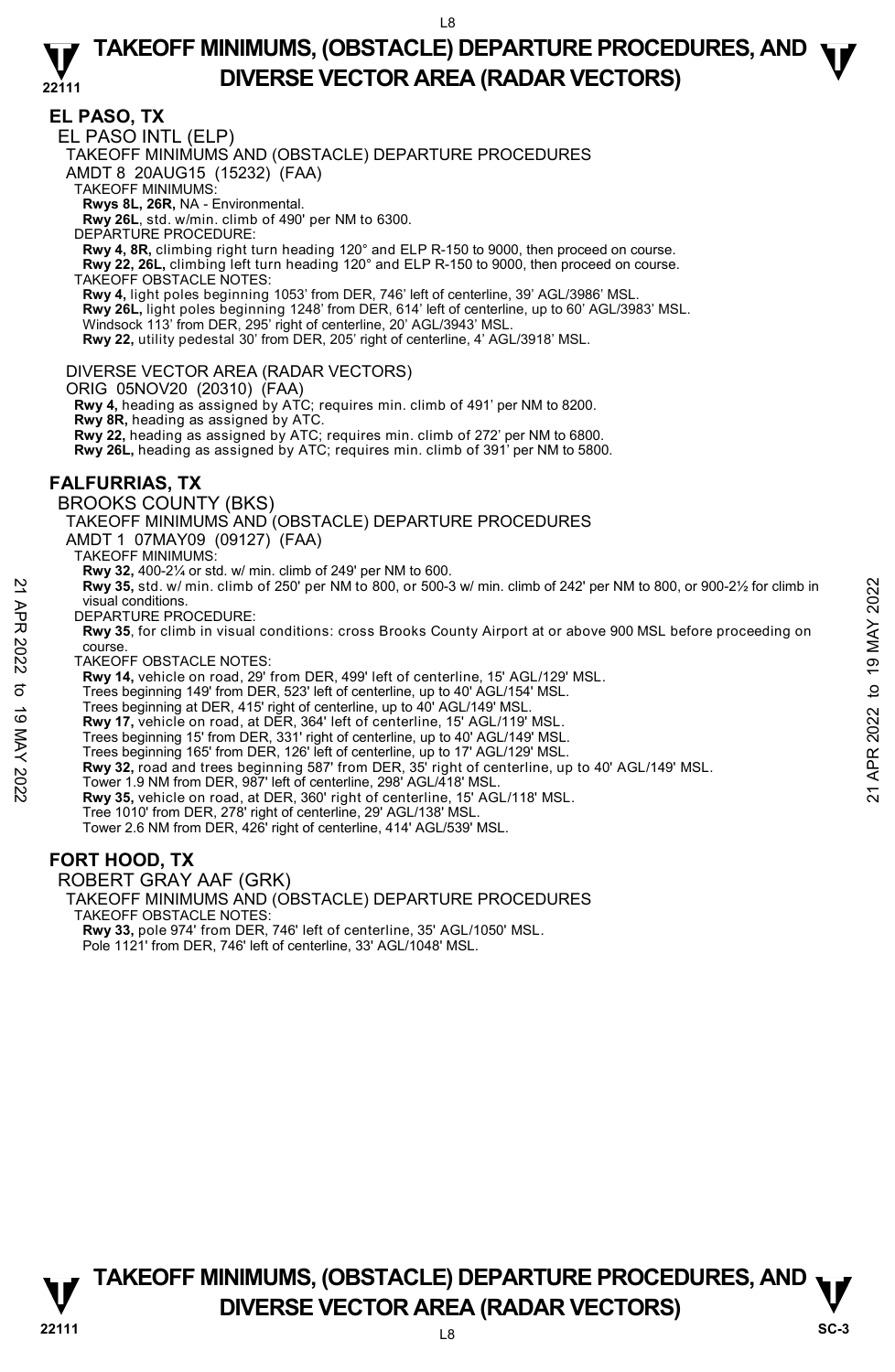**EL PASO, TX**  EL PASO INTL (ELP) TAKEOFF MINIMUMS AND (OBSTACLE) DEPARTURE PROCEDURES AMDT 8 20AUG15 (15232) (FAA) TAKEOFF MINIMUMS: **Rwys 8L, 26R,** NA - Environmental. **Rwy 26L**, std. w/min. climb of 490' per NM to 6300. DEPARTURE PROCEDURE: **Rwy 4, 8R,** climbing right turn heading 120° and ELP R-150 to 9000, then proceed on course. **Rwy 22, 26L,** climbing left turn heading 120° and ELP R-150 to 9000, then proceed on course. TAKEOFF OBSTACLE NOTES: **Rwy 4,** light poles beginning 1053' from DER, 746' left of centerline, 39' AGL/3986' MSL. **Rwy 26L,** light poles beginning 1248' from DER, 614' left of centerline, up to 60' AGL/3983' MSL.<br>Windsock 113' from DER, 295' right of centerline, 20' AGL/3943' MSL. **Rwy 22,** utility pedestal 30' from DER, 205' right of centerline, 4' AGL/3918' MSL. DIVERSE VECTOR AREA (RADAR VECTORS) ORIG 05NOV20 (20310) (FAA) **Rwy 4,** heading as assigned by ATC; requires min. climb of 491' per NM to 8200. **Rwy 8R,** heading as assigned by ATC. **Rwy 22,** heading as assigned by ATC; requires min. climb of 272' per NM to 6800. **Rwy 26L,** heading as assigned by ATC; requires min. climb of 391' per NM to 5800. **FALFURRIAS, TX**  BROOKS COUNTY (BKS) TAKEOFF MINIMUMS AND (OBSTACLE) DEPARTURE PROCEDURES AMDT 1 07MAY09 (09127) (FAA) TAKEOFF MINIMUMS: **Rwy 32,** 400-2¼ or std. w/ min. climb of 249' per NM to 600. **Rwy 35,** std. w/ min. climb of 250' per NM to 800, or 500-3 w/ min. climb of 242' per NM to 800, or 900-2½ for climb in visual conditions. DEPARTURE PROCEDURE: **Rwy 35**, for climb in visual conditions: cross Brooks County Airport at or above 900 MSL before proceeding on course. TAKEOFF OBSTACLE NOTES: **Rwy 14,** vehicle on road, 29' from DER, 499' left of centerline, 15' AGL/129' MSL. Trees beginning 149' from DER, 523' left of centerline, up to 40' AGL/154' MSL. Trees beginning at DER, 415' right of centerline, up to 40' AGL/149' MSL. **Rwy 17,** vehicle on road, at DER, 364' left of centerline, 15' AGL/119' MSL.<br>Trees beginning 15' from DER, 331' right of centerline, up to 40' AGL/149' MSL. Trees beginning 165' from DER, 126' left of centerline, up to 17' AGL/129' MSL. **Example 10**<br>
With Subset of the Subsetted Tree September 2013 with the Subsetted on the Subsetted Control of 242<br>
DEPARTURE PROCEDURE:<br>
The DEPARTURE PROCEDURE:<br> **Example 149** for climb in visual conditions: cross Brooks **Rwy 35,** vehicle on road, at DER, 360' right of centerline, 15' AGL/118' MSL. Tree 1010' from DER, 278' right of centerline, 29' AGL/138' MSL. Tower 2.6 NM from DER, 426' right of centerline, 414' AGL/539' MSL. **FORT HOOD, TX** 

ROBERT GRAY AAF (GRK)

TAKEOFF MINIMUMS AND (OBSTACLE) DEPARTURE PROCEDURES

TAKEOFF OBSTACLE NOTES:

**Rwy 33,** pole 974' from DER, 746' left of centerline, 35' AGL/1050' MSL. Pole 1121' from DER, 746' left of centerline, 33' AGL/1048' MSL.

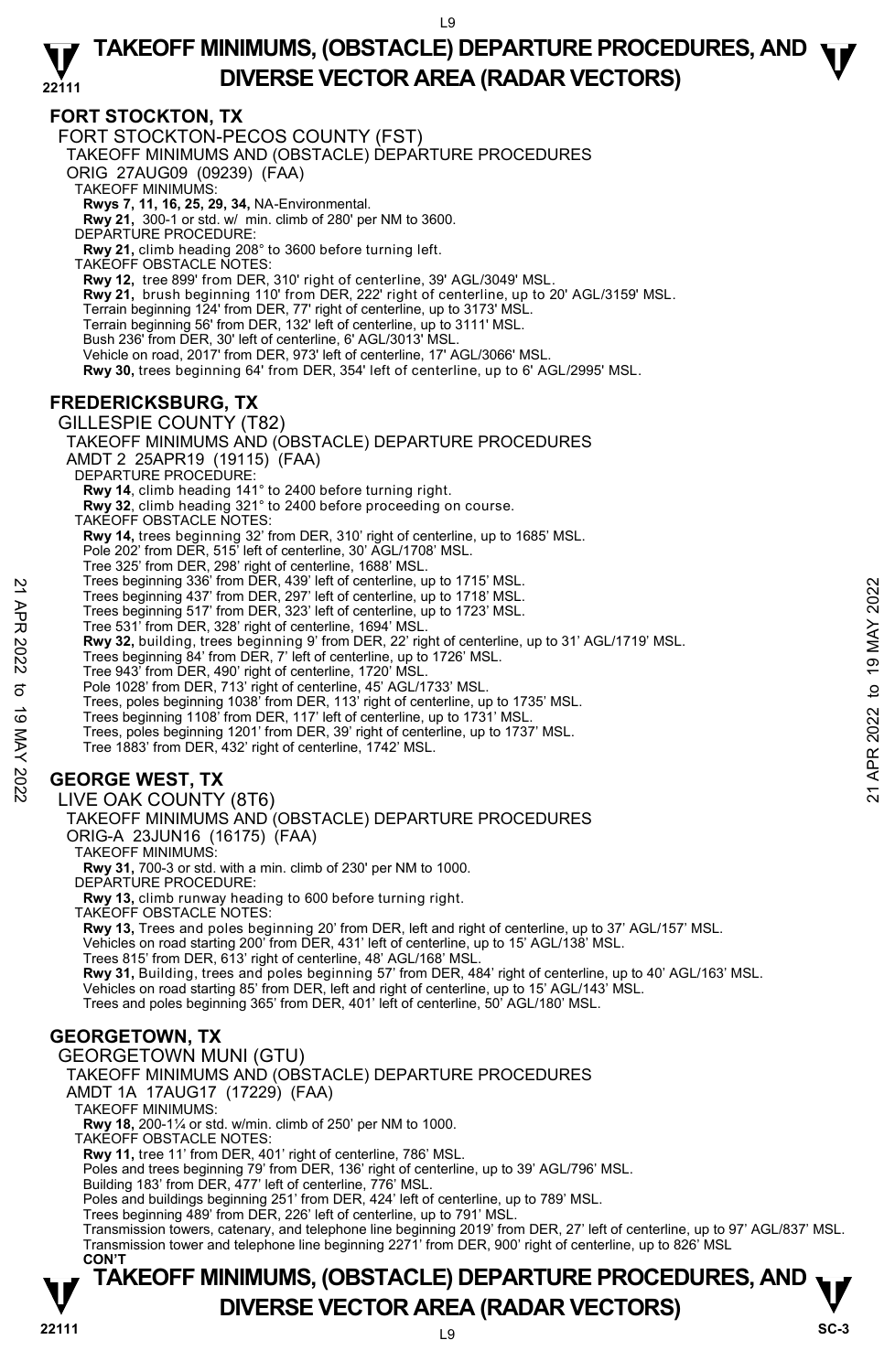## **FORT STOCKTON, TX**

FORT STOCKTON-PECOS COUNTY (FST) TAKEOFF MINIMUMS AND (OBSTACLE) DEPARTURE PROCEDURES ORIG 27AUG09 (09239) (FAA) TAKEOFF MINIMUMS: **Rwys 7, 11, 16, 25, 29, 34,** NA-Environmental. **Rwy 21,** 300-1 or std. w/ min. climb of 280' per NM to 3600. DEPARTURE PROCEDURE: **Rwy 21,** climb heading 208° to 3600 before turning left. TAKEOFF OBSTACLE NOTES: **Rwy 12,** tree 899' from DER, 310' right of centerline, 39' AGL/3049' MSL. **Rwy 21,** brush beginning 110' from DER, 222' right of centerline, up to 20' AGL/3159' MSL. Terrain beginning 124' from DER, 77' right of centerline, up to 3173' MSL. Terrain beginning 56' from DER, 132' left of centerline, up to 3111' MSL. Bush 236' from DER, 30' left of centerline, 6' AGL/3013' MSL. Vehicle on road, 2017' from DER, 973' left of centerline, 17' AGL/3066' MSL. **Rwy 30,** trees beginning 64' from DER, 354' left of centerline, up to 6' AGL/2995' MSL.

## **FREDERICKSBURG, TX**

GILLESPIE COUNTY (T82) TAKEOFF MINIMUMS AND (OBSTACLE) DEPARTURE PROCEDURES AMDT 2 25APR19 (19115) (FAA) DEPARTURE PROCEDURE: **Rwy 14**, climb heading 141° to 2400 before turning right. **Rwy 32**, climb heading 321° to 2400 before proceeding on course. TAKEOFF OBSTACLE NOTES: **Rwy 14,** trees beginning 32' from DER, 310' right of centerline, up to 1685' MSL. Pole 202' from DER, 515' left of centerline, 30' AGL/1708' MSL. Tree 325' from DER, 298' right of centerline, 1688' MSL. Trees beginning 336' from DER, 439' left of centerline, up to 1715' MSL. Trees beginning 437' from DER, 297' left of centerline, up to 1718' MSL. Trees beginning 517' from DER, 323' left of centerline, up to 1723' MSL. Tree 531' from DER, 328' right of centerline, 1694' MSL. **Rwy 32,** building, trees beginning 9' from DER, 22' right of centerline, up to 31' AGL/1719' MSL. Trees beginning 84' from DER, 7' left of centerline, up to 1726' MSL. Tree 943' from DER, 490' right of centerline, 1720' MSL. Pole 1028' from DER, 713' right of centerline, 45' AGL/1733' MSL. Trees, poles beginning 1038' from DER, 113' right of centerline, up to 1735' MSL. Trees beginning 1108' from DER, 117' left of centerline, up to 1731' MSL. Trees, poles beginning 1201' from DER, 39' right of centerline, up to 1737' MSL. Tree 1883' from DER, 432' right of centerline, 1742' MSL. **GEORGE WEST, TX**  LIVE OAK COUNTY (8T6) TAKEOFF MINIMUMS AND (OBSTACLE) DEPARTURE PROCEDURES ORIG-A 23JUN16 (16175) (FAA) TAKEOFF MINIMUMS: **Rwy 31,** 700-3 or std. with a min. climb of 230' per NM to 1000. DEPARTURE PROCEDURE: **Rwy 13,** climb runway heading to 600 before turning right. TAKEOFF OBSTACLE NOTES: **Rwy 13,** Trees and poles beginning 20' from DER, left and right of centerline, up to 37' AGL/157' MSL.<br>Vehicles on road starting 200' from DER, 431' left of centerline, up to 15' AGL/138' MSL. Trees 815' from DER, 613' right of centerline, 48' AGL/168' MSL. **Rwy 31,** Building, trees and poles beginning 57' from DER, 484' right of centerline, up to 40' AGL/163' MSL.<br>Vehicles on road starting 85' from DER, left and right of centerline, up to 15' AGL/143' MSL. Trees and poles beginning 365' from DER, 401' left of centerline, 50' AGL/180' MSL. **GEORGETOWN, TX**  GEORGETOWN MUNI (GTU) TAKEOFF MINIMUMS AND (OBSTACLE) DEPARTURE PROCEDURES AMDT 1A 17AUG17 (17229) (FAA) TAKEOFF MINIMUMS: **Rwy 18,** 200-1¼ or std. w/min. climb of 250' per NM to 1000. TAKEOFF OBSTACLE NOTES: **Rwy 11,** tree 11' from DER, 401' right of centerline, 786' MSL. Poles and trees beginning 79' from DER, 136' right of centerline, up to 39' AGL/796' MSL. Building 183' from DER, 477' left of centerline, 776' MSL. Poles and buildings beginning 251' from DER, 424' left of centerline, up to 789' MSL. Trees beginning 489' from DER, 226' left of centerline, up to 791' MSL. Transmission towers, catenary, and telephone line beginning 2019' from DER, 27' left of centerline, up to 97' AGL/837' MSL.<br>Transmission tower and telephone line beginning 2271' from DER, 900' right of centerline, up to 82 Trees beginning 336' from DER, 439' lett of centerline, up to 1718' MSL.<br>
Trees beginning 517' from DER, 297' left of centerline, up to 1718' MSL.<br>
Trees beginning 517' from DER, 323' left of centerline, up to 1718' MSL.<br>

## **TAKEOFF MINIMUMS, (OBSTACLE) DEPARTURE PROCEDURES, AND**  $\nabla$ **<br>DIVERSE VECTOR AREA (RADAR VECTORS) DIVERSE VECTOR AREA (RADAR VECTORS)** SC-3 **CON'T**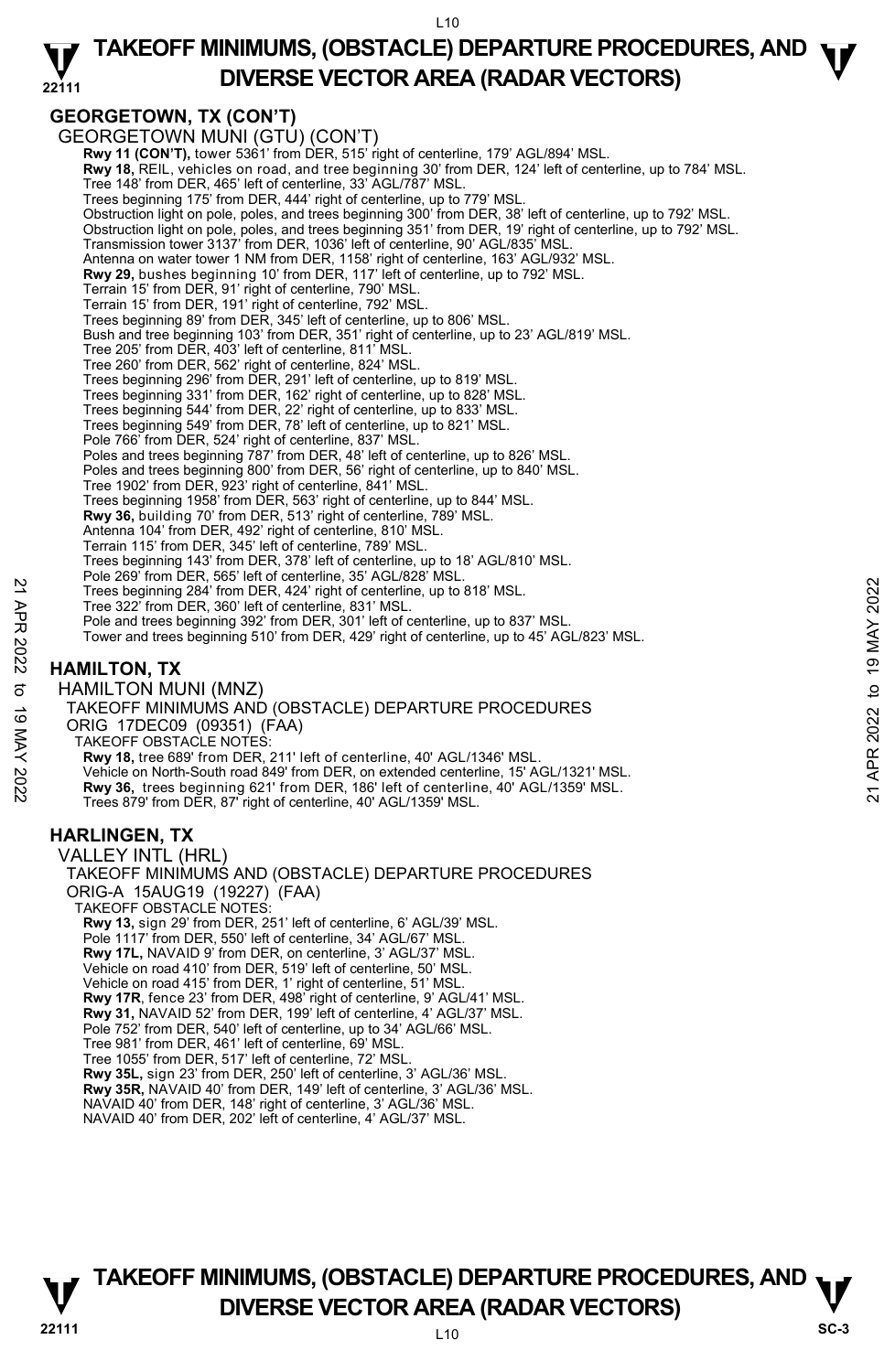#### **22111 TAKEOFF MINIMUMS, (OBSTACLE) DEPARTURE PROCEDURES, AND**  $\Psi$ **DIVERSE VECTOR AREA (RADAR VECTORS)**

## **GEORGETOWN, TX (CON'T)**

GEORGETOWN MUNI (GTU) (CON'T) **Rwy 11 (CON'T),** tower 5361' from DER, 515' right of centerline, 179' AGL/894' MSL. **Rwy 18,** REIL, vehicles on road, and tree beginning 30' from DER, 124' left of centerline, up to 784' MSL. Tree 148' from DER, 465' left of centerline, 33' AGL/787' MSL. Trees beginning 175' from DER, 444' right of centerline, up to 779' MSL. Obstruction light on pole, poles, and trees beginning 300' from DER, 38' left of centerline, up to 792' MSL. Obstruction light on pole, poles, and trees beginning 351' from DER, 19' right of centerline, up to 792' MSL.<br>Transmission tower 3137' from DER, 1036' left of centerline, 90' AGL/835' MSL. Antenna on water tower 1 NM from DER, 1158' right of centerline, 163' AGL/932' MSL. **Rwy 29,** bushes beginning 10' from DER, 117' left of centerline, up to 792' MSL. Terrain 15' from DER, 91' right of centerline, 790' MSL. Terrain 15' from DER, 191' right of centerline, 792' MSL. Trees beginning 89' from DER, 345' left of centerline, up to 806' MSL. Bush and tree beginning 103' from DER, 351' right of centerline, up to 23' AGL/819' MSL. Tree 205' from DER, 403' left of centerline, 811' MSL. Tree 260' from DER, 562' right of centerline, 824' MSL. Trees beginning 296' from DER, 291' left of centerline, up to 819' MSL. Trees beginning 331' from DER, 162' right of centerline, up to 828' MSL. Trees beginning 544' from DER, 22' right of centerline, up to 833' MSL. Trees beginning 549' from DER, 78' left of centerline, up to 821' MSL. Pole 766' from DER, 524' right of centerline, 837' MSL. Poles and trees beginning 787' from DER, 48' left of centerline, up to 826' MSL. Poles and trees beginning 800' from DER, 56' right of centerline, up to 840' MSL. Tree 1902' from DER, 923' right of centerline, 841' MSL. Trees beginning 1958' from DER, 563' right of centerline, up to 844' MSL. **Rwy 36,** building 70' from DER, 513' right of centerline, 789' MSL. Antenna 104' from DER, 492' right of centerline, 810' MSL. Terrain 115' from DER, 345' left of centerline, 789' MSL. Trees beginning 143' from DER, 378' left of centerline, up to 18' AGL/810' MSL. Pole 269' from DER, 565' left of centerline, 35' AGL/828' MSL. Trees beginning 284' from DER, 424' right of centerline, up to 818' MSL. Tree 322' from DER, 360' left of centerline, 831' MSL. Pole and trees beginning 392' from DER, 301' left of centerline, up to 837' MSL. Tower and trees beginning 510' from DER, 429' right of centerline, up to 45' AGL/823' MSL. **HAMILTON, TX**  HAMILTON MUNI (MNZ) TAKEOFF MINIMUMS AND (OBSTACLE) DEPARTURE PROCEDURES ORIG 17DEC09 (09351) (FAA) TAKEOFF OBSTACLE NOTES: **Rwy 18,** tree 689' from DER, 211' left of centerline, 40' AGL/1346' MSL. Vehicle on North-South road 849' from DER, on extended centerline, 15' AGL/1321' MSL. **Rwy 36,** trees beginning 621' from DER, 186' left of centerline, 40' AGL/1359' MSL. Trees 879' from DER, 87' right of centerline, 40' AGL/1359' MSL. **HARLINGEN, TX**  VALLEY INTL (HRL) TAKEOFF MINIMUMS AND (OBSTACLE) DEPARTURE PROCEDURES ORIG-A 15AUG19 (19227) (FAA) TAKEOFF OBSTACLE NOTES: **Rwy 13,** sign 29' from DER, 251' left of centerline, 6' AGL/39' MSL. Pole 1117' from DER, 550' left of centerline, 34' AGL/67' MSL. **Rwy 17L,** NAVAID 9' from DER, on centerline, 3' AGL/37' MSL. Vehicle on road 410' from DER, 519' left of centerline, 50' MSL. Vehicle on road 415' from DER, 1' right of centerline, 51' MSL.<br>**Rwy 17R**, fence 23' from DER, 498' right of centerline, 9' AGL/41' MSL. **Rwy 31,** NAVAID 52' from DER, 199' left of centerline, 4' AGL/37' MSL. Pole 752' from DER, 540' left of centerline, up to 34' AGL/66' MSL. Tree 981' from DER, 461' left of centerline, 69' MSL. Tree 1055' from DER, 517' left of centerline, 72' MSL. **Rwy 35L,** sign 23' from DER, 250' left of centerline, 3' AGL/36' MSL. **Rwy 35R,** NAVAID 40' from DER, 149' left of centerline, 3' AGL/36' MSL. NAVAID 40' from DER, 148' right of centerline, 3' AGL/36' MSL. Trees beginning 284' from DER, 424' right of centerline, up to 818' MSL.<br>
Trees beginning 284' from DER, 424' right of centerline, up to 818' MSL.<br>
The 322' from DER, 30' left of centerline, up to 837' MSL.<br>
Tower and tree

NAVAID 40' from DER, 202' left of centerline, 4' AGL/37' MSL.

# **TAKEOFF MINIMUMS, (OBSTACLE) DEPARTURE PROCEDURES, AND**  $\nabla$ **<br>DIVERSE VECTOR AREA (RADAR VECTORS) DIVERSE VECTOR AREA (RADAR VECTORS)** SC-3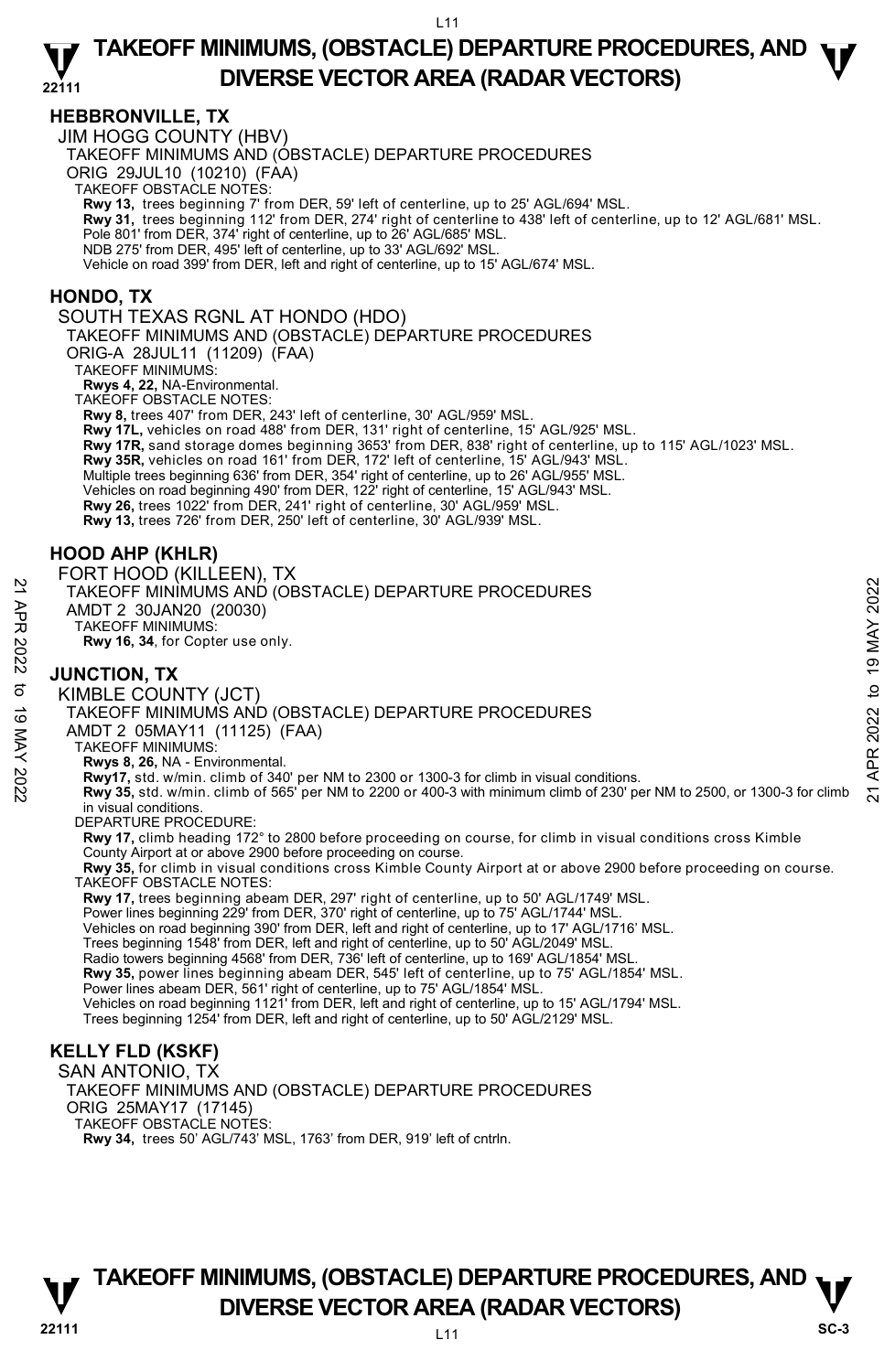## **HEBBRONVILLE, TX**

JIM HOGG COUNTY (HBV)

TAKEOFF MINIMUMS AND (OBSTACLE) DEPARTURE PROCEDURES

ORIG 29JUL10 (10210) (FAA)

TAKEOFF OBSTACLE NOTES:

**Rwy 13,** trees beginning 7' from DER, 59' left of centerline, up to 25' AGL/694' MSL.

**Rwy 31,** trees beginning 112' from DER, 274' right of centerline to 438' left of centerline, up to 12' AGL/681' MSL.

Pole 801' from DER, 374' right of centerline, up to 26' AGL/685' MSL.

NDB 275' from DER, 495' left of centerline, up to 33' AGL/692' MSL.

Vehicle on road 399' from DER, left and right of centerline, up to 15' AGL/674' MSL.

#### **HONDO, TX**

SOUTH TEXAS RGNL AT HONDO (HDO)

TAKEOFF MINIMUMS AND (OBSTACLE) DEPARTURE PROCEDURES

ORIG-A 28JUL11 (11209) (FAA)

TAKEOFF MINIMUMS:

**Rwys 4, 22,** NA-Environmental.

TAKEOFF OBSTACLE NOTES:

**Rwy 8,** trees 407' from DER, 243' left of centerline, 30' AGL/959' MSL.

**Rwy 17L,** vehicles on road 488' from DER, 131' right of centerline, 15' AGL/925' MSL.

**Rwy 17R,** sand storage domes beginning 3653' from DER, 838' right of centerline, up to 115' AGL/1023' MSL.

**Rwy 35R,** vehicles on road 161' from DER, 172' left of centerline, 15' AGL/943' MSL.

Multiple trees beginning 636' from DER, 354' right of centerline, up to 26' AGL/955' MSL.

Vehicles on road beginning 490' from DER, 122' right of centerline, 15' AGL/943' MSL.

**Rwy 26,** trees 1022' from DER, 241' right of centerline, 30' AGL/959' MSL.

**Rwy 13,** trees 726' from DER, 250' left of centerline, 30' AGL/939' MSL.

## **HOOD AHP (KHLR)**

FORT HOOD (KILLEEN), TX TAKEOFF MINIMUMS AND (OBSTACLE) DEPARTURE PROCEDURES AMDT 2 30JAN20 (20030) TAKEOFF MINIMUMS: **Rwy 16, 34**, for Copter use only.

## **JUNCTION, TX**

KIMBLE COUNTY (JCT) TAKEOFF MINIMUMS AND (OBSTACLE) DEPARTURE PROCEDURES AMDT 2 05MAY11 (11125) (FAA) TAKEOFF MINIMUMS: **Rwys 8, 26,** NA - Environmental. NAMEDITE INTO AN ORIGINAL CONSTACT DEPARTURE PROCEDURES<br>
AND T2 30JAN20 (20030)<br>
TAKEOFF MINIMUMS:<br>
RWY 16, 34, for Copter use only.<br>
NO **JUNCTION, TX**<br>
SO **JUNCTION, TX**<br>
SO **JUNCTION, TX**<br>
SO TAKEOFF MINIMUMS AND (OBSTA in visual conditions. DEPARTURE PROCEDURE **Rwy 17,** climb heading 172° to 2800 before proceeding on course, for climb in visual conditions cross Kimble County Airport at or above 2900 before proceeding on course. **Rwy 35,** for climb in visual conditions cross Kimble County Airport at or above 2900 before proceeding on course. TAKEOFF OBSTACLE NOTES:

**Rwy 17,** trees beginning abeam DER, 297' right of centerline, up to 50' AGL/1749' MSL.

Power lines beginning 229' from DER, 370' right of centerline, up to 75' AGL/1744' MSL.

Vehicles on road beginning 390' from DER, left and right of centerline, up to 17' AGL/1716' MSL.

Trees beginning 1548' from DER, left and right of centerline, up to 50' AGL/2049' MSL.

Radio towers beginning 4568' from DER, 736' left of centerline, up to 169' AGL/1854' MSL.

**Rwy 35,** power lines beginning abeam DER, 545' left of centerline, up to 75' AGL/1854' MSL.<br>Power lines abeam DER, 561' right of centerline, up to 75' AGL/1854' MSL.

Vehicles on road beginning 1121' from DER, left and right of centerline, up to 15' AGL/1794' MSL.

Trees beginning 1254' from DER, left and right of centerline, up to 50' AGL/2129' MSL.

## **KELLY FLD (KSKF)**

SAN ANTONIO, TX

TAKEOFF MINIMUMS AND (OBSTACLE) DEPARTURE PROCEDURES ORIG 25MAY17 (17145) TAKEOFF OBSTACLE NOTES: **Rwy 34,** trees 50' AGL/743' MSL, 1763' from DER, 919' left of cntrln.

## **TAKEOFF MINIMUMS, (OBSTACLE) DEPARTURE PROCEDURES, AND**  $\nabla$ **<br>DIVERSE VECTOR AREA (RADAR VECTORS) DIVERSE VECTOR AREA (RADAR VECTORS)** SC-3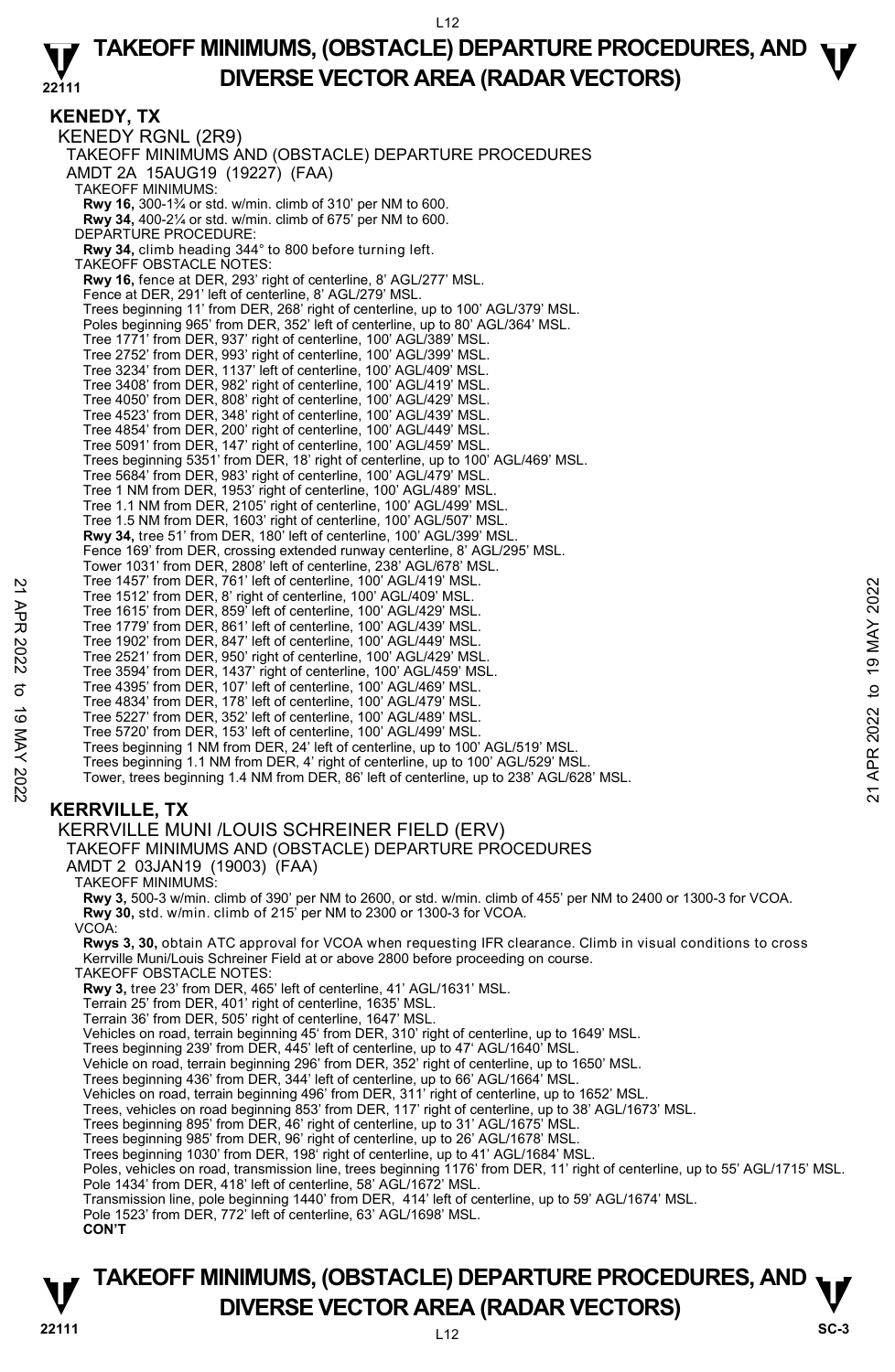**KENEDY, TX**  KENEDY RGNL (2R9) TAKEOFF MINIMUMS AND (OBSTACLE) DEPARTURE PROCEDURES AMDT 2A 15AUG19 (19227) (FAA) TAKEOFF MINIMUMS: **Rwy 16,** 300-1¾ or std. w/min. climb of 310' per NM to 600. **Rwy 34,** 400-2¼ or std. w/min. climb of 675' per NM to 600. DEPARTURE PROCEDURE: **Rwy 34,** climb heading 344° to 800 before turning left. TAKEOFF OBSTACLE NOTES: **Rwy 16,** fence at DER, 293' right of centerline, 8' AGL/277' MSL. Fence at DER, 291' left of centerline, 8' AGL/279' MSL. Trees beginning 11' from DER, 268' right of centerline, up to 100' AGL/379' MSL. Poles beginning 965' from DER, 352' left of centerline, up to 80' AGL/364' MSL. Tree 1771' from DER, 937' right of centerline, 100' AGL/389' MSL. Tree 2752' from DER, 993' right of centerline, 100' AGL/399' MSL. Tree 3234' from DER, 1137' left of centerline, 100' AGL/409' MSL. Tree 3408' from DER, 982' right of centerline, 100' AGL/419' MSL. Tree 4050' from DER, 808' right of centerline, 100' AGL/429' MSL. Tree 4523' from DER, 348' right of centerline, 100' AGL/439' MSL.<br>Tree 4854' from DER, 200' right of centerline, 100' AGL/449' MSL.<br>Tree 5091' from DER, 147' right of centerline, 100' AGL/459' MSL. Trees beginning 5351' from DER, 18' right of centerline, up to 100' AGL/469' MSL. Tree 5684' from DER, 983' right of centerline, 100' AGL/479' MSL. Tree 1 NM from DER, 1953' right of centerline, 100' AGL/489' MSL. Tree 1.1 NM from DER, 2105' right of centerline, 100' AGL/499' MSL. Tree 1.5 NM from DER, 1603' right of centerline, 100' AGL/507' MSL. **Rwy 34,** tree 51' from DER, 180' left of centerline, 100' AGL/399' MSL. Fence 169' from DER, crossing extended runway centerline, 8' AGL/295' MSL. Tower 1031' from DER, 2808' left of centerline, 238' AGL/678' MSL. Tree 1457' from DER, 761' left of centerline, 100' AGL/419' MSL. Tree 1512' from DER, 8' right of centerline, 100' AGL/409' MSL. Tree 1615' from DER, 859' left of centerline, 100' AGL/429' MSL. Tree 1779' from DER, 861' left of centerline, 100' AGL/439' MSL. Tree 1902' from DER, 847' left of centerline, 100' AGL/449' MSL. Tree 2521' from DER, 950' right of centerline, 100' AGL/429' MSL. Tree 3594' from DER, 1437' right of centerline, 100' AGL/459' MSL. Tree 4395' from DER, 107' left of centerline, 100' AGL/469' MSL. Tree 4834' from DER, 178' left of centerline, 100' AGL/479' MSL. Tree 5227' from DER, 352' left of centerline, 100' AGL/489' MSL. Tree 5720' from DER, 153' left of centerline, 100' AGL/499' MSL. Trees beginning 1 NM from DER, 24' left of centerline, up to 100' AGL/519' MSL. Trees beginning 1.1 NM from DER, 4' right of centerline, up to 100' AGL/529' MSL. Tower, trees beginning 1.4 NM from DER, 86' left of centerline, up to 238' AGL/628' MSL. Tree 1437' from DER, 81' left of centerline, 100' AGL/409' MSL.<br>
Tree 1512' from DER, 8' right of centerline, 100' AGL/409' MSL.<br>
Tree 1615' from DER, 869' left of centerline, 100' AGL/429' MSL.<br>
Tree 1902' from DER, 847'

## **KERRVILLE, TX**

#### KERRVILLE MUNI /LOUIS SCHREINER FIELD (ERV)

TAKEOFF MINIMUMS AND (OBSTACLE) DEPARTURE PROCEDURES

AMDT 2 03JAN19 (19003) (FAA)

TAKEOFF MINIMUMS:

**Rwy 3,** 500-3 w/min. climb of 390' per NM to 2600, or std. w/min. climb of 455' per NM to 2400 or 1300-3 for VCOA.

**Rwy 30,** std. w/min. climb of 215' per NM to 2300 or 1300-3 for VCOA.

VCOA:

**Rwys 3, 30,** obtain ATC approval for VCOA when requesting IFR clearance. Climb in visual conditions to cross Kerrville Muni/Louis Schreiner Field at or above 2800 before proceeding on course.

TAKEOFF OBSTACLE NOTES:

**Rwy 3,** tree 23' from DER, 465' left of centerline, 41' AGL/1631' MSL.

- Terrain 25' from DER, 401' right of centerline, 1635' MSL.
- Terrain 36' from DER, 505' right of centerline, 1647' MSL.
- Vehicles on road, terrain beginning 45' from DER, 310' right of centerline, up to 1649' MSL.<br>Trees beginning 239' from DER, 445' left of centerline, up to 47' AGL/1640' MSL.
- 
- Vehicle on road, terrain beginning 296' from DER, 352' right of centerline, up to 1650' MSL.
- Trees beginning 436' from DER, 344' left of centerline, up to 66' AGL/1664' MSL. Vehicles on road, terrain beginning 496' from DER, 311' right of centerline, up to 1652' MSL.
- 
- Trees, vehicles on road beginning 853' from DER, 117' right of centerline, up to 38' AGL/1673' MSL.
- Trees beginning 895' from DER, 46' right of centerline, up to 31' AGL/1675' MSL. Trees beginning 985' from DER, 96' right of centerline, up to 26' AGL/1678' MSL.
- 
- Trees beginning 1030' from DER, 198' right of centerline, up to 41' AGL/1684' MSL.
- Poles, vehicles on road, transmission line, trees beginning 1176' from DER, 11' right of centerline, up to 55' AGL/1715' MSL. Pole 1434' from DER, 418' left of centerline, 58' AGL/1672' MSL.
- Transmission line, pole beginning 1440' from DER, 414' left of centerline, up to 59' AGL/1674' MSL.
- Pole 1523' from DER, 772' left of centerline, 63' AGL/1698' MSL.

**CON'T** 

## **22111** L12 **TAKEOFF MINIMUMS, (OBSTACLE) DEPARTURE PROCEDURES, AND**  $\nabla$ **<br>DIVERSE VECTOR AREA (RADAR VECTORS) DIVERSE VECTOR AREA (RADAR VECTORS)** SC-3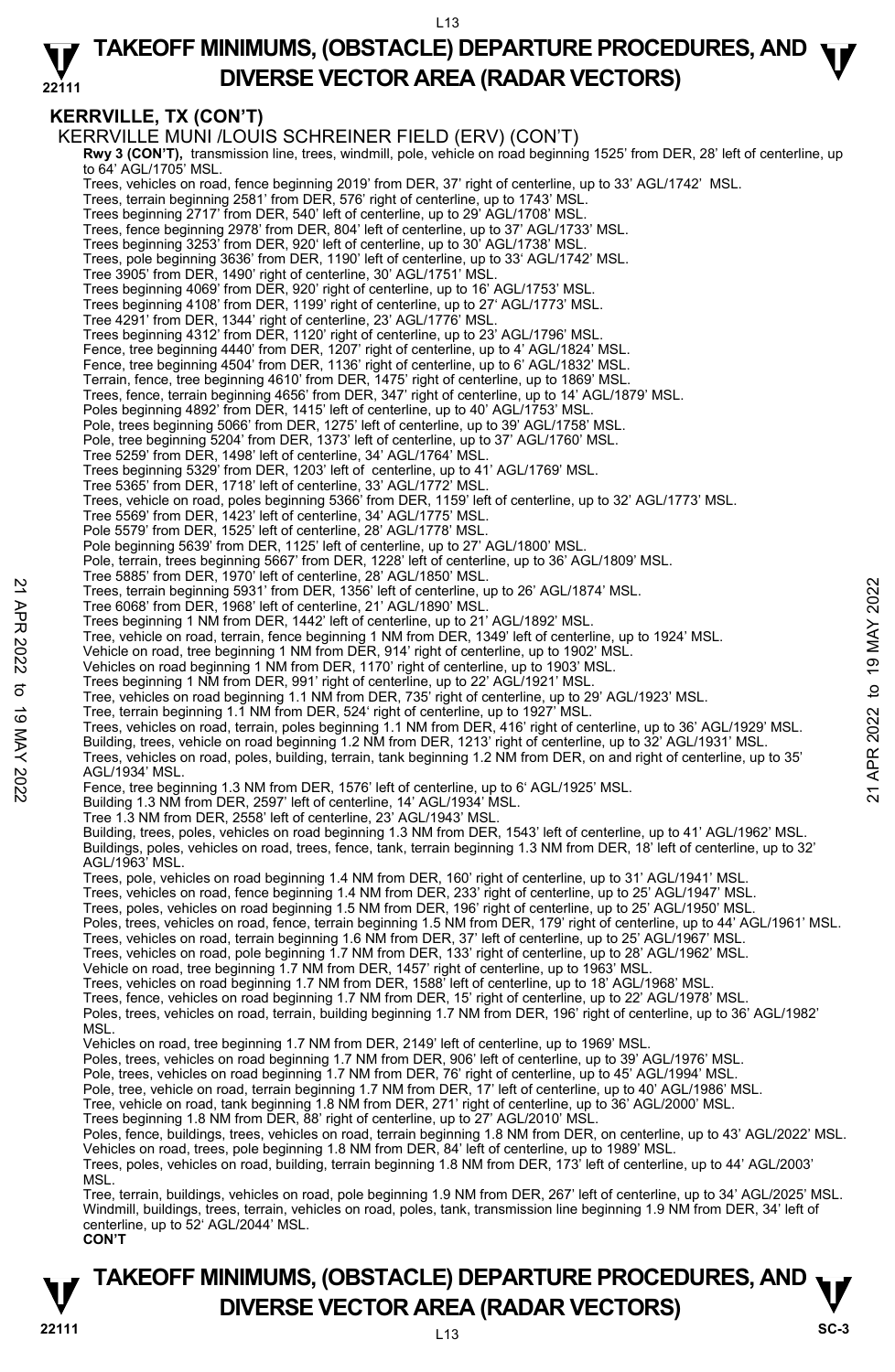#### **22111 TAKEOFF MINIMUMS, (OBSTACLE) DEPARTURE PROCEDURES, AND**  $\Psi$ **DIVERSE VECTOR AREA (RADAR VECTORS)**

## **KERRVILLE, TX (CON'T)**

KERRVILLE MUNI /LOUIS SCHREINER FIELD (ERV) (CON'T)  **Rwy 3 (CON'T),** transmission line, trees, windmill, pole, vehicle on road beginning 1525' from DER, 28' left of centerline, up to 64' AGL/1705' MSL. Trees, vehicles on road, fence beginning 2019' from DER, 37' right of centerline, up to 33' AGL/1742' MSL. Trees, terrain beginning 2581' from DER, 576' right of centerline, up to 1743' MSL. Trees beginning 2717' from DER, 540' left of centerline, up to 29' AGL/1708' MSL. Trees, fence beginning 2978' from DER, 804' left of centerline, up to 37' AGL/1733' MSL. Trees beginning 3253' from DER, 920' left of centerline, up to 30' AGL/1738' MSL. Trees, pole beginning 3636' from DER, 1190' left of centerline, up to 33' AGL/1742' MSL. Tree 3905' from DER, 1490' right of centerline, 30' AGL/1751' MSL. Trees beginning 4069' from DER, 920' right of centerline, up to 16' AGL/1753' MSL. Trees beginning 4108' from DER, 1199' right of centerline, up to 27' AGL/1773' MSL. Tree 4291' from DER, 1344' right of centerline, 23' AGL/1776' MSL. Trees beginning 4312' from DER, 1120' right of centerline, up to 23' AGL/1796' MSL. Fence, tree beginning 4440' from DER, 1207' right of centerline, up to 4' AGL/1824' MSL. Fence, tree beginning 4504' from DER, 1136' right of centerline, up to 6' AGL/1832' MSL. Terrain, fence, tree beginning 4610' from DER, 1475' right of centerline, up to 1869' MSL. Trees, fence, terrain beginning 4656' from DER, 347' right of centerline, up to 14' AGL/1879' MSL. Poles beginning 4892' from DER, 1415' left of centerline, up to 40' AGL/1753' MSL Pole, trees beginning 5066' from DER, 1275' left of centerline, up to 39' AGL/1758' MSL. Pole, tree beginning 5204' from DER, 1373' left of centerline, up to 37' AGL/1760' MSL. Tree 5259' from DER, 1498' left of centerline, 34' AGL/1764' MSL. Trees beginning 5329' from DER, 1203' left of centerline, up to 41' AGL/1769' MSL. Tree 5365' from DER, 1718' left of centerline, 33' AGL/1772' MSL. Trees, vehicle on road, poles beginning 5366' from DER, 1159' left of centerline, up to 32' AGL/1773' MSL. Tree 5569' from DER, 1423' left of centerline, 34' AGL/1775' MSL. Pole 5579' from DER, 1525' left of centerline, 28' AGL/1778' MSL. Pole beginning 5639' from DER, 1125' left of centerline, up to 27' AGL/1800' MSL. Pole, terrain, trees beginning 5667' from DER, 1228' left of centerline, up to 36' AGL/1809' MSL. Tree 5885' from DER, 1970' left of centerline, 28' AGL/1850' MSL. Trees, terrain beginning 5931' from DER, 1356' left of centerline, up to 26' AGL/1874' MSL. Tree 6068' from DER, 1968' left of centerline, 21' AGL/1890' MSL. Trees beginning 1 NM from DER, 1442' left of centerline, up to 21' AGL/1892' MSL. Tree, vehicle on road, terrain, fence beginning 1 NM from DER, 1349' left of centerline, up to 1924' MSL. Vehicle on road, tree beginning 1 NM from DER, 914' right of centerline, up to 1902' MSL. Vehicles on road beginning 1 NM from DER, 1170' right of centerline, up to 1903' MSL.<br>Trees beginning 1 NM from DER, 991' right of centerline, up to 22' AGL/1921' MSL. Tree, vehicles on road beginning 1.1 NM from DER, 735' right of centerline, up to 29' AGL/1923' MSL. Tree, terrain beginning 1.1 NM from DER, 524' right of centerline, up to 1927' MSL. Trees, vehicles on road, terrain, poles beginning 1.1 NM from DER, 416' right of centerline, up to 36' AGL/1929' MSL. Building, trees, vehicle on road beginning 1.2 NM from DER, 1213' right of centerline, up to 32' AGL/1931' MSL. Trees, vehicles on road, poles, building, terrain, tank beginning 1.2 NM from DER, on and right of centerline, up to 35' AGL/1934' MSL. Fence, tree beginning 1.3 NM from DER, 1576' left of centerline, up to 6' AGL/1925' MSL. Building 1.3 NM from DER, 2597' left of centerline, 14' AGL/1934' MSL. Tree 1.3 NM from DER, 2558' left of centerline, 23' AGL/1943' MSI Building, trees, poles, vehicles on road beginning 1.3 NM from DER, 1543' left of centerline, up to 41' AGL/1962' MSL. Buildings, poles, vehicles on road, trees, fence, tank, terrain beginning 1.3 NM from DER, 18' left of centerline, up to 32' AGL/1963' MSL. Trees, pole, vehicles on road beginning 1.4 NM from DER, 160' right of centerline, up to 31' AGL/1941' MSL. Trees, vehicles on road, fence beginning 1.4 NM from DER, 233' right of centerline, up to 25' AGL/1947' MSL. Trees, poles, vehicles on road beginning 1.5 NM from DER, 196' right of centerline, up to 25' AGL/1950' MSL. Poles, trees, vehicles on road, fence, terrain beginning 1.5 NM from DER, 179' right of centerline, up to 44' AGL/1961' MSL.<br>Trees, vehicles on road, terrain beginning 1.6 NM from DER, 37' left of centerline, up to 25' AGL Trees, vehicles on road, pole beginning 1.7 NM from DER, 133' right of centerline, up to 28' AGL/1962' MSL. Vehicle on road, tree beginning 1.7 NM from DER, 1457' right of centerline, up to 1963' MSL. Trees, vehicles on road beginning 1.7 NM from DER, 1588' left of centerline, up to 18' AGL/1968' MSL. Trees, fence, vehicles on road beginning 1.7 NM from DER, 15' right of centerline, up to 22' AGL/1978' MSL. Poles, trees, vehicles on road, terrain, building beginning 1.7 NM from DER, 196' right of centerline, up to 36' AGL/1982' **MSL** Vehicles on road, tree beginning 1.7 NM from DER, 2149' left of centerline, up to 1969' MSL. Poles, trees, vehicles on road beginning 1.7 NM from DER, 906' left of centerline, up to 39' AGL/1976' MSL. Pole, trees, vehicles on road beginning 1.7 NM from DER, 76' right of centerline, up to 45' AGL/1994' MSL Pole, tree, vehicle on road, terrain beginning 1.7 NM from DER, 17' left of centerline, up to 40' AGL/1986' MSL.<br>Tree, vehicle on road, tank beginning 1.8 NM from DER, 271' right of centerline, up to 36' AGL/2000' MSL. Trees beginning 1.8 NM from DER, 88' right of centerline, up to 27' AGL/2010' MSL. Poles, fence, buildings, trees, vehicles on road, terrain beginning 1.8 NM from DER, on centerline, up to 43' AGL/2022' MSL.<br>Vehicles on road, trees, pole beginning 1.8 NM from DER, 84' left of centerline, up to 1989' MSL. Trees, poles, vehicles on road, building, terrain beginning 1.8 NM from DER, 173' left of centerline, up to 44' AGL/2003' MSL. Tree, terrain, buildings, vehicles on road, pole beginning 1.9 NM from DER, 267' left of centerline, up to 34' AGL/2025' MSL. Windmill, buildings, trees, terrain, vehicles on road, poles, tank, transmission line beginning 1.9 NM from DER, 34' left of centerline, up to 52' AGL/2044' MSL. 22 Trees, terrain beginning 5931' from DER, 1356' left of centerline, up to 26' AGL/1874' MSL.<br>
Tree 6068' from DER, 1968' left of centerline, up to 26' AGL/1892' MSL.<br>
Tree beginning 19831' from DER, 1342 left of centerli

## **22111** L13 **TAKEOFF MINIMUMS, (OBSTACLE) DEPARTURE PROCEDURES, AND**  $\nabla$ **<br>DIVERSE VECTOR AREA (RADAR VECTORS) DIVERSE VECTOR AREA (RADAR VECTORS)**  $\frac{V}{\text{SC-3}}$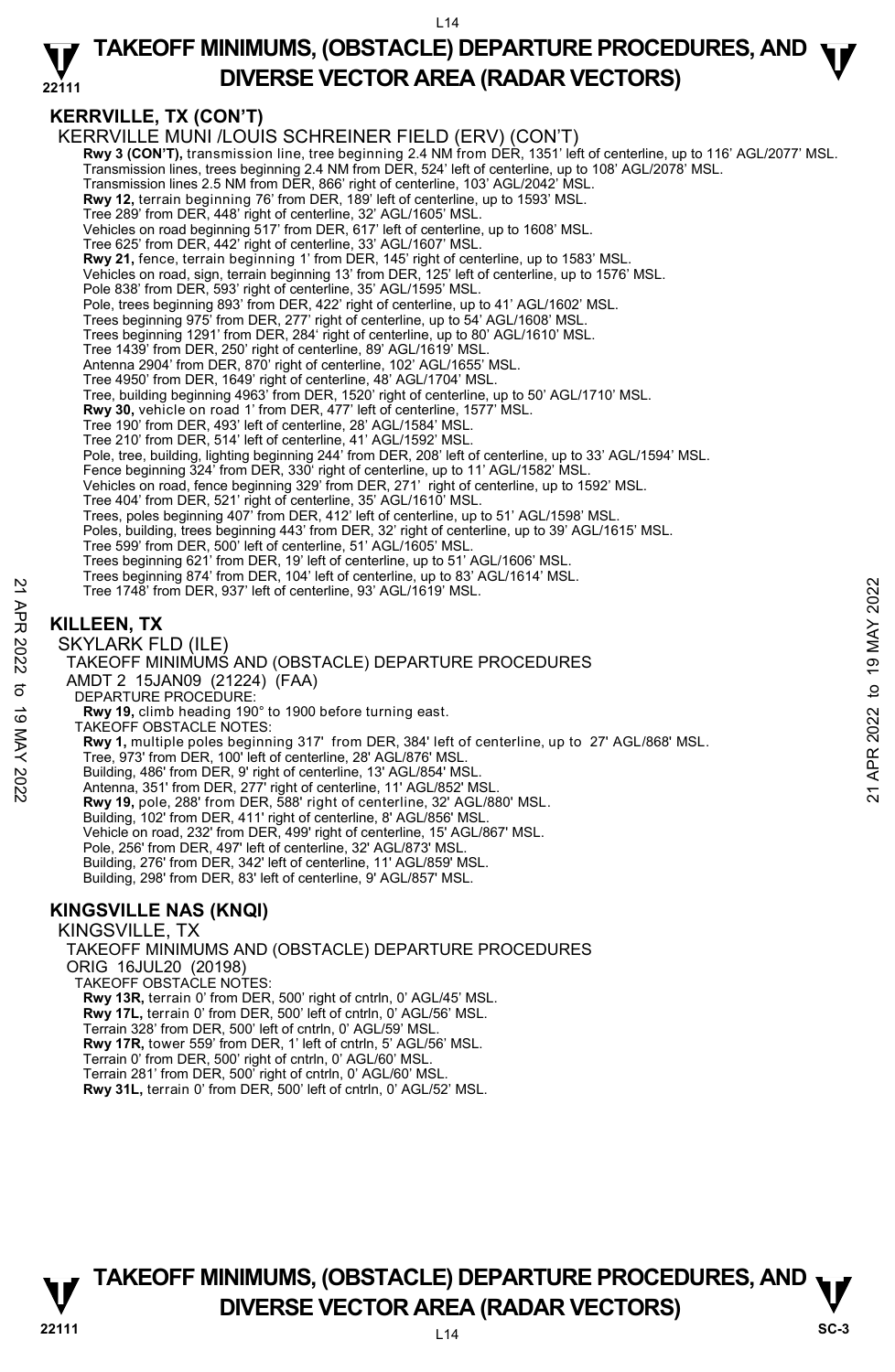#### **22111 TAKEOFF MINIMUMS, (OBSTACLE) DEPARTURE PROCEDURES, AND**  $\Psi$ **DIVERSE VECTOR AREA (RADAR VECTORS)**

## **KERRVILLE, TX (CON'T)**

KERRVILLE MUNI /LOUIS SCHREINER FIELD (ERV) (CON'T) **Rwy 3 (CON'T),** transmission line, tree beginning 2.4 NM from DER, 1351' left of centerline, up to 116' AGL/2077' MSL. Transmission lines, trees beginning 2.4 NM from DER, 524' left of centerline, up to 108' AGL/2078' MSL. Transmission lines 2.5 NM from DER, 866' right of centerline, 103' AGL/2042' MSL. **Rwy 12,** terrain beginning 76' from DER, 189' left of centerline, up to 1593' MSL. Tree 289' from DER, 448' right of centerline, 32' AGL/1605' MSL. Vehicles on road beginning 517' from DER, 617' left of centerline, up to 1608' MSL. Tree 625' from DER, 442' right of centerline, 33' AGL/1607' MSL. **Rwy 21,** fence, terrain beginning 1' from DER, 145' right of centerline, up to 1583' MSL. Vehicles on road, sign, terrain beginning 13' from DER, 125' left of centerline, up to 1576' MSL. Pole 838' from DER, 593' right of centerline, 35' AGL/1595' MSL. Pole, trees beginning 893' from DER, 422' right of centerline, up to 41' AGL/1602' MSL. Trees beginning 975' from DER, 277' right of centerline, up to 54' AGL/1608' MSL. Trees beginning 1291' from DER, 284' right of centerline, up to 80' AGL/1610' MSL. Tree 1439' from DER, 250' right of centerline, 89' AGL/1619' MSL. Antenna 2904' from DER, 870' right of centerline, 102' AGL/1655' MSL. Tree 4950' from DER, 1649' right of centerline, 48' AGL/1704' MSL. Tree, building beginning 4963' from DER, 1520' right of centerline, up to 50' AGL/1710' MSL. **Rwy 30,** vehicle on road 1' from DER, 477' left of centerline, 1577' MSL. Tree 190' from DER, 493' left of centerline, 28' AGL/1584' MSL. Tree 210' from DER, 514' left of centerline, 41' AGL/1592' MSL. Pole, tree, building, lighting beginning 244' from DER, 208' left of centerline, up to 33' AGL/1594' MSL.<br>Fence beginning 324' from DER, 330' right of centerline, up to 11' AGL/1582' MSL. Vehicles on road, fence beginning 329' from DER, 271' right of centerline, up to 1592' MSL. Tree 404' from DER, 521' right of centerline, 35' AGL/1610' MSL. Trees, poles beginning 407' from DER, 412' left of centerline, up to 51' AGL/1598' MSL. Poles, building, trees beginning 443' from DER, 32' right of centerline, up to 39' AGL/1615' MSL. Tree 599' from DER, 500' left of centerline, 51' AGL/1605' MSL. Trees beginning 621' from DER, 19' left of centerline, up to 51' AGL/1606' MSL. Trees beginning 874' from DER, 104' left of centerline, up to 83' AGL/1614' MSL. Tree 1748' from DER, 937' left of centerline, 93' AGL/1619' MSL. **KILLEEN, TX**  SKYLARK FLD (ILE) TAKEOFF MINIMUMS AND (OBSTACLE) DEPARTURE PROCEDURES AMDT 2 15JAN09 (21224) (FAA) DEPARTURE PROCEDURE: **Rwy 19,** climb heading 190° to 1900 before turning east. TAKEOFF OBSTACLE NOTES: **Rwy 1,** multiple poles beginning 317' from DER, 384' left of centerline, up to 27' AGL/868' MSL. Tree, 973' from DER, 100' left of centerline, 28' AGL/876' MSL. Building, 486' from DER, 9' right of centerline, 13' AGL/854' MSL. Antenna, 351' from DER, 277' right of centerline, 11' AGL/852' MSL. **Rwy 19,** pole, 288' from DER, 588' right of centerline, 32' AGL/880' MSL. Building, 102' from DER, 411' right of centerline, 8' AGL/856' MSL. Vehicle on road, 232' from DER, 499' right of centerline, 15' AGL/867' MSL. Pole, 256' from DER, 497' left of centerline, 32' AGL/873' MSL. Building, 276' from DER, 342' left of centerline, 11' AGL/859' MSL. Building, 298' from DER, 83' left of centerline, 9' AGL/857' MSL. **KINGSVILLE NAS (KNQI)**  KINGSVILLE, TX Tree 1748 from DER, 937 left of centerline, 93' AGL/1619' MSL.<br>
22 Tree 1748 from DER, 937 left of centerline, 93' AGL/1619' MSL.<br>
22 SKYLARK FLD (ILE)<br>
72 SKYLARK FLD (ILE)<br>
72 TAKEOFF MINIMUMS AND (OBSTACLE) DEPARTURE PR

#### TAKEOFF MINIMUMS AND (OBSTACLE) DEPARTURE PROCEDURES ORIG 16JUL20 (20198) TAKEOFF OBSTACLE NOTES: **Rwy 13R,** terrain 0' from DER, 500' right of cntrln, 0' AGL/45' MSL. **Rwy 17L,** terrain 0' from DER, 500' left of cntrln, 0' AGL/56' MSL. Terrain 328' from DER, 500' left of cntrln, 0' AGL/59' MSL. **Rwy 17R,** tower 559' from DER, 1' left of cntrln, 5' AGL/56' MSL.

Terrain 0' from DER, 500' right of cntrln, 0' AGL/60' MSL.

Terrain 281' from DER, 500' right of cntrln, 0' AGL/60' MSL.

**Rwy 31L,** terrain 0' from DER, 500' left of cntrln, 0' AGL/52' MSL.

## **22111** L14 **TAKEOFF MINIMUMS, (OBSTACLE) DEPARTURE PROCEDURES, AND**  $\nabla$ **<br>DIVERSE VECTOR AREA (RADAR VECTORS) DIVERSE VECTOR AREA (RADAR VECTORS)** SC-3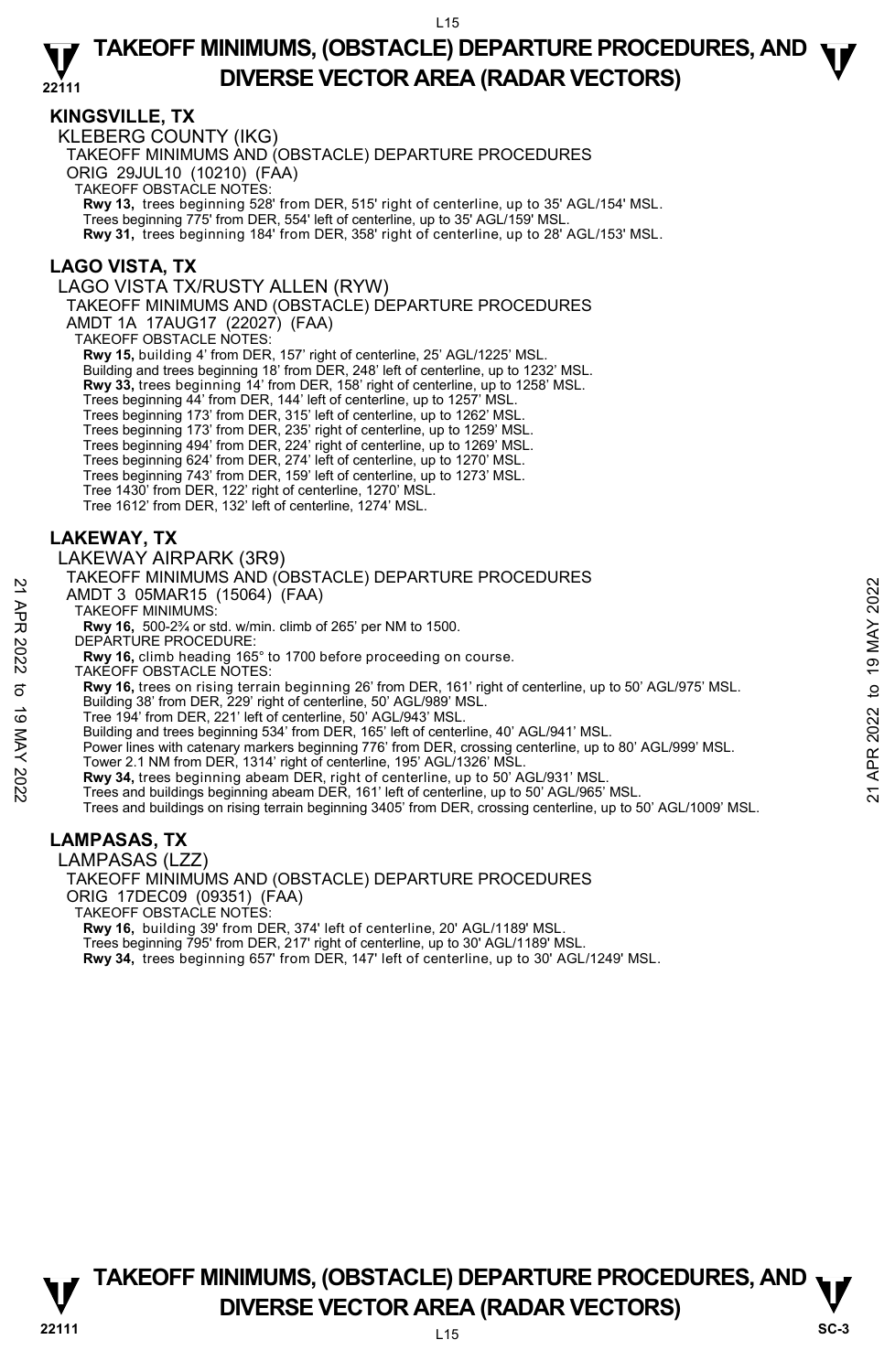## **KINGSVILLE, TX**

KLEBERG COUNTY (IKG) TAKEOFF MINIMUMS AND (OBSTACLE) DEPARTURE PROCEDURES ORIG 29JUL10 (10210) (FAA) TAKEOFF OBSTACLE NOTES: **Rwy 13,** trees beginning 528' from DER, 515' right of centerline, up to 35' AGL/154' MSL. Trees beginning 775' from DER, 554' left of centerline, up to 35' AGL/159' MSL. **Rwy 31,** trees beginning 184' from DER, 358' right of centerline, up to 28' AGL/153' MSL.

## **LAGO VISTA, TX**

LAGO VISTA TX/RUSTY ALLEN (RYW)

TAKEOFF MINIMUMS AND (OBSTACLE) DEPARTURE PROCEDURES

AMDT 1A 17AUG17 (22027) (FAA)

TAKEOFF OBSTACLE NOTES:

**Rwy 15,** building 4' from DER, 157' right of centerline, 25' AGL/1225' MSL.

Building and trees beginning 18' from DER, 248' left of centerline, up to 1232' MSL.

**Rwy 33,** trees beginning 14' from DER, 158' right of centerline, up to 1258' MSL.

Trees beginning 44' from DER, 144' left of centerline, up to 1257' MSL.

Trees beginning 173' from DER, 315' left of centerline, up to 1262' MSL.<br>Trees beginning 173' from DER, 235' right of centerline, up to 1259' MSL.<br>Trees beginning 494' from DER, 224' right of centerline, up to 1269' MSL.

Trees beginning 624' from DER, 274' left of centerline, up to 1270' MSL. Trees beginning 743' from DER, 159' left of centerline, up to 1273' MSL.

Tree 1430' from DER, 122' right of centerline, 1270' MSL.

Tree 1612' from DER, 132' left of centerline, 1274' MSL.

## **LAKEWAY, TX**

LAKEWAY AIRPARK (3R9)

TAKEOFF MINIMUMS AND (OBSTACLE) DEPARTURE PROCEDURES

AMDT 3 05MAR15 (15064) (FAA)

TAKEOFF MINIMUMS:

**Rwy 16,** 500-2¾ or std. w/min. climb of 265' per NM to 1500.

DEPARTURE PROCEDURE:

**Rwy 16,** climb heading 165° to 1700 before proceeding on course.

TAKEOFF OBSTACLE NOTES:

**Rwy 16,** trees on rising terrain beginning 26' from DER, 161' right of centerline, up to 50' AGL/975' MSL.

Building 38' from DER, 229' right of centerline, 50' AGL/989' MSL.

Tree 194' from DER, 221' left of centerline, 50' AGL/943' MSL.

Building and trees beginning 534' from DER, 165' left of centerline, 40' AGL/941' MSL.

Power lines with catenary markers beginning 776' from DER, crossing centerline, up to 80' AGL/999' MSL. AMDT 3 O5MAR15 (15064) (FAA)<br>
21 AMDT 3 O5MAR15 (15064) (FAA)<br>
TAKEOFF MINIMUMS:<br>
RWY 16, 500-22<sup>2</sup>/a rstill, whin. climb of 265' per NM to 1500.<br>
RWY 16, climb heading 165° to 1700 before proceeding on course.<br>
TAKEOFF

Tower 2.1 NM from DER, 1314' right of centerline, 195' AGL/1326' MSL.

**Rwy 34,** trees beginning abeam DER, right of centerline, up to 50' AGL/931' MSL.<br>Trees and buildings beginning abeam DER, 161' left of centerline, up to 50' AGL/965' MSL.

Trees and buildings on rising terrain beginning 3405' from DER, crossing centerline, up to 50' AGL/1009' MSL.

## **LAMPASAS, TX**

LAMPASAS (LZZ)

TAKEOFF MINIMUMS AND (OBSTACLE) DEPARTURE PROCEDURES ORIG 17DEC09 (09351) (FAA)

TAKEOFF OBSTACLE NOTES:

**Rwy 16,** building 39' from DER, 374' left of centerline, 20' AGL/1189' MSL. Trees beginning 795' from DER, 217' right of centerline, up to 30' AGL/1189' MSL.

**Rwy 34,** trees beginning 657' from DER, 147' left of centerline, up to 30' AGL/1249' MSL.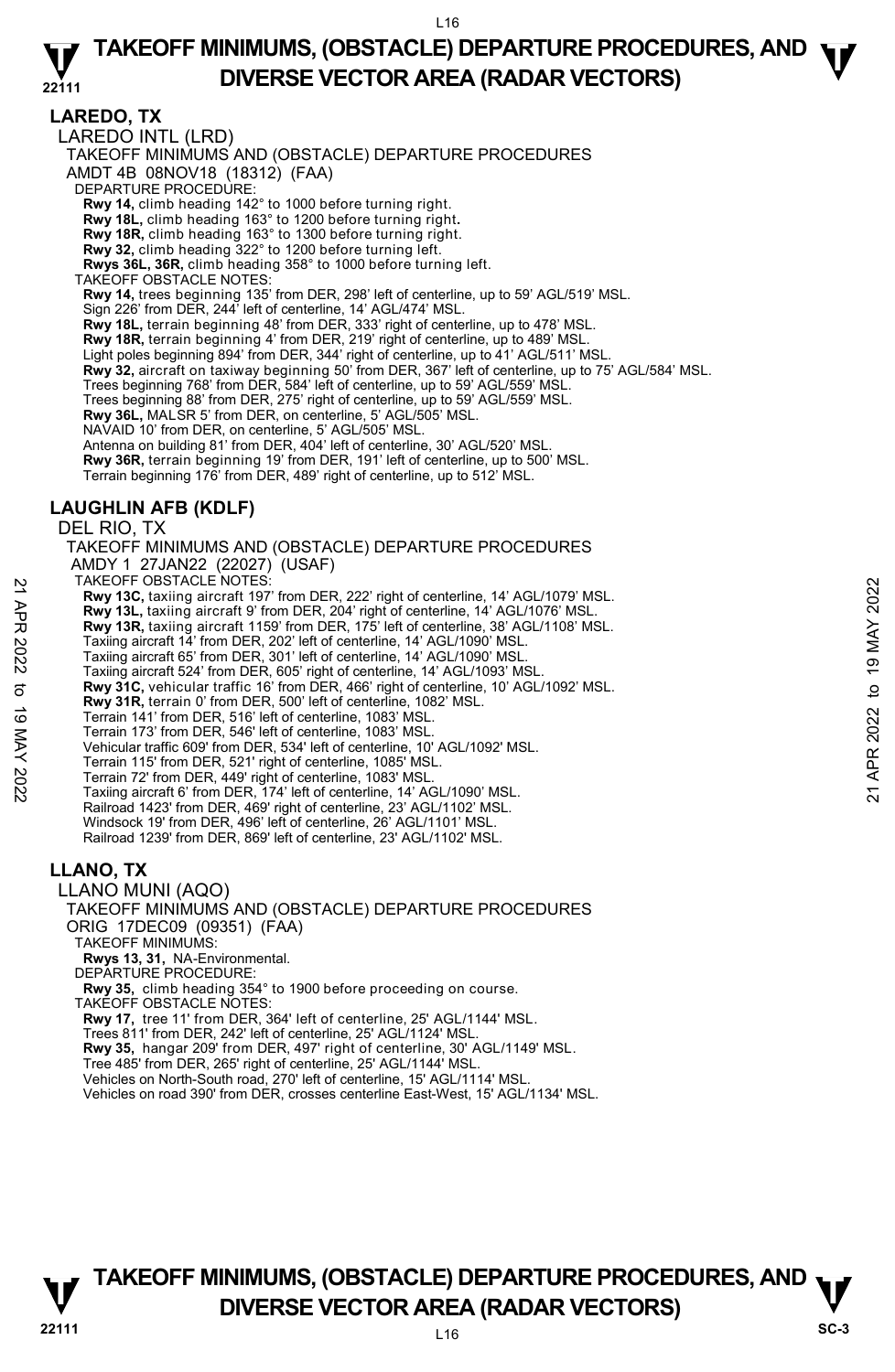**LAREDO, TX**  LAREDO INTL (LRD) TAKEOFF MINIMUMS AND (OBSTACLE) DEPARTURE PROCEDURES AMDT 4B 08NOV18 (18312) (FAA) DEPARTURE PROCEDURE: **Rwy 14,** climb heading 142° to 1000 before turning right. **Rwy 18L,** climb heading 163° to 1200 before turning right**. Rwy 18R,** climb heading 163° to 1300 before turning right. **Rwy 32,** climb heading 322° to 1200 before turning left. **Rwys 36L, 36R,** climb heading 358° to 1000 before turning left. TAKEOFF OBSTACLE NOTES: **Rwy 14,** trees beginning 135' from DER, 298' left of centerline, up to 59' AGL/519' MSL. Sign 226' from DER, 244' left of centerline, 14' AGL/474' MSL. **Rwy 18L,** terrain beginning 48' from DER, 333' right of centerline, up to 478' MSL. **Rwy 18R,** terrain beginning 4' from DER, 219' right of centerline, up to 489' MSL. Light poles beginning 894' from DER, 344' right of centerline, up to 41' AGL/511' MSI **Rwy 32,** aircraft on taxiway beginning 50' from DER, 367' left of centerline, up to 75' AGL/584' MSL. Trees beginning 768' from DER, 584' left of centerline, up to 59' AGL/559' MSL. Trees beginning 88' from DER, 275' right of centerline, up to 59' AGL/559' MSL. **Rwy 36L,** MALSR 5' from DER, on centerline, 5' AGL/505' MSL. NAVAID 10' from DER, on centerline, 5' AGL/505' MSL. Antenna on building 81' from DER, 404' left of centerline, 30' AGL/520' MSL. **Rwy 36R,** terrain beginning 19' from DER, 191' left of centerline, up to 500' MSL.<br>Terrain beginning 176' from DER, 489' right of centerline, up to 512' MSL. **LAUGHLIN AFB (KDLF)**  DEL RIO, TX TAKEOFF MINIMUMS AND (OBSTACLE) DEPARTURE PROCEDURES AMDY 1 27JAN22 (22027) (USAF) TAKEOFF OBSTACLE NOTES: **Rwy 13C,** taxiing aircraft 197' from DER, 222' right of centerline, 14' AGL/1079' MSL. **Rwy 13L,** taxiing aircraft 9' from DER, 204' right of centerline, 14' AGL/1076' MSL. **Rwy 13R,** taxiing aircraft 1159' from DER, 175' left of centerline, 38' AGL/1108' MSL. Taxiing aircraft 14' from DER, 202' left of centerline, 14' AGL/1090' MSL. Taxiing aircraft 65' from DER, 301' left of centerline, 14' AGL/1090' MSL. Taxiing aircraft 524' from DER, 605' right of centerline, 14' AGL/1093' MSL. **Rwy 31C,** vehicular traffic 16' from DER, 466' right of centerline, 10' AGL/1092' MSL. **Rwy 31R,** terrain 0' from DER, 500' left of centerline, 1082' MSL. Terrain 141' from DER, 516' left of centerline, 1083' MSL. Terrain 173' from DER, 546' left of centerline, 1083' MSL. Vehicular traffic 609' from DER, 534' left of centerline, 10' AGL/1092' MSL. 1 ARCH- OBSTACLE NOTES:<br> **Every 13C**, taxiing aircraft 197' from DER, 222' right of centerline, 14' AGL/1079' MSL.<br> **Rwy 13C**, taxiing aircraft 119' from DER, 204' right of centerline, 14' AGL/1076' MSL.<br> **Rwy 13L**, taxii

Terrain 115' from DER, 521' right of centerline, 1085' MSL.

Terrain 72' from DER, 449' right of centerline, 1083' MSL. Taxiing aircraft 6' from DER, 174' left of centerline, 14' AGL/1090' MSL.

Railroad 1423' from DER, 469' right of centerline, 23' AGL/1102' MSL.

Windsock 19' from DER, 496' left of centerline, 26' AGL/1101' MSL. Railroad 1239' from DER, 869' left of centerline, 23' AGL/1102' MSL.

## **LLANO, TX**

LLANO MUNI (AQO)

TAKEOFF MINIMUMS AND (OBSTACLE) DEPARTURE PROCEDURES ORIG 17DEC09 (09351) (FAA)

TAKEOFF MINIMUMS:

**Rwys 13, 31,** NA-Environmental.

DEPARTURE PROCEDURE

**Rwy 35,** climb heading 354° to 1900 before proceeding on course.

TAKEOFF OBSTACLE NOTES:

**Rwy 17,** tree 11' from DER, 364' left of centerline, 25' AGL/1144' MSL.

Trees 811' from DER, 242' left of centerline, 25' AGL/1124' MSL. **Rwy 35,** hangar 209' from DER, 497' right of centerline, 30' AGL/1149' MSL.

Tree 485' from DER, 265' right of centerline, 25' AGL/1144' MSL. Vehicles on North-South road, 270' left of centerline, 15' AGL/1114' MSL.

Vehicles on road 390' from DER, crosses centerline East-West, 15' AGL/1134' MSL.

## **TAKEOFF MINIMUMS, (OBSTACLE) DEPARTURE PROCEDURES, AND**  $\nabla$ **<br>DIVERSE VECTOR AREA (RADAR VECTORS) DIVERSE VECTOR AREA (RADAR VECTORS)** SC-3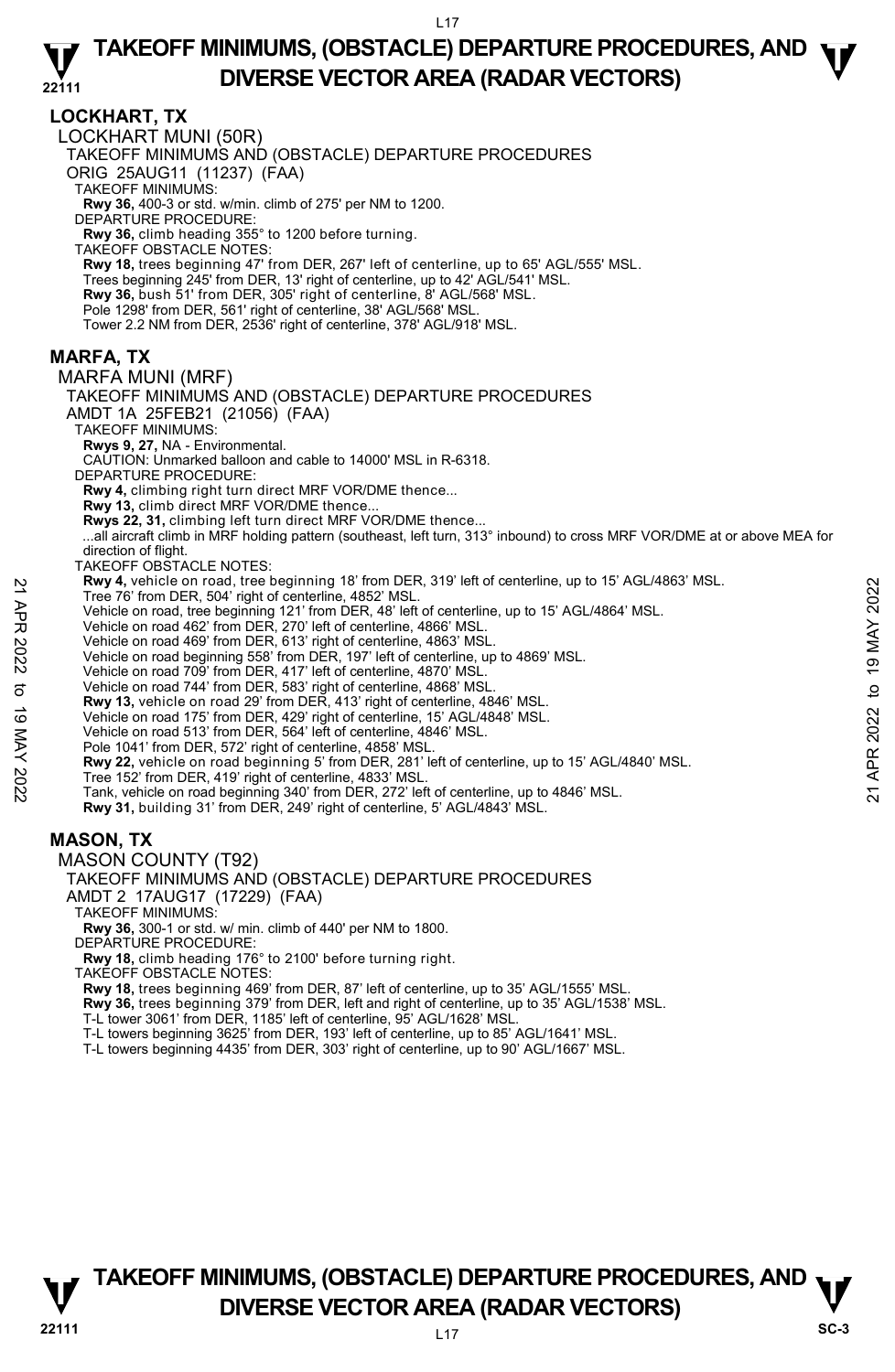### **LOCKHART, TX**

LOCKHART MUNI (50R) TAKEOFF MINIMUMS AND (OBSTACLE) DEPARTURE PROCEDURES ORIG 25AUG11 (11237) (FAA) TAKEOFF MINIMUMS: **Rwy 36,** 400-3 or std. w/min. climb of 275' per NM to 1200. DEPARTURE PROCEDURE: **Rwy 36,** climb heading 355° to 1200 before turning. TAKEOFF OBSTACLE NOTES: **Rwy 18,** trees beginning 47' from DER, 267' left of centerline, up to 65' AGL/555' MSL. Trees beginning 245' from DER, 13' right of centerline, up to 42' AGL/541' MSL. **Rwy 36,** bush 51' from DER, 305' right of centerline, 8' AGL/568' MSL. Pole 1298' from DER, 561' right of centerline, 38' AGL/568' MSL. Tower 2.2 NM from DER, 2536' right of centerline, 378' AGL/918' MSL. **MARFA, TX**  MARFA MUNI (MRF) TAKEOFF MINIMUMS AND (OBSTACLE) DEPARTURE PROCEDURES AMDT 1A 25FEB21 (21056) (FAA) TAKEOFF MINIMUMS: **Rwys 9, 27,** NA - Environmental. CAUTION: Unmarked balloon and cable to 14000' MSL in R-6318. DEPARTURE PROCEDURE: **Rwy 4,** climbing right turn direct MRF VOR/DME thence... **Rwy 13,** climb direct MRF VOR/DME thence... **Rwys 22, 31,** climbing left turn direct MRF VOR/DME thence... ...all aircraft climb in MRF holding pattern (southeast, left turn, 313° inbound) to cross MRF VOR/DME at or above MEA for direction of flight. TAKEOFF OBSTACLE NOTES: **Rwy 4,** vehicle on road, tree beginning 18' from DER, 319' left of centerline, up to 15' AGL/4863' MSL. Tree 76' from DER, 504' right of centerline, 4852' MSL. Vehicle on road, tree beginning 121' from DER, 48' left of centerline, up to 15' AGL/4864' MSL. Vehicle on road 462' from DER, 270' left of centerline, 4866' MSL. Vehicle on road 469' from DER, 613' right of centerline, 4863' MSL. Vehicle on road beginning 558' from DER, 197' left of centerline, up to 4869' MSL. Vehicle on road 709' from DER, 417' left of centerline, 4870' MSL. Vehicle on road 744' from DER, 583' right of centerline, 4868' MSL. **Rwy 13,** vehicle on road 29' from DER, 413' right of centerline, 4846' MSL. Vehicle on road 175' from DER, 429' right of centerline, 15' AGL/4848' MSL. Vehicle on road 513' from DER, 564' left of centerline, 4846' MSL. Pole 1041' from DER, 572' right of centerline, 4858' MSL. **Rwy 22,** vehicle on road beginning 5' from DER, 281' left of centerline, up to 15' AGL/4840' MSL. Tree 152' from DER, 419' right of centerline, 4833' MSL. Tank, vehicle on road beginning 340' from DER, 272' left of centerline, up to 4846' MSL. **Rwy 31,** building 31' from DER, 249' right of centerline, 5' AGL/4843' MSL. **MASON, TX**  MASON COUNTY (T92) TAKEOFF MINIMUMS AND (OBSTACLE) DEPARTURE PROCEDURES AMDT 2 17AUG17 (17229) (FAA) TAKEOFF MINIMUMS: **Rwy 36,** 300-1 or std. w/ min. climb of 440' per NM to 1800. DEPARTURE PROCEDURE: **EVALUAT SET AND AND THE DRIGHT THE THE SURVER AND THE THE THE THE THE THE THE REPORT VERICLE ON THE VERICLE ON THE VERICLE ON THE VERICLE ON THE VERICLE ON THE VERICLE ON THE VERICLE ON THE VERICLE ON THE VERICLE ON THE** 

**Rwy 18,** climb heading 176° to 2100' before turning right.

TAKEOFF OBSTACLE NOTES:

**Rwy 18,** trees beginning 469' from DER, 87' left of centerline, up to 35' AGL/1555' MSL.

**Rwy 36,** trees beginning 379' from DER, left and right of centerline, up to 35' AGL/1538' MSL.

- T-L tower 3061' from DER, 1185' left of centerline, 95' AGL/1628' MSL.
- T-L towers beginning 3625' from DER, 193' left of centerline, up to 85' AGL/1641' MSL.<br>T-L towers beginning 4435' from DER, 303' right of centerline, up to 90' AGL/1667' MSL.
- 

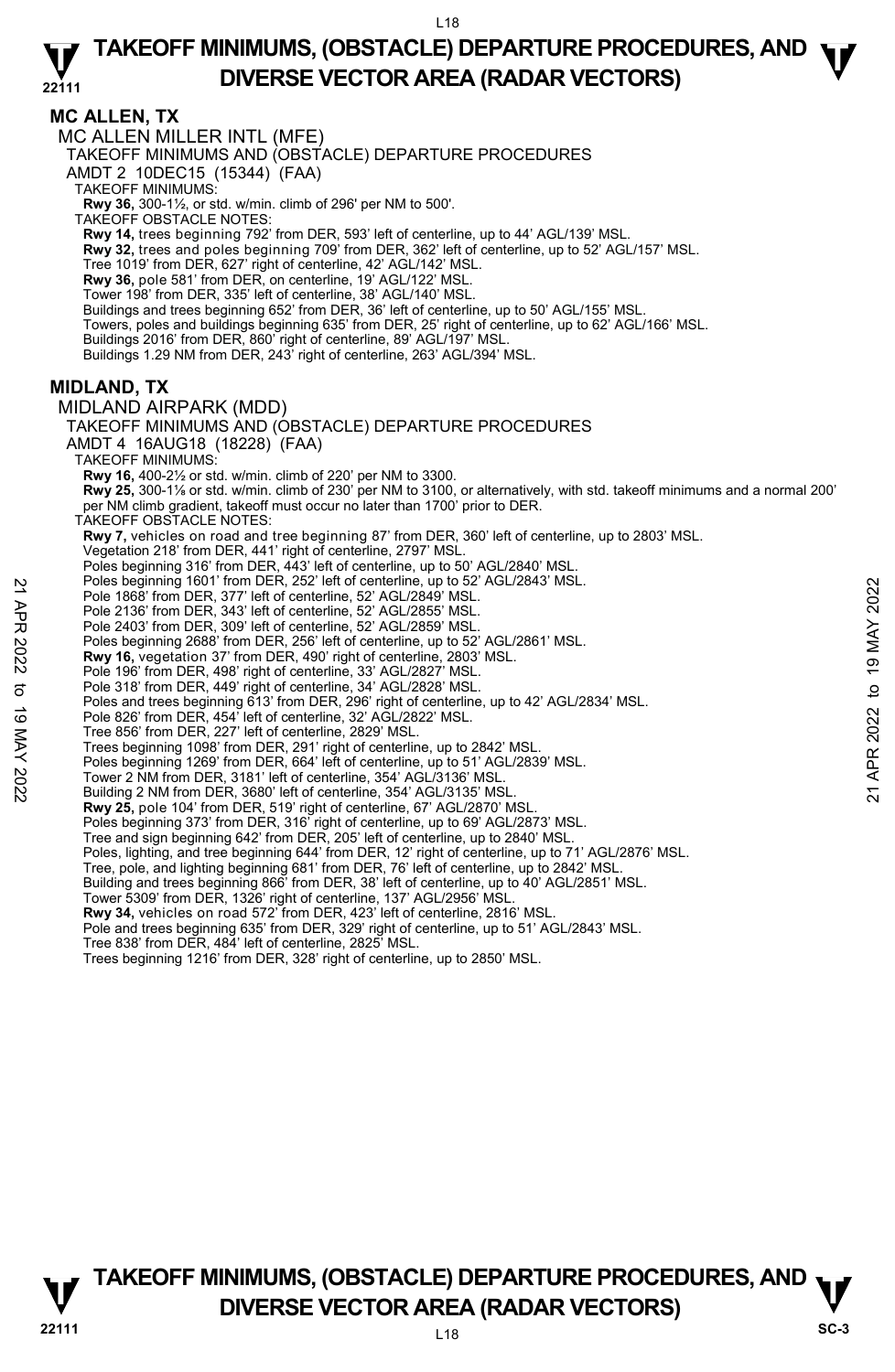**MC ALLEN, TX** 

MC ALLEN MILLER INTL (MFE)

TAKEOFF MINIMUMS AND (OBSTACLE) DEPARTURE PROCEDURES

AMDT 2 10DEC15 (15344) (FAA)

TAKEOFF MINIMUMS:

**Rwy 36,** 300-1½, or std. w/min. climb of 296' per NM to 500'. TAKEOFF OBSTACLE NOTES:

**Rwy 14,** trees beginning 792' from DER, 593' left of centerline, up to 44' AGL/139' MSL.

**Rwy 32,** trees and poles beginning 709' from DER, 362' left of centerline, up to 52' AGL/157' MSL.

Tree 1019' from DER, 627' right of centerline, 42' AGL/142' MSL. **Rwy 36,** pole 581' from DER, on centerline, 19' AGL/122' MSL.

Tower 198' from DER, 335' left of centerline, 38' AGL/140' MSL.

Buildings and trees beginning 652' from DER, 36' left of centerline, up to 50' AGL/155' MSL.

Towers, poles and buildings beginning 635' from DER, 25' right of centerline, up to 62' AGL/166' MSL.

Buildings 2016' from DER, 860' right of centerline, 89' AGL/197' MSL.

Buildings 1.29 NM from DER, 243' right of centerline, 263' AGL/394' MSL.

### **MIDLAND, TX**

MIDLAND AIRPARK (MDD) TAKEOFF MINIMUMS AND (OBSTACLE) DEPARTURE PROCEDURES AMDT 4 16AUG18 (18228) (FAA) TAKEOFF MINIMUMS: **Rwy 16,** 400-2½ or std. w/min. climb of 220' per NM to 3300. **Rwy 25,** 300-1⅛ or std. w/min. climb of 230' per NM to 3100, or alternatively, with std. takeoff minimums and a normal 200' per NM climb gradient, takeoff must occur no later than 1700' prior to DER. TAKEOFF OBSTACLE NOTES: **Rwy 7,** vehicles on road and tree beginning 87' from DER, 360' left of centerline, up to 2803' MSL. Vegetation 218' from DER, 441' right of centerline, 2797' MSL. Poles beginning 316' from DER, 443' left of centerline, up to 50' AGL/2840' MSL Poles beginning 1601' from DER, 252' left of centerline, up to 52' AGL/2843' MSL. Pole 1868' from DER, 377' left of centerline, 52' AGL/2849' MSL. Pole Beginning 1001' from DER, 292' left of centerline, and to 52' AGL/2843' MSL.<br>
Pole 1868' from DER, 377' left of centerline, 52' AGL/2855' MSL.<br>
Pole 2136' from DER, 303' left of centerline, 52' AGL/2855' MSL.<br>
Pole 21

Pole 2136' from DER, 343' left of centerline, 52' AGL/2855' MSL. Pole 2403' from DER, 309' left of centerline, 52' AGL/2859' MSL.

Poles beginning 2688' from DER, 256' left of centerline, up to 52' AGL/2861' MSL.

**Rwy 16,** vegetation 37' from DER, 490' right of centerline, 2803' MSL.

Pole 196' from DER, 498' right of centerline, 33' AGL/2827' MSL. Pole 318' from DER, 449' right of centerline, 34' AGL/2828' MSL.

Poles and trees beginning 613' from DER, 296' right of centerline, up to 42' AGL/2834' MSL.

Pole 826' from DER, 454' left of centerline, 32' AGL/2822' MSL. Tree 856' from DER, 227' left of centerline, 2829' MSL.

Trees beginning 1098' from DER, 291' right of centerline, up to 2842' MSL.

Poles beginning 1269' from DER, 664' left of centerline, up to 51' AGL/2839' MSL.

Tower 2 NM from DER, 3181' left of centerline, 354' AGL/3136' MSL.

Building 2 NM from DER, 3680' left of centerline, 354' AGL/3135' MSL.

**Rwy 25,** pole 104' from DER, 519' right of centerline, 67' AGL/2870' MSL.

Poles beginning 373' from DER, 316' right of centerline, up to 69' AGL/2873' MSL. Tree and sign beginning 642' from DER, 205' left of centerline, up to 2840' MSL.

Poles, lighting, and tree beginning 644' from DER, 12' right of centerline, up to 71' AGL/2876' MSL.

Tree, pole, and lighting beginning 681' from DER, 76' left of centerline, up to 2842' MSL.

Building and trees beginning 866' from DER, 38' left of centerline, up to 40' AGL/2851' MSL. Tower 5309' from DER, 1326' right of centerline, 137' AGL/2956' MSL.

**Rwy 34,** vehicles on road 572' from DER, 423' left of centerline, 2816' MSL.

Pole and trees beginning 635' from DER, 329' right of centerline, up to 51' AGL/2843' MSL. Tree 838' from DER, 484' left of centerline, 2825' MSL.

Trees beginning 1216' from DER, 328' right of centerline, up to 2850' MSL.

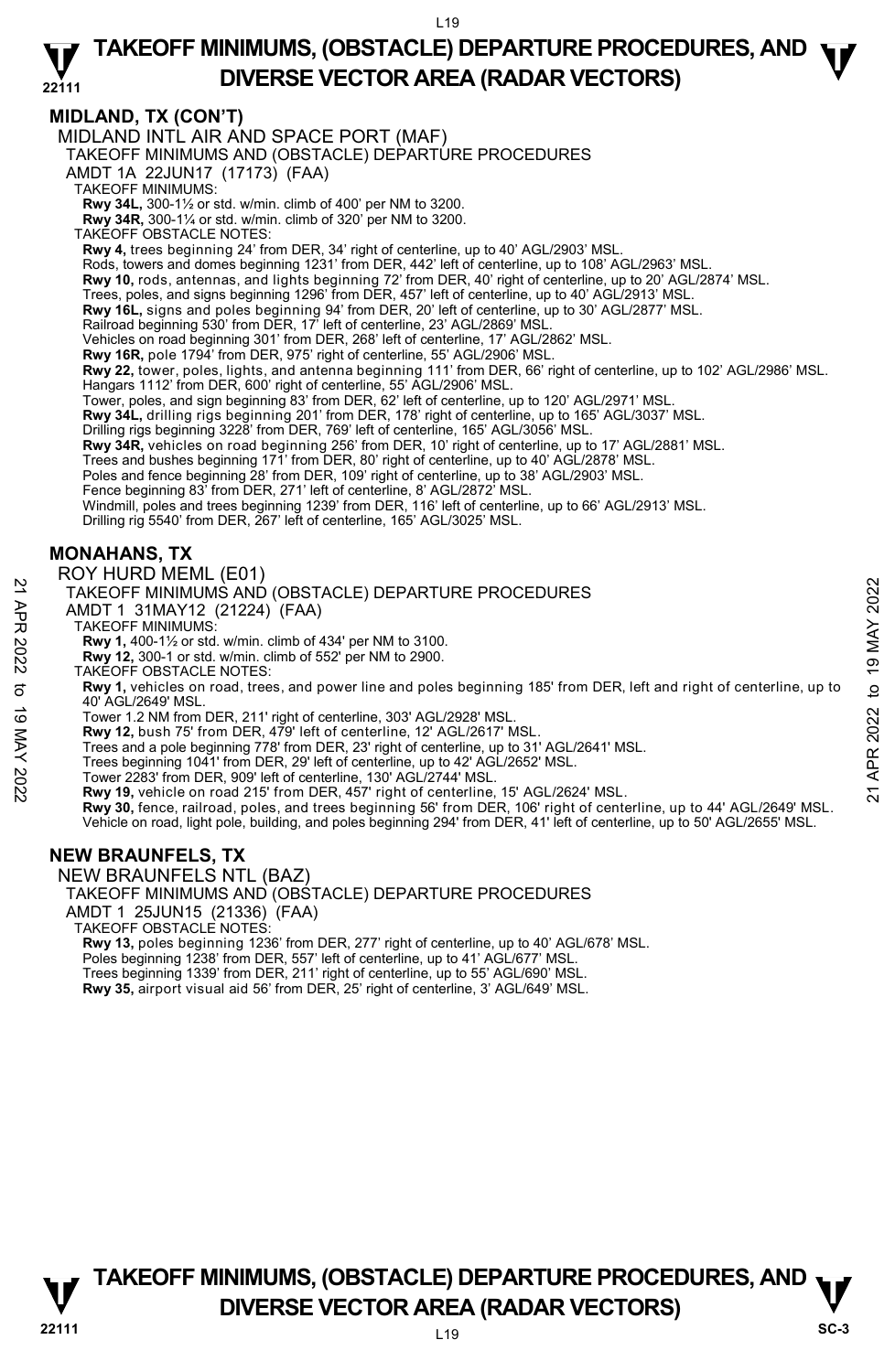### **22111 TAKEOFF MINIMUMS, (OBSTACLE) DEPARTURE PROCEDURES, AND**  $\Psi$ **DIVERSE VECTOR AREA (RADAR VECTORS)**

## **MIDLAND, TX (CON'T)**

MIDLAND INTL AIR AND SPACE PORT (MAF)

TAKEOFF MINIMUMS AND (OBSTACLE) DEPARTURE PROCEDURES

AMDT 1A 22JUN17 (17173) (FAA)

TAKEOFF MINIMUMS:

**Rwy 34L,** 300-1½ or std. w/min. climb of 400' per NM to 3200. **Rwy 34R,** 300-1¼ or std. w/min. climb of 320' per NM to 3200.

TAKEOFF OBSTACLE NOTES:

**Rwy 4,** trees beginning 24' from DER, 34' right of centerline, up to 40' AGL/2903' MSL.

Rods, towers and domes beginning 1231' from DER, 442' left of centerline, up to 108' AGL/2963' MSL.

**Rwy 10,** rods, antennas, and lights beginning 72' from DER, 40' right of centerline, up to 20' AGL/2874' MSL.

Trees, poles, and signs beginning 1296' from DER, 457' left of centerline, up to 40' AGL/2913' MSL.

**Rwy 16L,** signs and poles beginning 94' from DER, 20' left of centerline, up to 30' AGL/2877' MSL.<br>Railroad beginning 530' from DER, 17' left of centerline, 23' AGL/2869' MSL.

Vehicles on road beginning 301' from DER, 268' left of centerline, 17' AGL/2862' MSL.

**Rwy 16R,** pole 1794' from DER, 975' right of centerline, 55' AGL/2906' MSL.<br>**Rwy 22,** tower, poles, lights, and antenna beginning 111' from DER, 66' right of centerline, up to 102' AGL/2986' MSL.

Hangars 1112' from DER, 600' right of centerline, 55' AGL/2906' MSL.

Tower, poles, and sign beginning 83' from DER, 62' left of centerline, up to 120' AGL/2971' MSL.

**Rwy 34L,** drilling rigs beginning 201' from DER, 178' right of centerline, up to 165' AGL/3037' MSL.<br>Drilling rigs beginning 3228' from DER, 769' left of centerline, 165' AGL/3056' MSL.

**Rwy 34R,** vehicles on road beginning 256' from DER, 10' right of centerline, up to 17' AGL/2881' MSL.

Trees and bushes beginning 171' from DER, 80' right of centerline, up to 40' AGL/2878' MSL. Poles and fence beginning 28' from DER, 109' right of centerline, up to 38' AGL/2903' MSL.

Fence beginning 83' from DER, 271' left of centerline, 8' AGL/2872' MSL.

Windmill, poles and trees beginning 1239' from DER, 116' left of centerline, up to 66' AGL/2913' MSL.

Drilling rig 5540' from DER, 267' left of centerline, 165' AGL/3025' MSL.

## **MONAHANS, TX**

#### ROY HURD MEML (E01)

TAKEOFF MINIMUMS AND (OBSTACLE) DEPARTURE PROCEDURES

AMDT 1 31MAY12 (21224) (FAA)

TAKEOFF MINIMUMS:

**Rwy 1,** 400-1½ or std. w/min. climb of 434' per NM to 3100.

**Rwy 12,** 300-1 or std. w/min. climb of 552' per NM to 2900.

TAKEOFF OBSTACLE NOTES:

**Rwy 1,** vehicles on road, trees, and power line and poles beginning 185' from DER, left and right of centerline, up to 40' AGL/2649' MSL. TAKEOFF MINIMUMS AND (OBSTACLE) DEPARTURE PROCEDURES<br>
21 TAKEOFF MINIMUMS:<br>
TAKEOFF MINIMUMS:<br>
22 AMDT 1 31MAY12 (21224) (FAA)<br>
22 TAKEOFF MINIMUMS:<br>
23 TAKEOFF MINIMUMS:<br>
23 TARV 1,400-11/s or std. w/min. climb of 434' p

Tower 1.2 NM from DER, 211' right of centerline, 303' AGL/2928' MSL. **Rwy 12,** bush 75' from DER, 479' left of centerline, 12' AGL/2617' MSL.

Trees and a pole beginning 778' from DER, 23' right of centerline, up to 31' AGL/2641' MSL.

Trees beginning 1041' from DER, 29' left of centerline, up to 42' AGL/2652' MSL.

Tower 2283' from DER, 909' left of centerline, 130' AGL/2744' MSL. **Rwy 19,** vehicle on road 215' from DER, 457' right of centerline, 15' AGL/2624' MSL.

**Rwy 30,** fence, railroad, poles, and trees beginning 56' from DER, 106' right of centerline, up to 44' AGL/2649' MSL. Vehicle on road, light pole, building, and poles beginning 294' from DER, 41' left of centerline, up to 50' AGL/2655' MSL.

#### **NEW BRAUNFELS, TX**

NEW BRAUNFELS NTL (BAZ) TAKEOFF MINIMUMS AND (OBSTACLE) DEPARTURE PROCEDURES AMDT 1 25JUN15 (21336) (FAA) TAKEOFF OBSTACLE NOTES: **Rwy 13,** poles beginning 1236' from DER, 277' right of centerline, up to 40' AGL/678' MSL. Poles beginning 1238' from DER, 557' left of centerline, up to 41' AGL/677' MSL.<br>Trees beginning 1339' from DER, 211' right of centerline, up to 55' AGL/690' MSL.<br>**Rwy 35,** airport visual aid 56' from DER, 25' right of cen

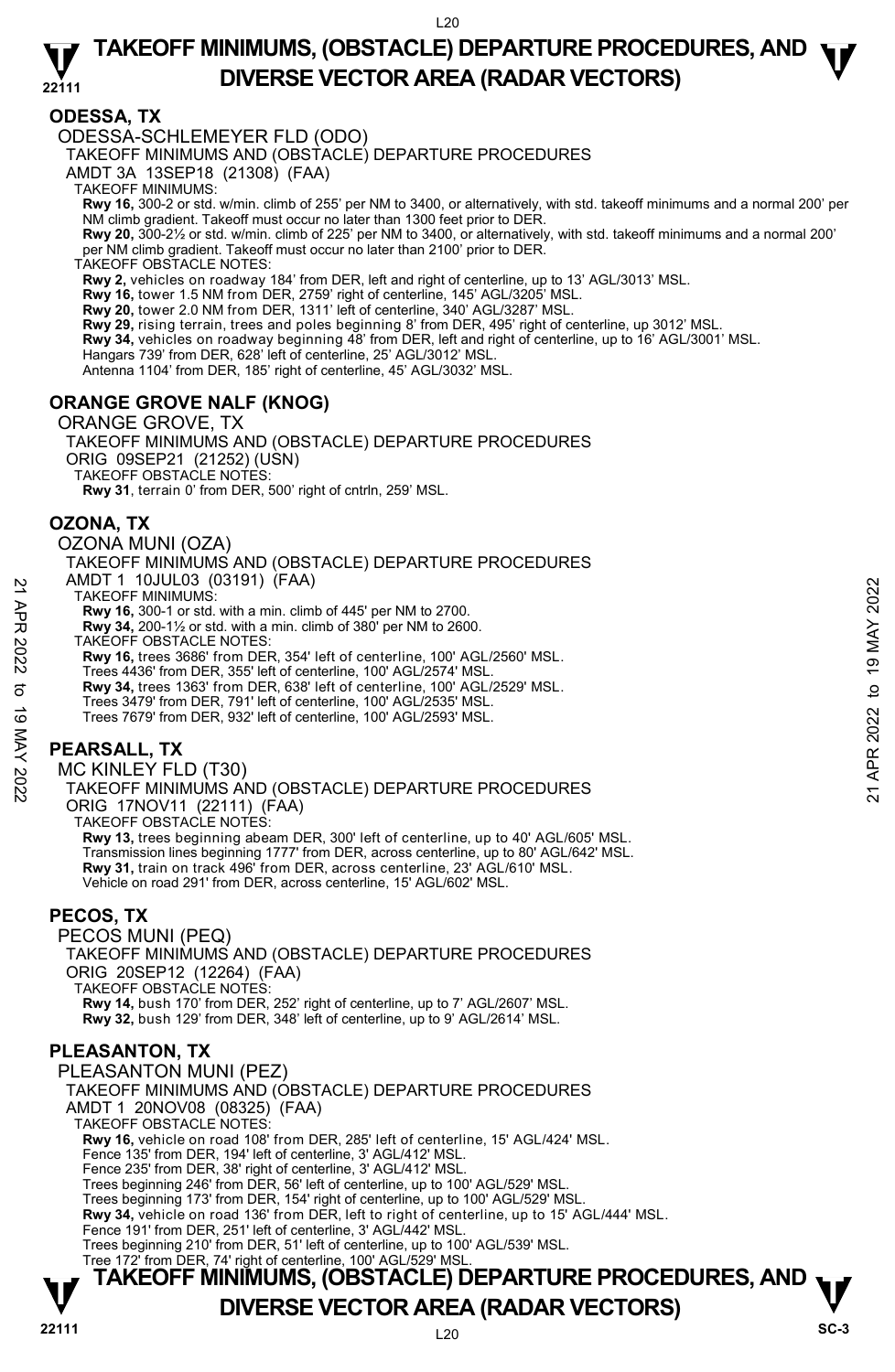#### **22111 TAKEOFF MINIMUMS, (OBSTACLE) DEPARTURE PROCEDURES, AND**  $\Psi$ **DIVERSE VECTOR AREA (RADAR VECTORS)**

## **ODESSA, TX**

#### ODESSA-SCHLEMEYER FLD (ODO)

TAKEOFF MINIMUMS AND (OBSTACLE) DEPARTURE PROCEDURES

AMDT 3A 13SEP18 (21308) (FAA)

TAKEOFF MINIMUMS:

**Rwy 16,** 300-2 or std. w/min. climb of 255' per NM to 3400, or alternatively, with std. takeoff minimums and a normal 200' per<br>NM climb gradient. Takeoff must occur no later than 1300 feet prior to DER.

**Rwy 20,** 300-2½ or std. w/min. climb of 225' per NM to 3400, or alternatively, with std. takeoff minimums and a normal 200' per NM climb gradient. Takeoff must occur no later than 2100' prior to DER.

TAKEOFF OBSTACLE NOTES:

**Rwy 2,** vehicles on roadway 184' from DER, left and right of centerline, up to 13' AGL/3013' MSL.

**Rwy 16,** tower 1.5 NM from DER, 2759' right of centerline, 145' AGL/3205' MSL.

**Rwy 20,** tower 2.0 NM from DER, 1311' left of centerline, 340' AGL/3287' MSL.

**Rwy 29,** rising terrain, trees and poles beginning 8' from DER, 495' right of centerline, up 3012' MSL.

**Rwy 34,** vehicles on roadway beginning 48' from DER, left and right of centerline, up to 16' AGL/3001' MSL.

Hangars 739' from DER, 628' left of centerline, 25' AGL/3012' MSL.

Antenna 1104' from DER, 185' right of centerline, 45' AGL/3032' MSL.

### **ORANGE GROVE NALF (KNOG)**

#### ORANGE GROVE, TX

TAKEOFF MINIMUMS AND (OBSTACLE) DEPARTURE PROCEDURES ORIG 09SEP21 (21252) (USN) TAKEOFF OBSTACLE NOTES: **Rwy 31**, terrain 0' from DER, 500' right of cntrln, 259' MSL.

**OZONA, TX** 

OZONA MUNI (OZA)

TAKEOFF MINIMUMS AND (OBSTACLE) DEPARTURE PROCEDURES AMDT 1 10JUL03 (03191) (FAA)

TAKEOFF MINIMUMS:

**Rwy 16,** 300-1 or std. with a min. climb of 445' per NM to 2700.

**Rwy 34,** 200-1½ or std. with a min. climb of 380' per NM to 2600.

TAKEOFF OBSTACLE NOTES:

**Rwy 16,** trees 3686' from DER, 354' left of centerline, 100' AGL/2560' MSL.

Trees 4436' from DER, 355' left of centerline, 100' AGL/2574' MSL. **Rwy 34,** trees 1363' from DER, 638' left of centerline, 100' AGL/2529' MSL.

Trees 3479' from DER, 791' left of centerline, 100' AGL/2535' MSL.

Trees 7679' from DER, 932' left of centerline, 100' AGL/2593' MSL.

## **PEARSALL, TX**

MC KINLEY FLD (T30) TAKEOFF MINIMUMS AND (OBSTACLE) DEPARTURE PROCEDURES ORIG 17NOV11 (22111) (FAA) TAKEOFF OBSTACLE NOTES: **Rwy 13,** trees beginning abeam DER, 300' left of centerline, up to 40' AGL/605' MSL. Transmission lines beginning 1777' from DER, across centerline, up to 80' AGL/642' MSL. 21 APR 2022 to 19 MAY 202221 APR 2022 to 19 MAY 2022

**Rwy 31,** train on track 496' from DER, across centerline, 23' AGL/610' MSL. Vehicle on road 291' from DER, across centerline, 15' AGL/602' MSL.

#### **PECOS, TX**

PECOS MUNI (PEQ) TAKEOFF MINIMUMS AND (OBSTACLE) DEPARTURE PROCEDURES ORIG 20SEP12 (12264) (FAA) TAKEOFF OBSTACLE NOTES: **Rwy 14,** bush 170' from DER, 252' right of centerline, up to 7' AGL/2607' MSL. **Rwy 32,** bush 129' from DER, 348' left of centerline, up to 9' AGL/2614' MSL.

## **PLEASANTON, TX**

PLEASANTON MUNI (PEZ) TAKEOFF MINIMUMS AND (OBSTACLE) DEPARTURE PROCEDURES AMDT 1 20NOV08 (08325) (FAA) TAKEOFF OBSTACLE NOTES: **Rwy 16,** vehicle on road 108' from DER, 285' left of centerline, 15' AGL/424' MSL. Fence 135' from DER, 194' left of centerline, 3' AGL/412' MSL. Fence 235' from DER, 38' right of centerline, 3' AGL/412' MSL. Trees beginning 246' from DER, 56' left of centerline, up to 100' AGL/529' MSL. Trees beginning 173' from DER, 154' right of centerline, up to 100' AGL/529' MSL. **Rwy 34,** vehicle on road 136' from DER, left to right of centerline, up to 15' AGL/444' MSL. Fence 191' from DER, 251' left of centerline, 3' AGL/442' MSL. Trees beginning 210' from DER, 51' left of centerline, up to 100' AGL/539' MSL. Tree 172' from DER, 74' right of centerline, 100' AGL/529' MSL.

# **TAKEOFF MINIMUMS, (OBSTACLE) DEPARTURE PROCEDURES, AND**  $\mathbf{\nabla}$ **DIVERSE VECTOR AREA (RADAR VECTORS)** SC-3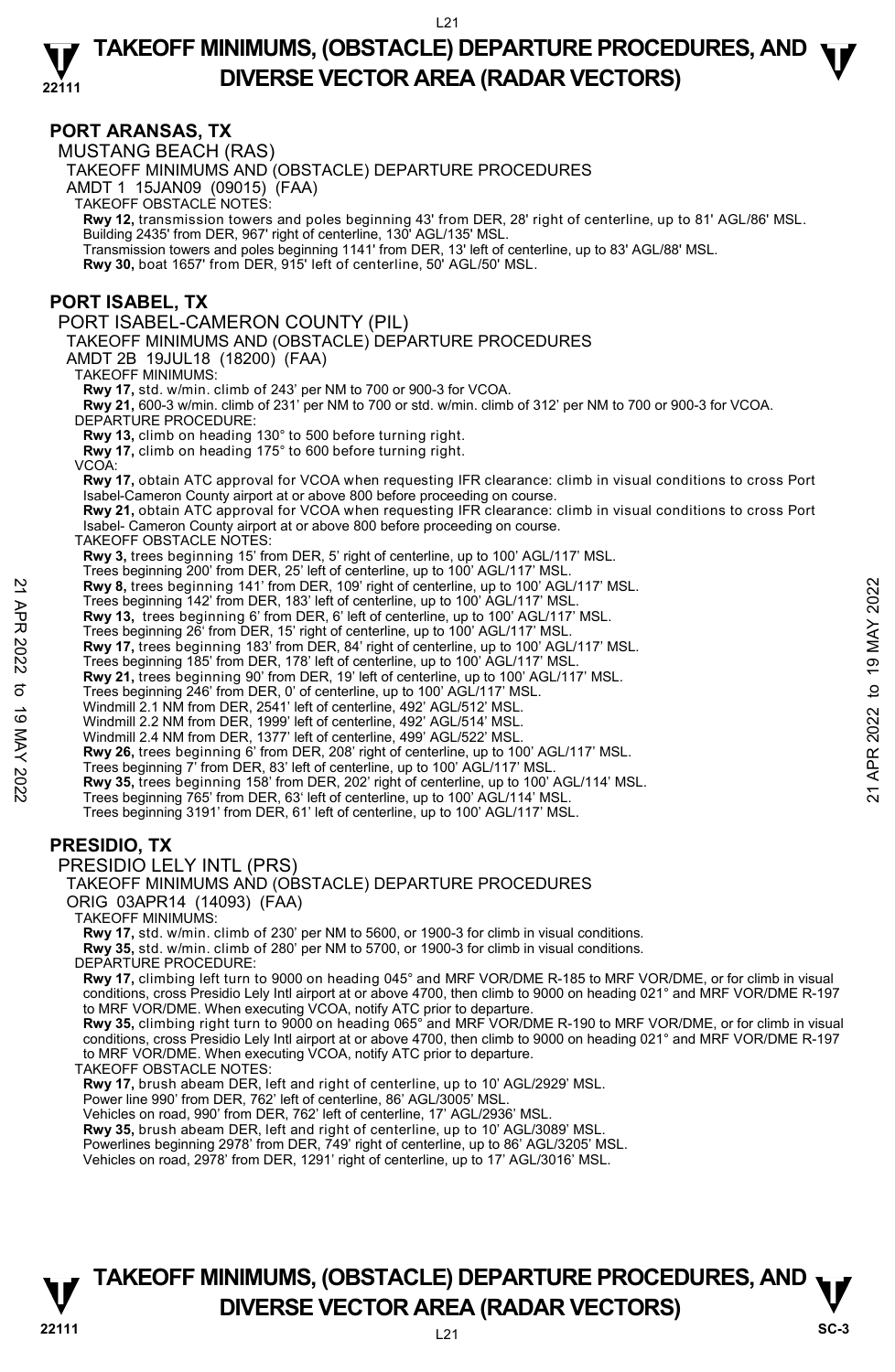#### **22111 TAKEOFF MINIMUMS, (OBSTACLE) DEPARTURE PROCEDURES, AND**  $\Psi$ **DIVERSE VECTOR AREA (RADAR VECTORS)**

#### **PORT ARANSAS, TX**

MUSTANG BEACH (RAS) TAKEOFF MINIMUMS AND (OBSTACLE) DEPARTURE PROCEDURES AMDT 1 15JAN09 (09015) (FAA) TAKEOFF OBSTACLE NOTES: **Rwy 12,** transmission towers and poles beginning 43' from DER, 28' right of centerline, up to 81' AGL/86' MSL. Building 2435' from DER, 967' right of centerline, 130' AGL/135' MSL. Transmission towers and poles beginning 1141' from DER, 13' left of centerline, up to 83' AGL/88' MSL. **Rwy 30,** boat 1657' from DER, 915' left of centerline, 50' AGL/50' MSL. **PORT ISABEL, TX**  PORT ISABEL-CAMERON COUNTY (PIL) TAKEOFF MINIMUMS AND (OBSTACLE) DEPARTURE PROCEDURES AMDT 2B 19JUL18 (18200) (FAA) TAKEOFF MINIMUMS: **Rwy 17,** std. w/min. climb of 243' per NM to 700 or 900-3 for VCOA. **Rwy 21,** 600-3 w/min. climb of 231' per NM to 700 or std. w/min. climb of 312' per NM to 700 or 900-3 for VCOA. DEPARTURE PROCEDURE: **Rwy 13,** climb on heading 130° to 500 before turning right. **Rwy 17,** climb on heading 175° to 600 before turning right. VCOA: **Rwy 17,** obtain ATC approval for VCOA when requesting IFR clearance: climb in visual conditions to cross Port Isabel-Cameron County airport at or above 800 before proceeding on course. **Rwy 21,** obtain ATC approval for VCOA when requesting IFR clearance: climb in visual conditions to cross Port Isabel- Cameron County airport at or above 800 before proceeding on course. TAKEOFF OBSTACLE NOTES: **Rwy 3,** trees beginning 15' from DER, 5' right of centerline, up to 100' AGL/117' MSL. Trees beginning 200' from DER, 25' left of centerline, up to 100' AGL/117' MSL. **Rwy 8,** trees beginning 141' from DER, 109' right of centerline, up to 100' AGL/117' MSL. Trees beginning 142' from DER, 183' left of centerline, up to 100' AGL/117' MSL. **Rwy 13,** trees beginning 6' from DER, 6' left of centerline, up to 100' AGL/117' MSL. Trees beginning 26' from DER, 15' right of centerline, up to 100' AGL/117' MSL. **Rwy 17,** trees beginning 183' from DER, 84' right of centerline, up to 100' AGL/117' MSL. Trees beginning 185' from DER, 178' left of centerline, up to 100' AGL/117' MSL. **Rwy 21,** trees beginning 90' from DER, 19' left of centerline, up to 100' AGL/117' MSL.<br>Trees beginning 246' from DER, 0' of centerline, up to 100' AGL/117' MSL. Windmill 2.1 NM from DER, 2541' left of centerline, 492' AGL/512' MSL. Windmill 2.2 NM from DER, 1999' left of centerline, 492' AGL/514' MSL. Windmill 2.4 NM from DER, 1377' left of centerline, 499' AGL/522' MSL. **Rwy 26,** trees beginning 6' from DER, 208' right of centerline, up to 100' AGL/117' MSL. Trees beginning 7' from DER, 83' left of centerline, up to 100' AGL/117' MSL. **Rwy 35,** trees beginning 158' from DER, 202' right of centerline, up to 100' AGL/114' MSL. Trees beginning 765' from DER, 63' left of centerline, up to 100' AGL/114' MSL. Trees beginning 3191' from DER, 61' left of centerline, up to 100' AGL/117' MSL. **PRESIDIO, TX**  PRESIDIO LELY INTL (PRS) TAKEOFF MINIMUMS AND (OBSTACLE) DEPARTURE PROCEDURES ORIG 03APR14 (14093) (FAA) TAKEOFF MINIMUMS: **Rwy 17,** std. w/min. climb of 230' per NM to 5600, or 1900-3 for climb in visual conditions. **Rwy 35,** std. w/min. climb of 280' per NM to 5700, or 1900-3 for climb in visual conditions. DEPARTURE PROCEDURE: **Rwy 17,** climbing left turn to 9000 on heading 045° and MRF VOR/DME R-185 to MRF VOR/DME, or for climb in visual<br>conditions, cross Presidio Lely Intl airport at or above 4700, then climb to 9000 on heading 021° and MRF VO to MRF VOR/DME. When executing VCOA, notify ATC prior to departure. **Rwy 35,** climbing right turn to 9000 on heading 065° and MRF VOR/DME R-190 to MRF VOR/DME, or for climb in visual<br>conditions, cross Presidio Lely Intl airport at or above 4700, then climb to 9000 on heading 021° and MRF V to MRF VOR/DME. When executing VCOA, notify ATC prior to departure. TAKEOFF OBSTACLE NOTES: **Rwy 17,** brush abeam DER, left and right of centerline, up to 10' AGL/2929' MSL. Power line 990' from DER, 762' left of centerline, 86' AGL/3005' MSL. Vehicles on road, 990' from DER, 762' left of centerline, 17' AGL/2936' MSL. Rwy 8, trees beginning 141' from DER, 109' right of centerline, up to 100' AGL/117' MSL.<br>
Trees beginning 142' from DER, 16' eleft of centerline, up to 100' AGL/117' MSL.<br>
Trees beginning 26' from DER, 15' right of center

**Rwy 35,** brush abeam DER, left and right of centerline, up to 10' AGL/3089' MSL.<br>Powerlines beginning 2978' from DER, 749' right of centerline, up to 86' AGL/3205' MSL.

Vehicles on road, 2978' from DER, 1291' right of centerline, up to 17' AGL/3016' MSL.

## **TAKEOFF MINIMUMS, (OBSTACLE) DEPARTURE PROCEDURES, AND**  $\nabla$ **<br>DIVERSE VECTOR AREA (RADAR VECTORS) DIVERSE VECTOR AREA (RADAR VECTORS)** SC-3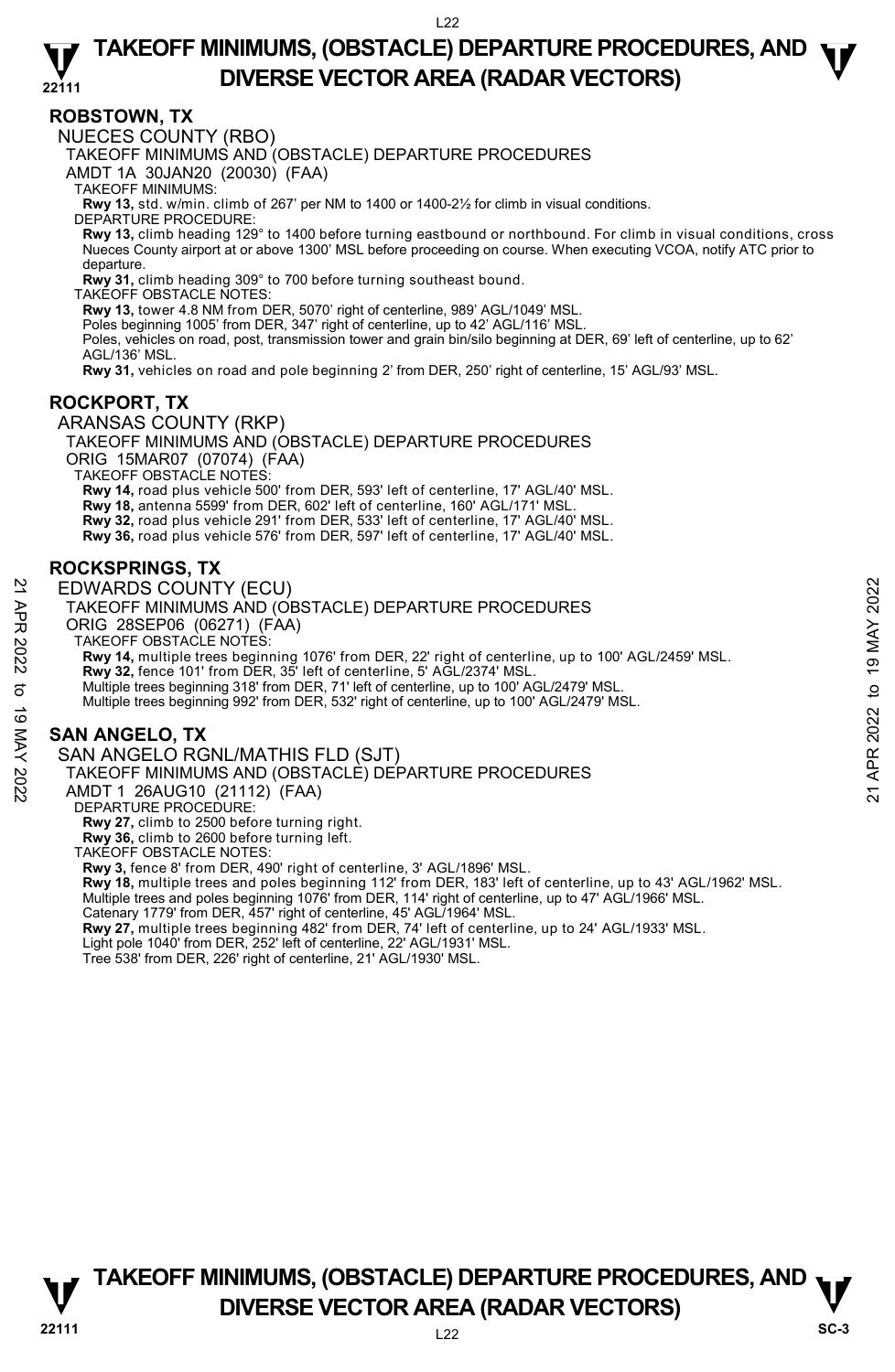## **ROBSTOWN, TX**

NUECES COUNTY (RBO)

TAKEOFF MINIMUMS AND (OBSTACLE) DEPARTURE PROCEDURES

AMDT 1A 30JAN20 (20030) (FAA)

TAKEOFF MINIMUMS:

**Rwy 13,** std. w/min. climb of 267' per NM to 1400 or 1400-2½ for climb in visual conditions.

DEPARTURE PROCEDURE:

**Rwy 13,** climb heading 129° to 1400 before turning eastbound or northbound. For climb in visual conditions, cross Nueces County airport at or above 1300' MSL before proceeding on course. When executing VCOA, notify ATC prior to departure.

**Rwy 31,** climb heading 309° to 700 before turning southeast bound.

TAKEOFF OBSTACLE NOTES:

**Rwy 13,** tower 4.8 NM from DER, 5070' right of centerline, 989' AGL/1049' MSL.

Poles beginning 1005' from DER, 347' right of centerline, up to 42' AGL/116' MSL.

Poles, vehicles on road, post, transmission tower and grain bin/silo beginning at DER, 69' left of centerline, up to 62' AGL/136' MSL.

**Rwy 31,** vehicles on road and pole beginning 2' from DER, 250' right of centerline, 15' AGL/93' MSL.

### **ROCKPORT, TX**

ARANSAS COUNTY (RKP) TAKEOFF MINIMUMS AND (OBSTACLE) DEPARTURE PROCEDURES ORIG 15MAR07 (07074) (FAA)

TAKEOFF OBSTACLE NOTES:

**Rwy 14,** road plus vehicle 500' from DER, 593' left of centerline, 17' AGL/40' MSL.

**Rwy 18,** antenna 5599' from DER, 602' left of centerline, 160' AGL/171' MSL.

**Rwy 32,** road plus vehicle 291' from DER, 533' left of centerline, 17' AGL/40' MSL. **Rwy 36,** road plus vehicle 576' from DER, 597' left of centerline, 17' AGL/40' MSL.

## **ROCKSPRINGS, TX**

EDWARDS COUNTY (ECU) TAKEOFF MINIMUMS AND (OBSTACLE) DEPARTURE PROCEDURES

ORIG 28SEP06 (06271) (FAA)

TAKEOFF OBSTACLE NOTES:

**Rwy 14,** multiple trees beginning 1076' from DER, 22' right of centerline, up to 100' AGL/2459' MSL. 22 EDWARDS COUNTY (ECU)<br>
TAKEOFF MINIMUMS AND (OBSTACLE) DEPARTURE PROCEDURES<br>
ORIG 28SEP06 (06271) (FAA)<br>
21 TAKEOFF OBSTACLE NOTES:<br>
TAKEOFF OBSTACLE NOTES:<br>
TAKEOFF OBSTACLE NOTES:<br>
TAKEOFF OBSTACLE NOTES:<br>
TAKEOFF OBS

**Rwy 32,** fence 101' from DER, 35' left of centerline, 5' AGL/2374' MSL.

Multiple trees beginning 318' from DER, 71' left of centerline, up to 100' AGL/2479' MSL.

Multiple trees beginning 992' from DER, 532' right of centerline, up to 100' AGL/2479' MSL.

## **SAN ANGELO, TX**

SAN ANGELO RGNL/MATHIS FLD (SJT)

TAKEOFF MINIMUMS AND (OBSTACLE) DEPARTURE PROCEDURES

AMDT 1 26AUG10 (21112) (FAA)

DEPARTURE PROCEDURE:

**Rwy 27,** climb to 2500 before turning right.

**Rwy 36,** climb to 2600 before turning left.

TAKEOFF OBSTACLE NOTES:

**Rwy 3,** fence 8' from DER, 490' right of centerline, 3' AGL/1896' MSL.

**Rwy 18,** multiple trees and poles beginning 112' from DER, 183' left of centerline, up to 43' AGL/1962' MSL.<br>Multiple trees and poles beginning 1076' from DER, 114' right of centerline, up to 47' AGL/1966' MSL.

Catenary 1779' from DER, 457' right of centerline, 45' AGL/1964' MSL.

**Rwy 27,** multiple trees beginning 482' from DER, 74' left of centerline, up to 24' AGL/1933' MSL.<br>Light pole 1040' from DER, 252' left of centerline, 22' AGL/1931' MSL.

Tree 538' from DER, 226' right of centerline, 21' AGL/1930' MSL.

**TAKEOFF MINIMUMS, (OBSTACLE) DEPARTURE PROCEDURES, AND**  $\nabla$ **<br>DIVERSE VECTOR AREA (RADAR VECTORS) DIVERSE VECTOR AREA (RADAR VECTORS)** SC-3

**22111** L22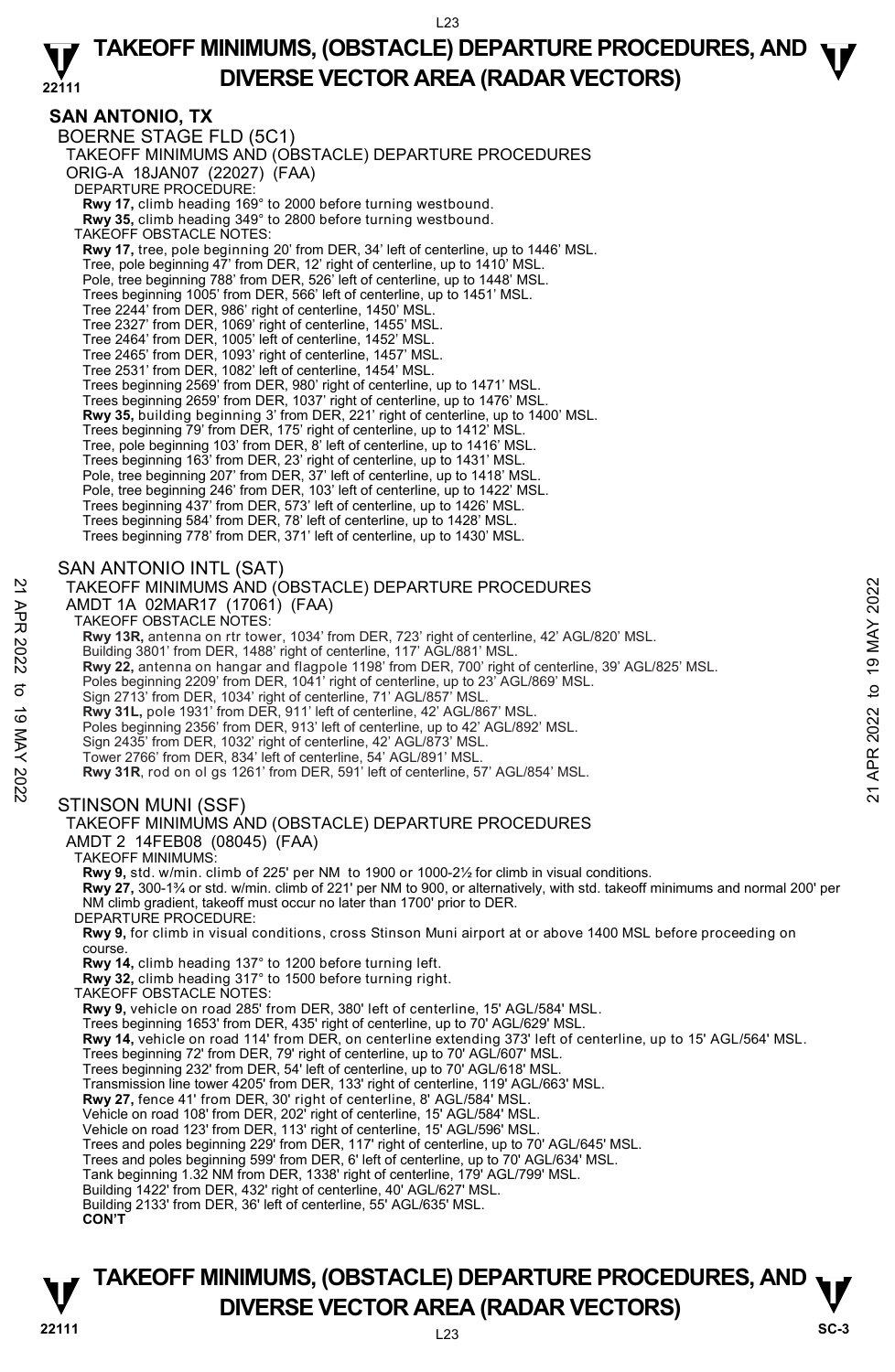#### **22111 TAKEOFF MINIMUMS, (OBSTACLE) DEPARTURE PROCEDURES, AND**  $\Psi$ **DIVERSE VECTOR AREA (RADAR VECTORS)**

## **SAN ANTONIO, TX**

BOERNE STAGE FLD (5C1) TAKEOFF MINIMUMS AND (OBSTACLE) DEPARTURE PROCEDURES ORIG-A 18JAN07 (22027) (FAA) DEPARTURE PROCEDURE: **Rwy 17,** climb heading 169° to 2000 before turning westbound. **Rwy 35,** climb heading 349° to 2800 before turning westbound. TAKEOFF OBSTACLE NOTES: **Rwy 17,** tree, pole beginning 20' from DER, 34' left of centerline, up to 1446' MSL. Tree, pole beginning 47' from DER, 12' right of centerline, up to 1410' MSL. Pole, tree beginning 788' from DER, 526' left of centerline, up to 1448' MSL. Trees beginning 1005' from DER, 566' left of centerline, up to 1451' MSL. Tree 2244' from DER, 986' right of centerline, 1450' MSL. Tree 2327' from DER, 1069' right of centerline, 1455' MSL. Tree 2464' from DER, 1005' left of centerline, 1452' MSL. Tree 2465' from DER, 1093' right of centerline, 1457' MSL. Tree 2531' from DER, 1082' left of centerline, 1454' MSL. Trees beginning 2569' from DER, 980' right of centerline, up to 1471' MSL. Trees beginning 2659' from DER, 1037' right of centerline, up to 1476' MSL. **Rwy 35,** building beginning 3' from DER, 221' right of centerline, up to 1400' MSL.<br>Trees beginning 79' from DER, 175' right of centerline, up to 1412' MSL. Tree, pole beginning 103' from DER, 8' left of centerline, up to 1416' MSL. Trees beginning 163' from DER, 23' right of centerline, up to 1431' MSL. Pole, tree beginning 207' from DER, 37' left of centerline, up to 1418' MSL. Pole, tree beginning 246' from DER, 103' left of centerline, up to 1422' MSL. Trees beginning 437' from DER, 573' left of centerline, up to 1426' MSL. Trees beginning 584' from DER, 78' left of centerline, up to 1428' MSL. Trees beginning 778' from DER, 371' left of centerline, up to 1430' MSL. SAN ANTONIO INTL (SAT) TAKEOFF MINIMUMS AND (OBSTACLE) DEPARTURE PROCEDURES AMDT 1A 02MAR17 (17061) (FAA) TAKEOFF OBSTACLE NOTES: **Rwy 13R,** antenna on rtr tower, 1034' from DER, 723' right of centerline, 42' AGL/820' MSL. Building 3801' from DER, 1488' right of centerline, 117' AGL/881' MSL. **Rwy 22,** antenna on hangar and flagpole 1198' from DER, 700' right of centerline, 39' AGL/825' MSL.<br>Poles beginning 2209' from DER, 1041' right of centerline, up to 23' AGL/869' MSL. Sign 2713' from DER, 1034' right of centerline, 71' AGL/857' MSL. **Rwy 31L,** pole 1931' from DER, 911' left of centerline, 42' AGL/867' MSL. Poles beginning 2356' from DER, 913' left of centerline, up to 42' AGL/892' MSL. Sign 2435' from DER, 1032' right of centerline, 42' AGL/873' MSL. Tower 2766' from DER, 834' left of centerline, 54' AGL/891' MSL. **Rwy 31R**, rod on ol gs 1261' from DER, 591' left of centerline, 57' AGL/854' MSL. STINSON MUNI (SSF) TAKEOFF MINIMUMS AND (OBSTACLE) DEPARTURE PROCEDURES AMDT 2 14FEB08 (08045) (FAA) TAKEOFF MINIMUMS: **Rwy 9,** std. w/min. climb of 225' per NM to 1900 or 1000-2½ for climb in visual conditions. **Rwy 27,** 300-1¾ or std. w/min. climb of 221' per NM to 900, or alternatively, with std. takeoff minimums and normal 200' per NM climb gradient, takeoff must occur no later than 1700' prior to DER. DEPARTURE PROCEDURE: **Rwy 9,** for climb in visual conditions, cross Stinson Muni airport at or above 1400 MSL before proceeding on course. **Rwy 14,** climb heading 137° to 1200 before turning left. **Rwy 32,** climb heading 317° to 1500 before turning right. TAKEOFF OBSTACLE NOTES: **Rwy 9,** vehicle on road 285' from DER, 380' left of centerline, 15' AGL/584' MSL. Trees beginning 1653' from DER, 435' right of centerline, up to 70' AGL/629' MSL.<br>**Rwy 14,** vehicle on road 114' from DER, on centerline extending 373' left of centerline, up to 15' AGL/564' MSL. Trees beginning 72' from DER, 79' right of centerline, up to 70' AGL/607' MSL. Trees beginning 232' from DER, 54' left of centerline, up to 70' AGL/618' MSL. Transmission line tower 4205' from DER, 133' right of centerline, 119' AGL/663' MSL. **Rwy 27,** fence 41' from DER, 30' right of centerline, 8' AGL/584' MSL. Vehicle on road 108' from DER, 202' right of centerline, 15' AGL/584' MSL. Vehicle on road 123' from DER, 113' right of centerline, 15' AGL/596' MSL. Trees and poles beginning 229' from DER, 117' right of centerline, up to 70' AGL/645' MSL. Trees and poles beginning 599' from DER, 6' left of centerline, up to 70' AGL/634' MSL. Tank beginning 1.32 NM from DER, 1338' right of centerline, 179' AGL/799' MSL. Building 1422' from DER, 432' right of centerline, 40' AGL/627' MSL. Building 2133' from DER, 36' left of centerline, 55' AGL/635' MSL. 22 TAKEOFF MINIMUMS AND (OBSTACLE) DEPARTURE PROCEDURES<br>
22 AMDT 1A 02MAR17 (17061) (FAA)<br>
TAKEOFF OBSTACLE NOTES:<br>
22 TAKEOFF OBSTACLE NOTES:<br>
23 TAKEOFF OBSTACLE NOTES:<br>
23 Rwy 13R, antenna on thr tower, 1034' from DER,

## **22111** L23 **TAKEOFF MINIMUMS, (OBSTACLE) DEPARTURE PROCEDURES, AND**  $\nabla$ **<br>DIVERSE VECTOR AREA (RADAR VECTORS) DIVERSE VECTOR AREA (RADAR VECTORS)** SC-3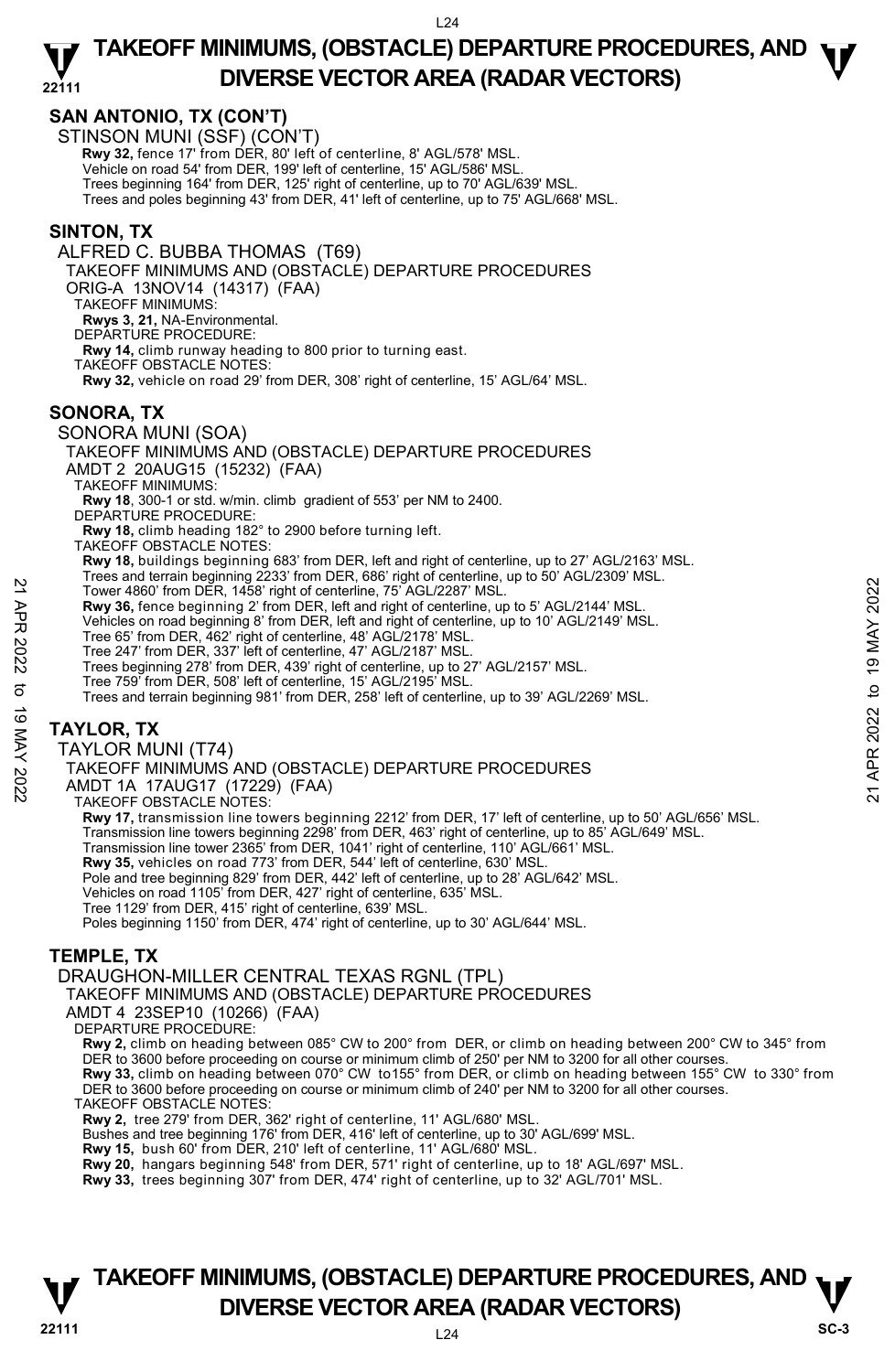#### **22111 TAKEOFF MINIMUMS, (OBSTACLE) DEPARTURE PROCEDURES, AND**  $\Psi$ **DIVERSE VECTOR AREA (RADAR VECTORS)**

## **SAN ANTONIO, TX (CON'T)**

STINSON MUNI (SSF) (CON'T)

 **Rwy 32,** fence 17' from DER, 80' left of centerline, 8' AGL/578' MSL.

Vehicle on road 54' from DER, 199' left of centerline, 15' AGL/586' MSL.

Trees beginning 164' from DER, 125' right of centerline, up to 70' AGL/639' MSL.

Trees and poles beginning 43' from DER, 41' left of centerline, up to 75' AGL/668' MSL.

#### **SINTON, TX**

ALFRED C. BUBBA THOMAS (T69) TAKEOFF MINIMUMS AND (OBSTACLE) DEPARTURE PROCEDURES ORIG-A 13NOV14 (14317) (FAA) TAKEOFF MINIMUMS: **Rwys 3, 21,** NA-Environmental. DEPARTURE PROCEDURE: **Rwy 14,** climb runway heading to 800 prior to turning east. TAKEOFF OBSTACLE NOTES: **Rwy 32,** vehicle on road 29' from DER, 308' right of centerline, 15' AGL/64' MSL. **SONORA, TX**  SONORA MUNI (SOA) TAKEOFF MINIMUMS AND (OBSTACLE) DEPARTURE PROCEDURES AMDT 2 20AUG15 (15232) (FAA) TAKEOFF MINIMUMS: **Rwy 18**, 300-1 or std. w/min. climb gradient of 553' per NM to 2400. DEPARTURE PROCEDURE **Rwy 18,** climb heading 182° to 2900 before turning left. TAKEOFF OBSTACLE NOTES: **Rwy 18,** buildings beginning 683' from DER, left and right of centerline, up to 27' AGL/2163' MSL. Trees and terrain beginning 2233' from DER, 686' right of centerline, up to 50' AGL/2309' MSL. Tower 4860' from DER, 1458' right of centerline, 75' AGL/2287' MSL. **Rwy 36,** fence beginning 2' from DER, left and right of centerline, up to 5' AGL/2144' MSL. Vehicles on road beginning 8' from DER, left and right of centerline, up to 10' AGL/2149' MSL. Tree 65' from DER, 462' right of centerline, 48' AGL/2178' MSL. Tree 247' from DER, 337' left of centerline, 47' AGL/2187' MSL. Trees beginning 278' from DER, 439' right of centerline, up to 27' AGL/2157' MSL. Tree 759' from DER, 508' left of centerline, 15' AGL/2195' MSL. Trees and terrain beginning 981' from DER, 258' left of centerline, up to 39' AGL/2269' MSL. **TAYLOR, TX**  TAYLOR MUNI (T74) TAKEOFF MINIMUMS AND (OBSTACLE) DEPARTURE PROCEDURES AMDT 1A 17AUG17 (17229) (FAA) TAKEOFF OBSTACLE NOTES: **Rwy 17,** transmission line towers beginning 2212' from DER, 17' left of centerline, up to 50' AGL/656' MSL. Transmission line towers beginning 2298' from DER, 463' right of centerline, up to 85' AGL/649' MSL.<br>Transmission line tower 2365' from DER, 1041' right of centerline, 110' AGL/661' MSL. 221 Tower 4860 from DER, 1458 right of centerline, 75 AGL/2287' MSL.<br>
Tower 4860 from DER, 1458' right of centerline, 75 AGL/2287' MSL.<br>
Whicles on road beginning 8' from DER, left and right of centerline, up to 10' AGL/21

**Rwy 35,** vehicles on road 773' from DER, 544' left of centerline, 630' MSL.

Pole and tree beginning 829' from DER, 442' left of centerline, up to 28' AGL/642' MSL. Vehicles on road 1105' from DER, 427' right of centerline, 635' MSL.

Tree 1129' from DER, 415' right of centerline, 639' MSL.

Poles beginning 1150' from DER, 474' right of centerline, up to 30' AGL/644' MSL.

## **TEMPLE, TX**

DRAUGHON-MILLER CENTRAL TEXAS RGNL (TPL)

TAKEOFF MINIMUMS AND (OBSTACLE) DEPARTURE PROCEDURES

AMDT 4 23SEP10 (10266) (FAA)

DEPARTURE PROCEDURE:

**Rwy 2,** climb on heading between 085° CW to 200° from DER, or climb on heading between 200° CW to 345° from DER to 3600 before proceeding on course or minimum climb of 250' per NM to 3200 for all other courses.

**Rwy 33,** climb on heading between 070° CW to155° from DER, or climb on heading between 155° CW to 330° from DER to 3600 before proceeding on course or minimum climb of 240' per NM to 3200 for all other courses.

TAKEOFF OBSTACLE NOTES:

**Rwy 2,** tree 279' from DER, 362' right of centerline, 11' AGL/680' MSL.

Bushes and tree beginning 176' from DER, 416' left of centerline, up to 30' AGL/699' MSL.<br>**Rwy 15,** bush 60' from DER, 210' left of centerline, 11' AGL/680' MSL.

**Rwy 20,** hangars beginning 548' from DER, 571' right of centerline, up to 18' AGL/697' MSL.

**Rwy 33,** trees beginning 307' from DER, 474' right of centerline, up to 32' AGL/701' MSL.

## **22111** L24 **TAKEOFF MINIMUMS, (OBSTACLE) DEPARTURE PROCEDURES, AND**  $\nabla$ **<br>DIVERSE VECTOR AREA (RADAR VECTORS) DIVERSE VECTOR AREA (RADAR VECTORS)**  $V_{\rm sc-3}$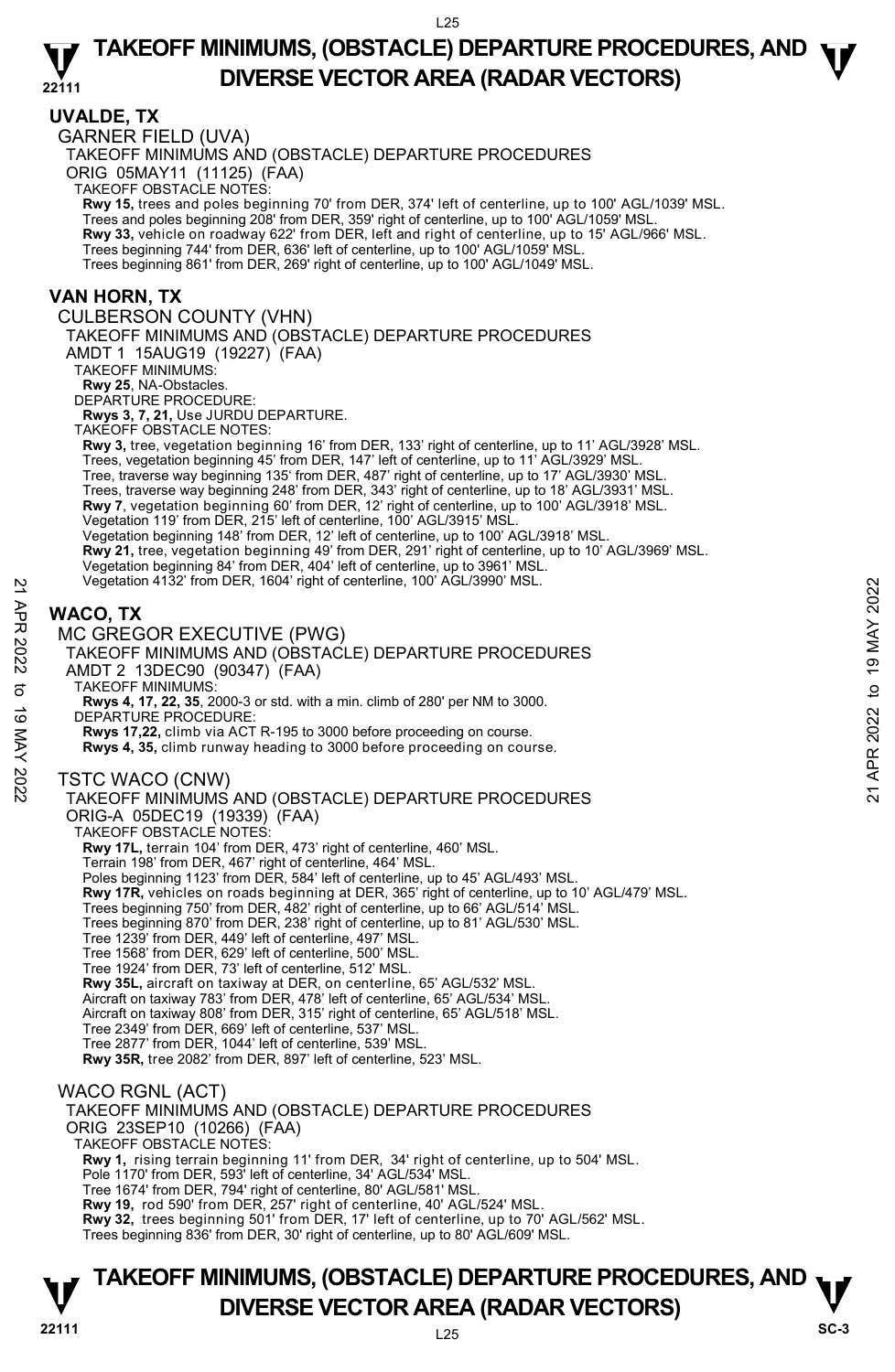#### **UVALDE, TX**

GARNER FIELD (UVA) TAKEOFF MINIMUMS AND (OBSTACLE) DEPARTURE PROCEDURES ORIG 05MAY11 (11125) (FAA) TAKEOFF OBSTACLE NOTES: **Rwy 15,** trees and poles beginning 70' from DER, 374' left of centerline, up to 100' AGL/1039' MSL. Trees and poles beginning 208' from DER, 359' right of centerline, up to 100' AGL/1059' MSL. **Rwy 33,** vehicle on roadway 622' from DER, left and right of centerline, up to 15' AGL/966' MSL. Trees beginning 744' from DER, 636' left of centerline, up to 100' AGL/1059' MSL. Trees beginning 861' from DER, 269' right of centerline, up to 100' AGL/1049' MSL. **VAN HORN, TX**  CULBERSON COUNTY (VHN) TAKEOFF MINIMUMS AND (OBSTACLE) DEPARTURE PROCEDURES AMDT 1 15AUG19 (19227) (FAA) TAKEOFF MINIMUMS: **Rwy 25**, NA-Obstacles. DEPARTURE PROCEDURE: **Rwys 3, 7, 21,** Use JURDU DEPARTURE. TAKEOFF OBSTACLE NOTES: **Rwy 3,** tree, vegetation beginning 16' from DER, 133' right of centerline, up to 11' AGL/3928' MSL. Trees, vegetation beginning 45' from DER, 147' left of centerline, up to 11' AGL/3929' MSL. Tree, traverse way beginning 135' from DER, 487' right of centerline, up to 17' AGL/3930' MSL. Trees, traverse way beginning 248' from DER, 343' right of centerline, up to 18' AGL/3931' MSL. **Rwy 7**, vegetation beginning 60' from DER, 12' right of centerline, up to 100' AGL/3918' MSL. Vegetation 119' from DER, 215' left of centerline, 100' AGL/3915' MSL. Vegetation beginning 148' from DER, 12' left of centerline, up to 100' AGL/3918' MSL. **Rwy 21,** tree, vegetation beginning 49' from DER, 291' right of centerline, up to 10' AGL/3969' MSL. Vegetation beginning 84' from DER, 404' left of centerline, up to 3961' MSL. Vegetation 4132' from DER, 1604' right of centerline, 100' AGL/3990' MSL. **WACO, TX**  MC GREGOR EXECUTIVE (PWG) TAKEOFF MINIMUMS AND (OBSTACLE) DEPARTURE PROCEDURES AMDT 2 13DEC90 (90347) (FAA) TAKEOFF MINIMUMS: **Rwys 4, 17, 22, 35**, 2000-3 or std. with a min. climb of 280' per NM to 3000. DEPARTURE PROCEDURE **Rwys 17,22,** climb via ACT R-195 to 3000 before proceeding on course. **Rwys 4, 35,** climb runway heading to 3000 before proceeding on course. TSTC WACO (CNW) TAKEOFF MINIMUMS AND (OBSTACLE) DEPARTURE PROCEDURES ORIG-A 05DEC19 (19339) (FAA) TAKEOFF OBSTACLE NOTES: **Rwy 17L,** terrain 104' from DER, 473' right of centerline, 460' MSL. Terrain 198' from DER, 467' right of centerline, 464' MSL. Poles beginning 1123' from DER, 584' left of centerline, up to 45' AGL/493' MSL. **Rwy 17R,** vehicles on roads beginning at DER, 365' right of centerline, up to 10' AGL/479' MSL. Trees beginning 750' from DER, 482' right of centerline, up to 66' AGL/514' MSL. Trees beginning 870' from DER, 238' right of centerline, up to 81' AGL/530' MSL. Tree 1239' from DER, 449' left of centerline, 497' MSL. Tree 1568' from DER, 629' left of centerline, 500' MSL. Tree 1924' from DER, 73' left of centerline, 512' MSL. **Rwy 35L,** aircraft on taxiway at DER, on centerline, 65' AGL/532' MSL.<br>Aircraft on taxiway 783' from DER, 478' left of centerline, 65' AGL/534' MSL. Aircraft on taxiway 808' from DER, 315' right of centerline, 65' AGL/518' MSL. Tree 2349' from DER, 669' left of centerline, 537' MSL. Tree 2877' from DER, 1044' left of centerline, 539' MSL. **Rwy 35R,** tree 2082' from DER, 897' left of centerline, 523' MSL. WACO RGNL (ACT) TAKEOFF MINIMUMS AND (OBSTACLE) DEPARTURE PROCEDURES ORIG 23SEP10 (10266) (FAA) TAKEOFF OBSTACLE NOTES: **Rwy 1,** rising terrain beginning 11' from DER, 34' right of centerline, up to 504' MSL. Pole 1170' from DER, 593' left of centerline, 34' AGL/534' MSL. Tree 1674' from DER, 794' right of centerline, 80' AGL/581' MSL. **Rwy 19,** rod 590' from DER, 257' right of centerline, 40' AGL/524' MSL. Vegetation 4132 from DER, 1604 right of centerline, 100 AGL/3990 MSL.<br>
22 **WACO, TX**<br>
22 **MC GREGOR EXECUTIVE (PWG)**<br>
TAKEOFF MINIMUMS AND (OBSTACLE) DEPARTURE PROCEDURES<br>
21 AMDT 2 13DEC90 (90347) (FAA)<br>
32 TAKEOFF MINIM

**Rwy 32,** trees beginning 501' from DER, 17' left of centerline, up to 70' AGL/562' MSL.

Trees beginning 836' from DER, 30' right of centerline, up to 80' AGL/609' MSL.

## **TAKEOFF MINIMUMS, (OBSTACLE) DEPARTURE PROCEDURES, AND**  $\nabla$ **<br>DIVERSE VECTOR AREA (RADAR VECTORS) DIVERSE VECTOR AREA (RADAR VECTORS)** SC-3